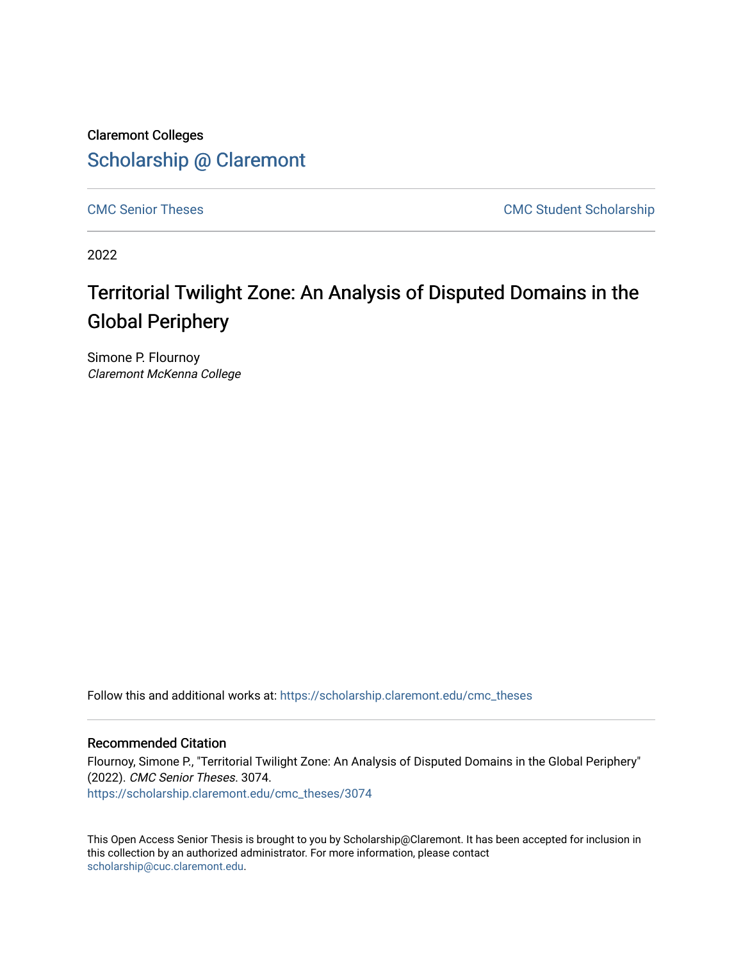Claremont Colleges [Scholarship @ Claremont](https://scholarship.claremont.edu/) 

[CMC Senior Theses](https://scholarship.claremont.edu/cmc_theses) CMC Student Scholarship

2022

# Territorial Twilight Zone: An Analysis of Disputed Domains in the Global Periphery

Simone P. Flournoy Claremont McKenna College

Follow this and additional works at: [https://scholarship.claremont.edu/cmc\\_theses](https://scholarship.claremont.edu/cmc_theses?utm_source=scholarship.claremont.edu%2Fcmc_theses%2F3074&utm_medium=PDF&utm_campaign=PDFCoverPages) 

#### Recommended Citation

Flournoy, Simone P., "Territorial Twilight Zone: An Analysis of Disputed Domains in the Global Periphery" (2022). CMC Senior Theses. 3074. [https://scholarship.claremont.edu/cmc\\_theses/3074](https://scholarship.claremont.edu/cmc_theses/3074?utm_source=scholarship.claremont.edu%2Fcmc_theses%2F3074&utm_medium=PDF&utm_campaign=PDFCoverPages) 

This Open Access Senior Thesis is brought to you by Scholarship@Claremont. It has been accepted for inclusion in this collection by an authorized administrator. For more information, please contact [scholarship@cuc.claremont.edu.](mailto:scholarship@cuc.claremont.edu)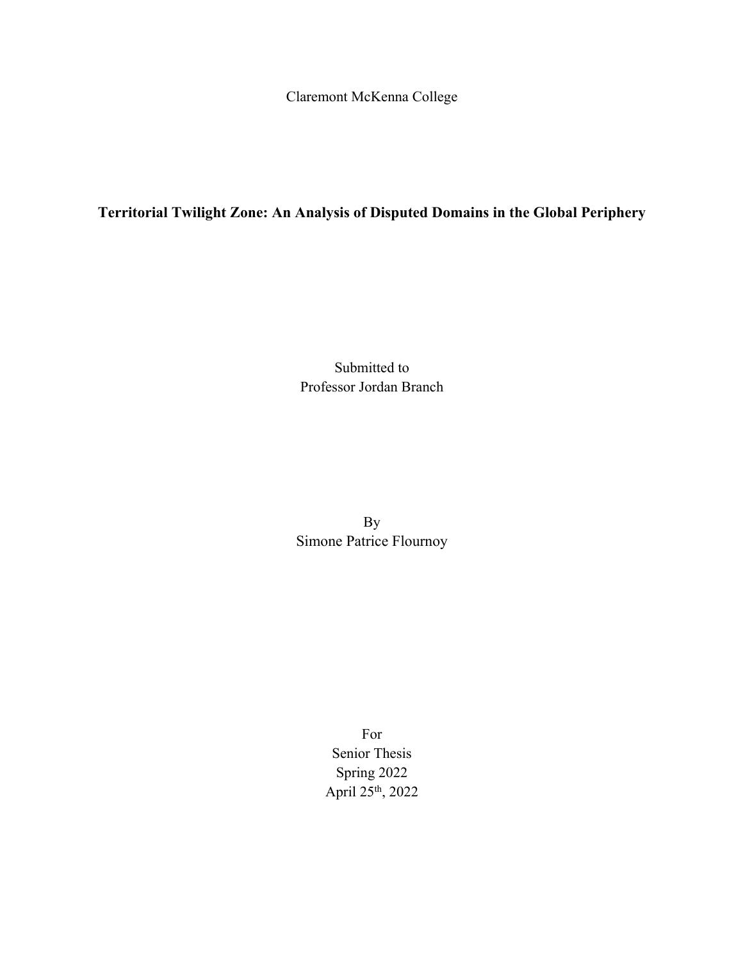Claremont McKenna College

# **Territorial Twilight Zone: An Analysis of Disputed Domains in the Global Periphery**

Submitted to Professor Jordan Branch

By Simone Patrice Flournoy

> For Senior Thesis Spring 2022 April 25th, 2022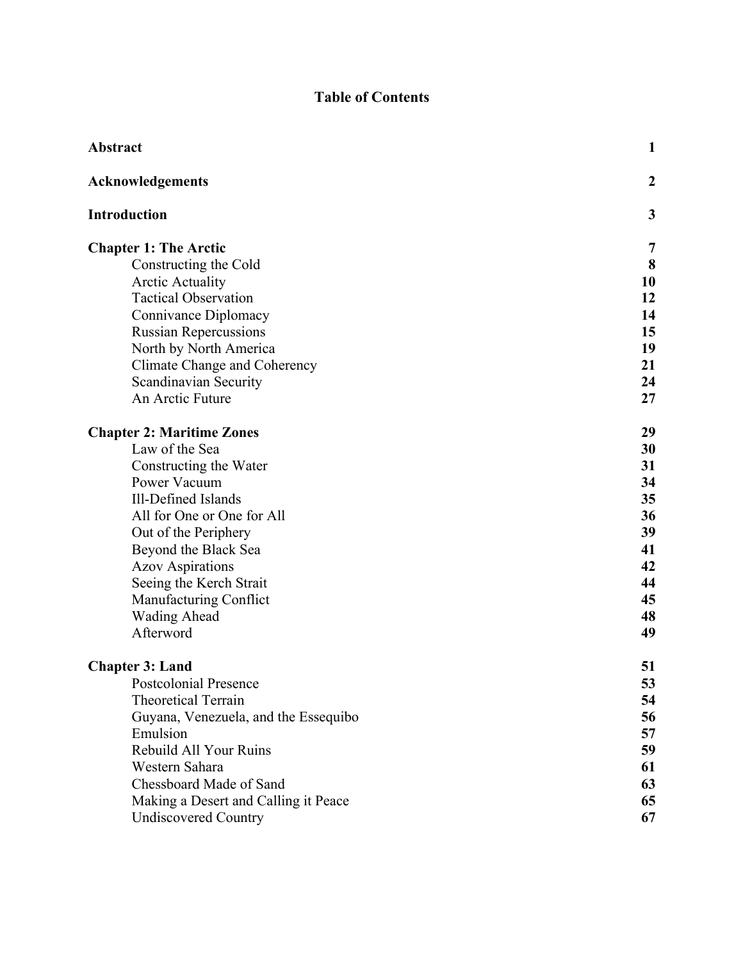# **Table of Contents**

| Abstract                             | 1                |
|--------------------------------------|------------------|
| <b>Acknowledgements</b>              | $\boldsymbol{2}$ |
| <b>Introduction</b>                  | 3                |
| <b>Chapter 1: The Arctic</b>         | 7                |
| Constructing the Cold                | 8                |
| <b>Arctic Actuality</b>              | 10               |
| <b>Tactical Observation</b>          | 12               |
| Connivance Diplomacy                 | 14               |
| <b>Russian Repercussions</b>         | 15               |
| North by North America               | 19               |
| Climate Change and Coherency         | 21               |
| Scandinavian Security                | 24               |
| An Arctic Future                     | 27               |
| <b>Chapter 2: Maritime Zones</b>     | 29               |
| Law of the Sea                       | 30               |
| Constructing the Water               | 31               |
| Power Vacuum                         | 34               |
| Ill-Defined Islands                  | 35               |
| All for One or One for All           | 36               |
| Out of the Periphery                 | 39               |
| Beyond the Black Sea                 | 41               |
| <b>Azov Aspirations</b>              | 42               |
| Seeing the Kerch Strait              | 44               |
| Manufacturing Conflict               | 45               |
| <b>Wading Ahead</b>                  | 48               |
| Afterword                            | 49               |
| <b>Chapter 3: Land</b>               | 51               |
| <b>Postcolonial Presence</b>         | 53               |
| <b>Theoretical Terrain</b>           | 54               |
| Guyana, Venezuela, and the Essequibo | 56               |
| Emulsion                             | 57               |
| Rebuild All Your Ruins               | 59               |
| Western Sahara                       | 61               |
| Chessboard Made of Sand              | 63               |
| Making a Desert and Calling it Peace | 65               |
| <b>Undiscovered Country</b>          | 67               |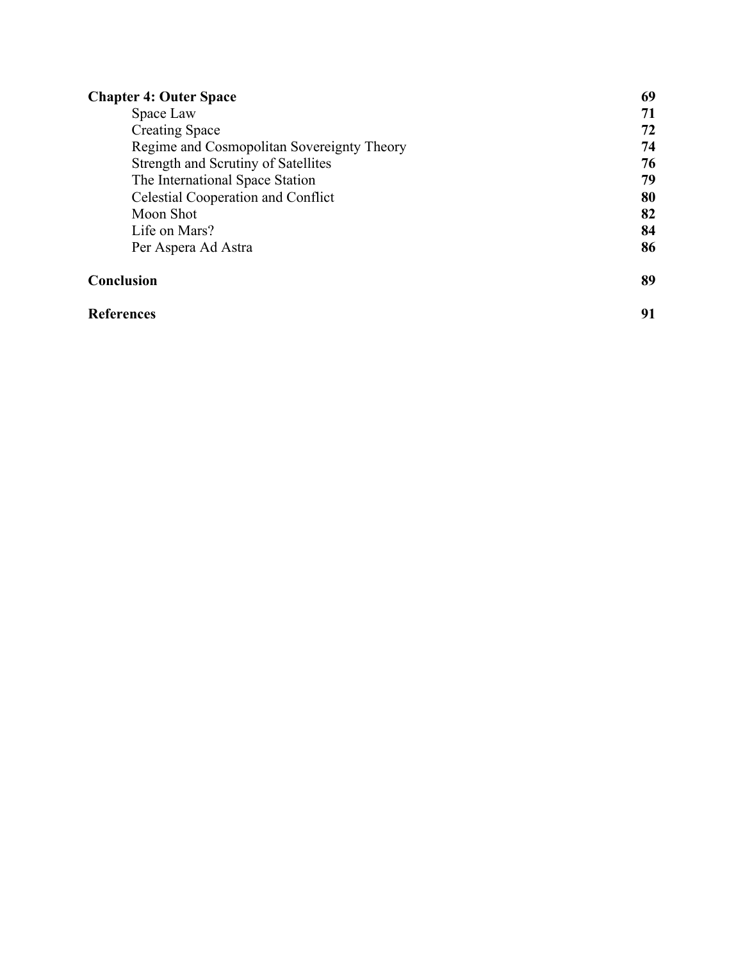| <b>Chapter 4: Outer Space</b><br>Space Law<br><b>Creating Space</b><br>Regime and Cosmopolitan Sovereignty Theory<br>Strength and Scrutiny of Satellites<br>The International Space Station<br>Celestial Cooperation and Conflict | 69        |
|-----------------------------------------------------------------------------------------------------------------------------------------------------------------------------------------------------------------------------------|-----------|
|                                                                                                                                                                                                                                   | 71        |
|                                                                                                                                                                                                                                   | 72        |
|                                                                                                                                                                                                                                   | 74        |
|                                                                                                                                                                                                                                   | 76<br>79  |
|                                                                                                                                                                                                                                   |           |
|                                                                                                                                                                                                                                   | Moon Shot |
| Life on Mars?                                                                                                                                                                                                                     | 84        |
| Per Aspera Ad Astra                                                                                                                                                                                                               | 86        |
| Conclusion                                                                                                                                                                                                                        | 89        |
| <b>References</b>                                                                                                                                                                                                                 | 91        |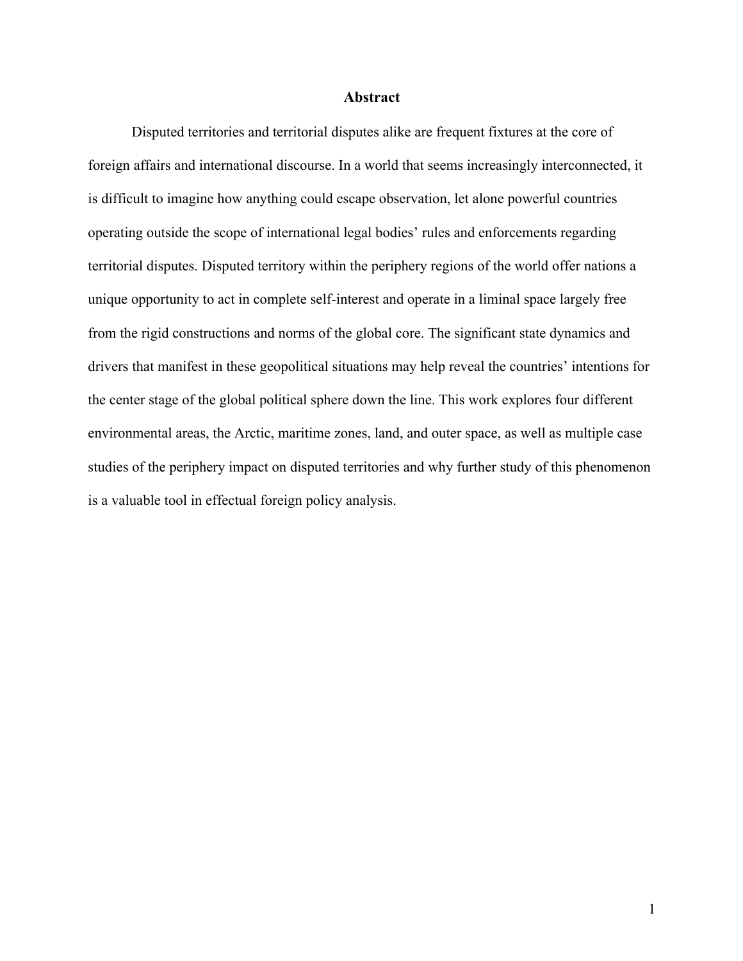#### **Abstract**

Disputed territories and territorial disputes alike are frequent fixtures at the core of foreign affairs and international discourse. In a world that seems increasingly interconnected, it is difficult to imagine how anything could escape observation, let alone powerful countries operating outside the scope of international legal bodies' rules and enforcements regarding territorial disputes. Disputed territory within the periphery regions of the world offer nations a unique opportunity to act in complete self-interest and operate in a liminal space largely free from the rigid constructions and norms of the global core. The significant state dynamics and drivers that manifest in these geopolitical situations may help reveal the countries' intentions for the center stage of the global political sphere down the line. This work explores four different environmental areas, the Arctic, maritime zones, land, and outer space, as well as multiple case studies of the periphery impact on disputed territories and why further study of this phenomenon is a valuable tool in effectual foreign policy analysis.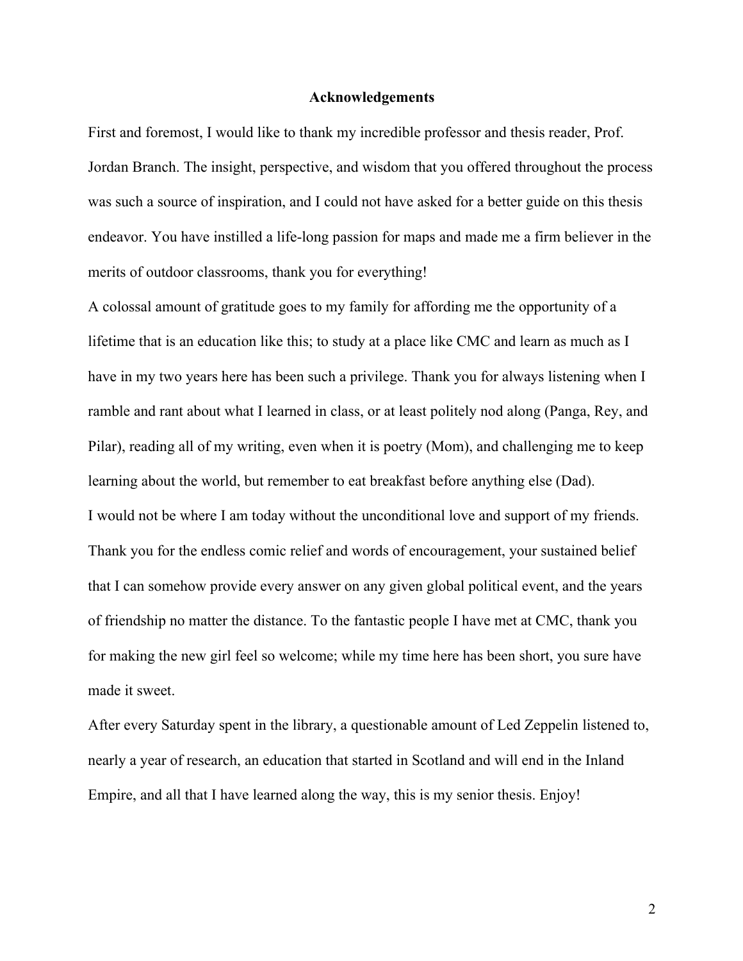#### **Acknowledgements**

First and foremost, I would like to thank my incredible professor and thesis reader, Prof. Jordan Branch. The insight, perspective, and wisdom that you offered throughout the process was such a source of inspiration, and I could not have asked for a better guide on this thesis endeavor. You have instilled a life-long passion for maps and made me a firm believer in the merits of outdoor classrooms, thank you for everything!

A colossal amount of gratitude goes to my family for affording me the opportunity of a lifetime that is an education like this; to study at a place like CMC and learn as much as I have in my two years here has been such a privilege. Thank you for always listening when I ramble and rant about what I learned in class, or at least politely nod along (Panga, Rey, and Pilar), reading all of my writing, even when it is poetry (Mom), and challenging me to keep learning about the world, but remember to eat breakfast before anything else (Dad). I would not be where I am today without the unconditional love and support of my friends. Thank you for the endless comic relief and words of encouragement, your sustained belief that I can somehow provide every answer on any given global political event, and the years of friendship no matter the distance. To the fantastic people I have met at CMC, thank you for making the new girl feel so welcome; while my time here has been short, you sure have made it sweet.

After every Saturday spent in the library, a questionable amount of Led Zeppelin listened to, nearly a year of research, an education that started in Scotland and will end in the Inland Empire, and all that I have learned along the way, this is my senior thesis. Enjoy!

2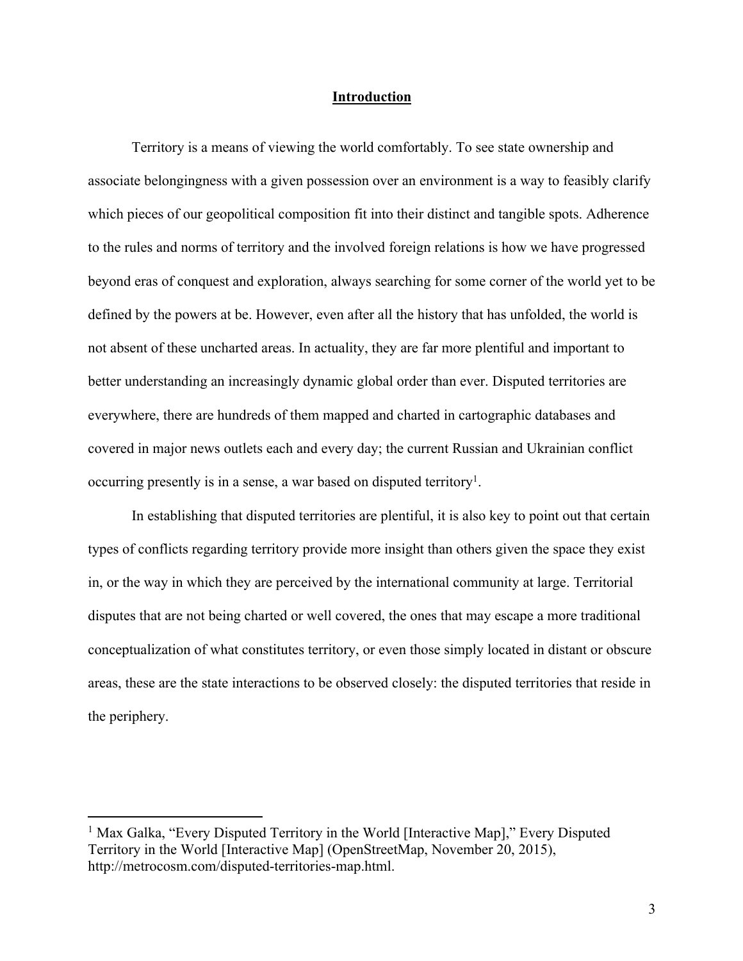# **Introduction**

Territory is a means of viewing the world comfortably. To see state ownership and associate belongingness with a given possession over an environment is a way to feasibly clarify which pieces of our geopolitical composition fit into their distinct and tangible spots. Adherence to the rules and norms of territory and the involved foreign relations is how we have progressed beyond eras of conquest and exploration, always searching for some corner of the world yet to be defined by the powers at be. However, even after all the history that has unfolded, the world is not absent of these uncharted areas. In actuality, they are far more plentiful and important to better understanding an increasingly dynamic global order than ever. Disputed territories are everywhere, there are hundreds of them mapped and charted in cartographic databases and covered in major news outlets each and every day; the current Russian and Ukrainian conflict occurring presently is in a sense, a war based on disputed territory<sup>1</sup>.

In establishing that disputed territories are plentiful, it is also key to point out that certain types of conflicts regarding territory provide more insight than others given the space they exist in, or the way in which they are perceived by the international community at large. Territorial disputes that are not being charted or well covered, the ones that may escape a more traditional conceptualization of what constitutes territory, or even those simply located in distant or obscure areas, these are the state interactions to be observed closely: the disputed territories that reside in the periphery.

<sup>&</sup>lt;sup>1</sup> Max Galka, "Every Disputed Territory in the World [Interactive Map]," Every Disputed Territory in the World [Interactive Map] (OpenStreetMap, November 20, 2015), http://metrocosm.com/disputed-territories-map.html.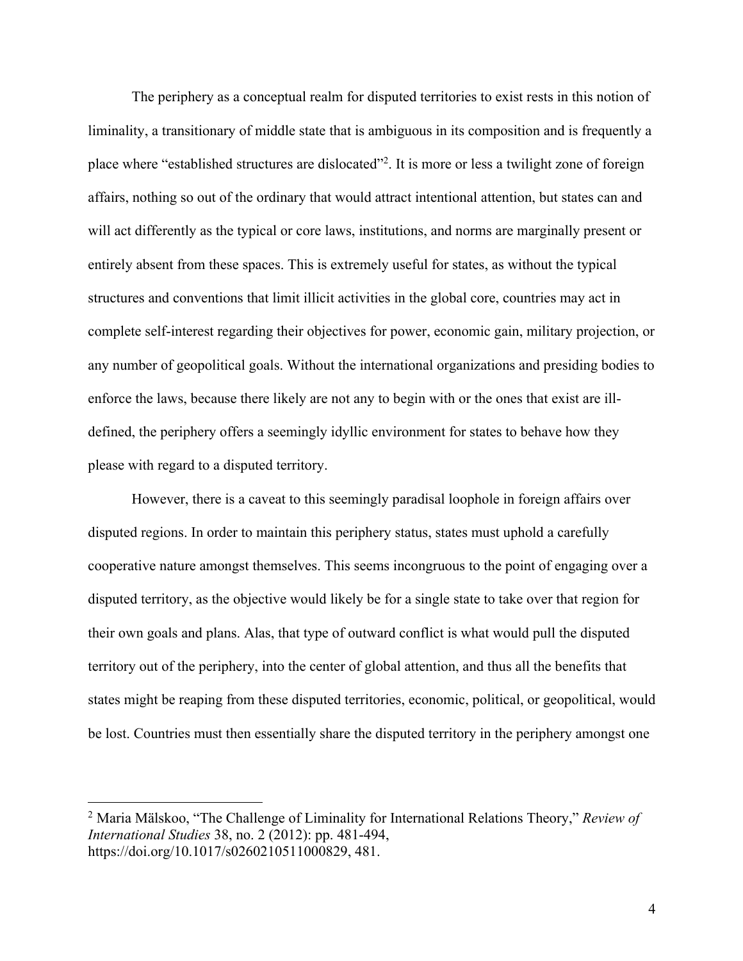The periphery as a conceptual realm for disputed territories to exist rests in this notion of liminality, a transitionary of middle state that is ambiguous in its composition and is frequently a place where "established structures are dislocated"<sup>2</sup>. It is more or less a twilight zone of foreign affairs, nothing so out of the ordinary that would attract intentional attention, but states can and will act differently as the typical or core laws, institutions, and norms are marginally present or entirely absent from these spaces. This is extremely useful for states, as without the typical structures and conventions that limit illicit activities in the global core, countries may act in complete self-interest regarding their objectives for power, economic gain, military projection, or any number of geopolitical goals. Without the international organizations and presiding bodies to enforce the laws, because there likely are not any to begin with or the ones that exist are illdefined, the periphery offers a seemingly idyllic environment for states to behave how they please with regard to a disputed territory.

However, there is a caveat to this seemingly paradisal loophole in foreign affairs over disputed regions. In order to maintain this periphery status, states must uphold a carefully cooperative nature amongst themselves. This seems incongruous to the point of engaging over a disputed territory, as the objective would likely be for a single state to take over that region for their own goals and plans. Alas, that type of outward conflict is what would pull the disputed territory out of the periphery, into the center of global attention, and thus all the benefits that states might be reaping from these disputed territories, economic, political, or geopolitical, would be lost. Countries must then essentially share the disputed territory in the periphery amongst one

<sup>2</sup> Maria Mälskoo, "The Challenge of Liminality for International Relations Theory," *Review of International Studies* 38, no. 2 (2012): pp. 481-494, https://doi.org/10.1017/s0260210511000829, 481.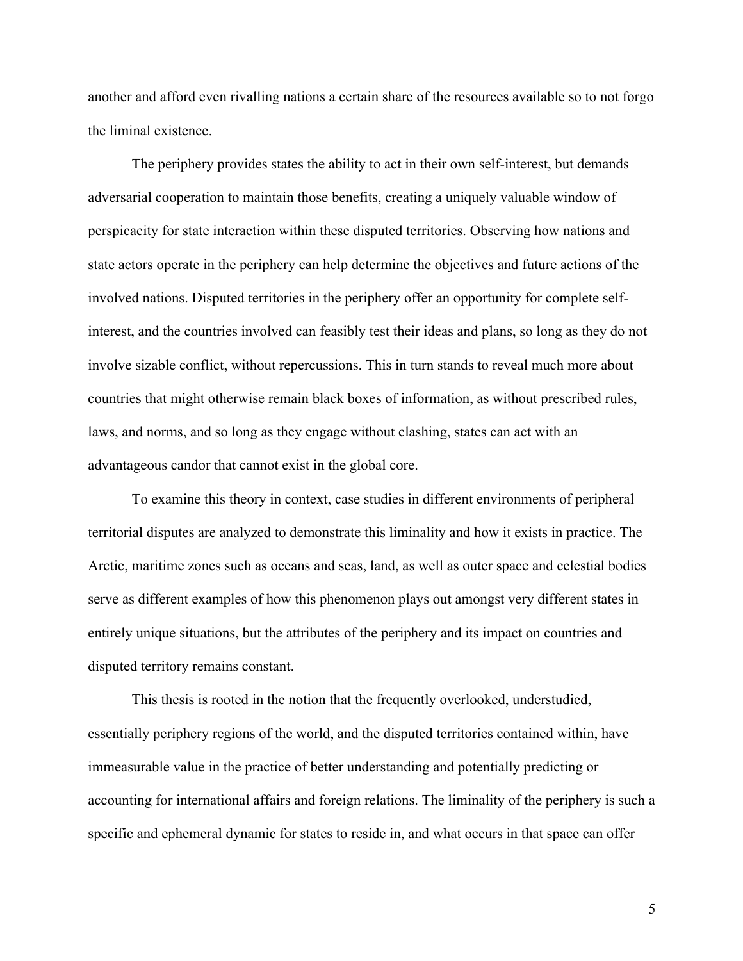another and afford even rivalling nations a certain share of the resources available so to not forgo the liminal existence.

The periphery provides states the ability to act in their own self-interest, but demands adversarial cooperation to maintain those benefits, creating a uniquely valuable window of perspicacity for state interaction within these disputed territories. Observing how nations and state actors operate in the periphery can help determine the objectives and future actions of the involved nations. Disputed territories in the periphery offer an opportunity for complete selfinterest, and the countries involved can feasibly test their ideas and plans, so long as they do not involve sizable conflict, without repercussions. This in turn stands to reveal much more about countries that might otherwise remain black boxes of information, as without prescribed rules, laws, and norms, and so long as they engage without clashing, states can act with an advantageous candor that cannot exist in the global core.

To examine this theory in context, case studies in different environments of peripheral territorial disputes are analyzed to demonstrate this liminality and how it exists in practice. The Arctic, maritime zones such as oceans and seas, land, as well as outer space and celestial bodies serve as different examples of how this phenomenon plays out amongst very different states in entirely unique situations, but the attributes of the periphery and its impact on countries and disputed territory remains constant.

This thesis is rooted in the notion that the frequently overlooked, understudied, essentially periphery regions of the world, and the disputed territories contained within, have immeasurable value in the practice of better understanding and potentially predicting or accounting for international affairs and foreign relations. The liminality of the periphery is such a specific and ephemeral dynamic for states to reside in, and what occurs in that space can offer

5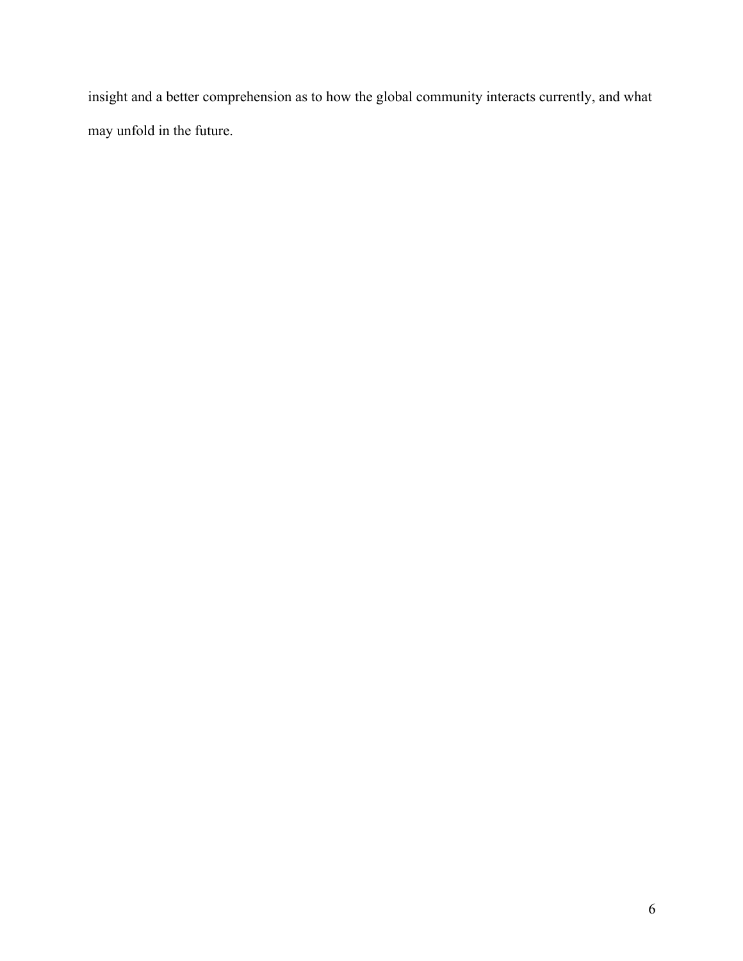insight and a better comprehension as to how the global community interacts currently, and what may unfold in the future.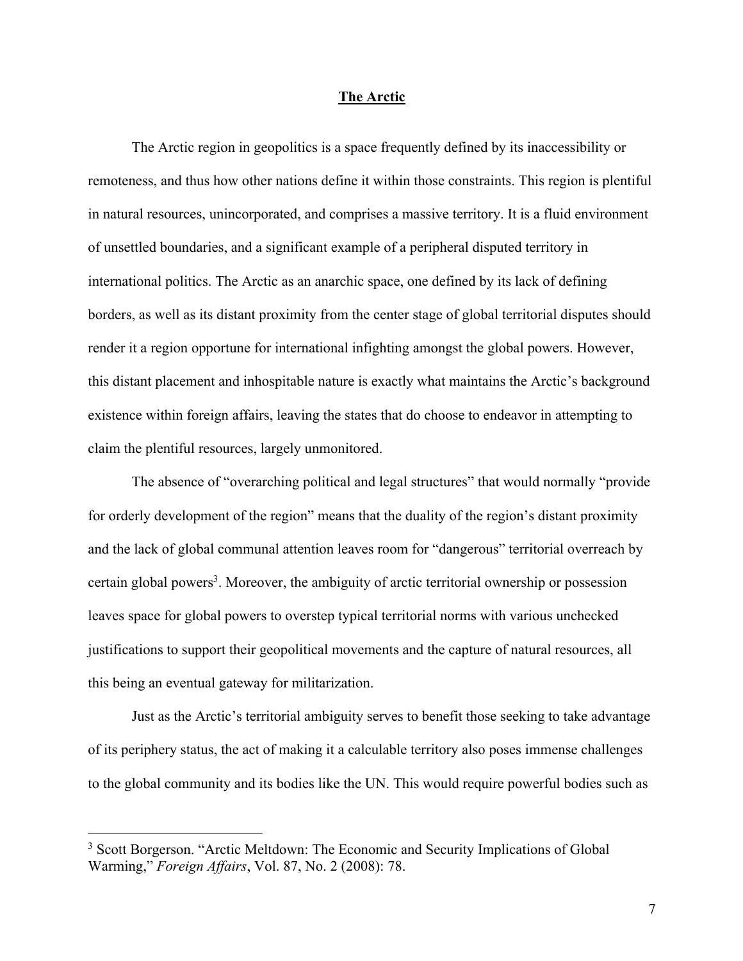#### **The Arctic**

The Arctic region in geopolitics is a space frequently defined by its inaccessibility or remoteness, and thus how other nations define it within those constraints. This region is plentiful in natural resources, unincorporated, and comprises a massive territory. It is a fluid environment of unsettled boundaries, and a significant example of a peripheral disputed territory in international politics. The Arctic as an anarchic space, one defined by its lack of defining borders, as well as its distant proximity from the center stage of global territorial disputes should render it a region opportune for international infighting amongst the global powers. However, this distant placement and inhospitable nature is exactly what maintains the Arctic's background existence within foreign affairs, leaving the states that do choose to endeavor in attempting to claim the plentiful resources, largely unmonitored.

The absence of "overarching political and legal structures" that would normally "provide for orderly development of the region" means that the duality of the region's distant proximity and the lack of global communal attention leaves room for "dangerous" territorial overreach by certain global powers<sup>3</sup>. Moreover, the ambiguity of arctic territorial ownership or possession leaves space for global powers to overstep typical territorial norms with various unchecked justifications to support their geopolitical movements and the capture of natural resources, all this being an eventual gateway for militarization.

Just as the Arctic's territorial ambiguity serves to benefit those seeking to take advantage of its periphery status, the act of making it a calculable territory also poses immense challenges to the global community and its bodies like the UN. This would require powerful bodies such as

<sup>&</sup>lt;sup>3</sup> Scott Borgerson. "Arctic Meltdown: The Economic and Security Implications of Global Warming," *Foreign Affairs*, Vol. 87, No. 2 (2008): 78.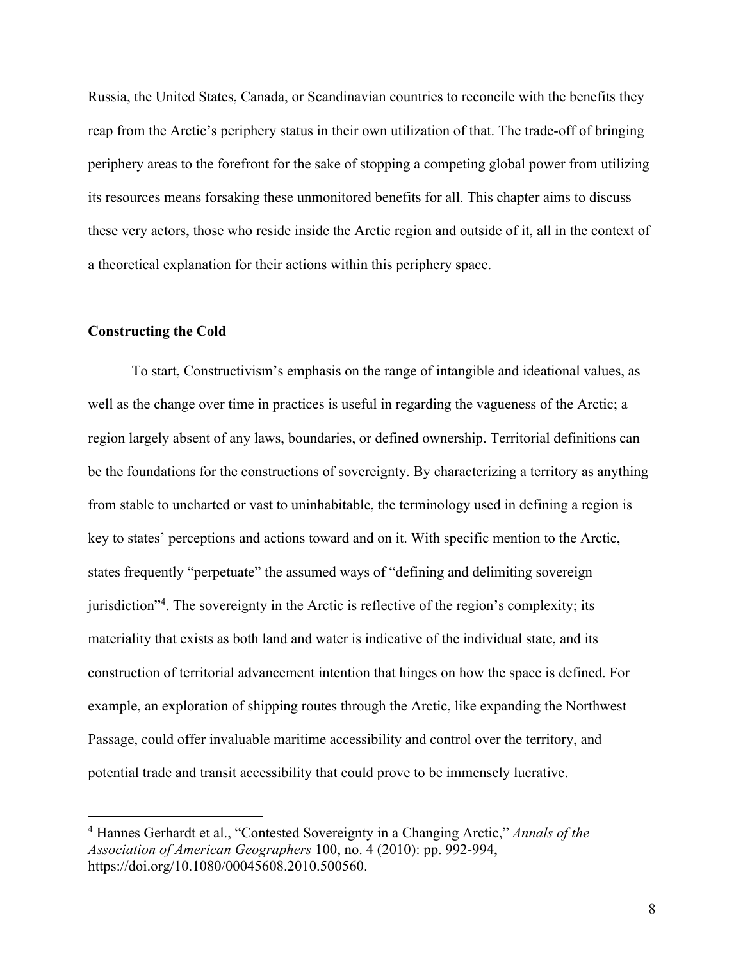Russia, the United States, Canada, or Scandinavian countries to reconcile with the benefits they reap from the Arctic's periphery status in their own utilization of that. The trade-off of bringing periphery areas to the forefront for the sake of stopping a competing global power from utilizing its resources means forsaking these unmonitored benefits for all. This chapter aims to discuss these very actors, those who reside inside the Arctic region and outside of it, all in the context of a theoretical explanation for their actions within this periphery space.

#### **Constructing the Cold**

To start, Constructivism's emphasis on the range of intangible and ideational values, as well as the change over time in practices is useful in regarding the vagueness of the Arctic; a region largely absent of any laws, boundaries, or defined ownership. Territorial definitions can be the foundations for the constructions of sovereignty. By characterizing a territory as anything from stable to uncharted or vast to uninhabitable, the terminology used in defining a region is key to states' perceptions and actions toward and on it. With specific mention to the Arctic, states frequently "perpetuate" the assumed ways of "defining and delimiting sovereign jurisdiction<sup>34</sup>. The sovereignty in the Arctic is reflective of the region's complexity; its materiality that exists as both land and water is indicative of the individual state, and its construction of territorial advancement intention that hinges on how the space is defined. For example, an exploration of shipping routes through the Arctic, like expanding the Northwest Passage, could offer invaluable maritime accessibility and control over the territory, and potential trade and transit accessibility that could prove to be immensely lucrative.

<sup>4</sup> Hannes Gerhardt et al., "Contested Sovereignty in a Changing Arctic," *Annals of the Association of American Geographers* 100, no. 4 (2010): pp. 992-994, https://doi.org/10.1080/00045608.2010.500560.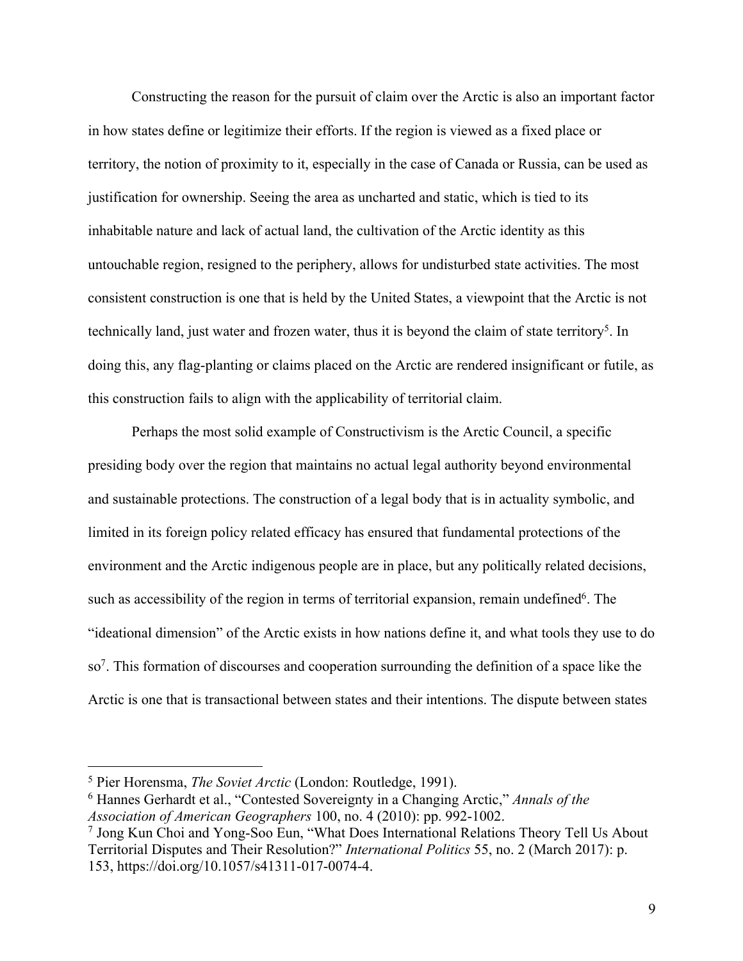Constructing the reason for the pursuit of claim over the Arctic is also an important factor in how states define or legitimize their efforts. If the region is viewed as a fixed place or territory, the notion of proximity to it, especially in the case of Canada or Russia, can be used as justification for ownership. Seeing the area as uncharted and static, which is tied to its inhabitable nature and lack of actual land, the cultivation of the Arctic identity as this untouchable region, resigned to the periphery, allows for undisturbed state activities. The most consistent construction is one that is held by the United States, a viewpoint that the Arctic is not technically land, just water and frozen water, thus it is beyond the claim of state territory<sup>5</sup>. In doing this, any flag-planting or claims placed on the Arctic are rendered insignificant or futile, as this construction fails to align with the applicability of territorial claim.

Perhaps the most solid example of Constructivism is the Arctic Council, a specific presiding body over the region that maintains no actual legal authority beyond environmental and sustainable protections. The construction of a legal body that is in actuality symbolic, and limited in its foreign policy related efficacy has ensured that fundamental protections of the environment and the Arctic indigenous people are in place, but any politically related decisions, such as accessibility of the region in terms of territorial expansion, remain undefined<sup>6</sup>. The "ideational dimension" of the Arctic exists in how nations define it, and what tools they use to do so7. This formation of discourses and cooperation surrounding the definition of a space like the Arctic is one that is transactional between states and their intentions. The dispute between states

<sup>5</sup> Pier Horensma, *The Soviet Arctic* (London: Routledge, 1991).

<sup>6</sup> Hannes Gerhardt et al., "Contested Sovereignty in a Changing Arctic," *Annals of the Association of American Geographers* 100, no. 4 (2010): pp. 992-1002.

<sup>7</sup> Jong Kun Choi and Yong-Soo Eun, "What Does International Relations Theory Tell Us About Territorial Disputes and Their Resolution?" *International Politics* 55, no. 2 (March 2017): p. 153, https://doi.org/10.1057/s41311-017-0074-4.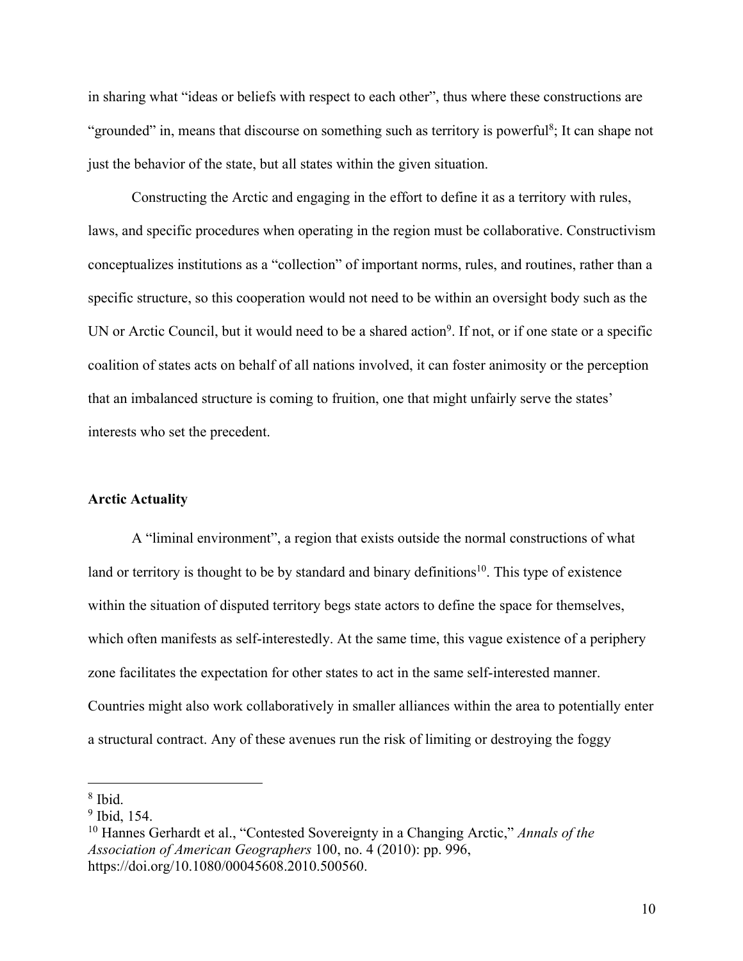in sharing what "ideas or beliefs with respect to each other", thus where these constructions are "grounded" in, means that discourse on something such as territory is powerful<sup>8</sup>; It can shape not just the behavior of the state, but all states within the given situation.

Constructing the Arctic and engaging in the effort to define it as a territory with rules, laws, and specific procedures when operating in the region must be collaborative. Constructivism conceptualizes institutions as a "collection" of important norms, rules, and routines, rather than a specific structure, so this cooperation would not need to be within an oversight body such as the UN or Arctic Council, but it would need to be a shared action<sup>9</sup>. If not, or if one state or a specific coalition of states acts on behalf of all nations involved, it can foster animosity or the perception that an imbalanced structure is coming to fruition, one that might unfairly serve the states' interests who set the precedent.

#### **Arctic Actuality**

A "liminal environment", a region that exists outside the normal constructions of what land or territory is thought to be by standard and binary definitions<sup>10</sup>. This type of existence within the situation of disputed territory begs state actors to define the space for themselves, which often manifests as self-interestedly. At the same time, this vague existence of a periphery zone facilitates the expectation for other states to act in the same self-interested manner. Countries might also work collaboratively in smaller alliances within the area to potentially enter a structural contract. Any of these avenues run the risk of limiting or destroying the foggy

<sup>8</sup> Ibid.

<sup>&</sup>lt;sup>9</sup> Ibid, 154.

<sup>10</sup> Hannes Gerhardt et al., "Contested Sovereignty in a Changing Arctic," *Annals of the Association of American Geographers* 100, no. 4 (2010): pp. 996, https://doi.org/10.1080/00045608.2010.500560.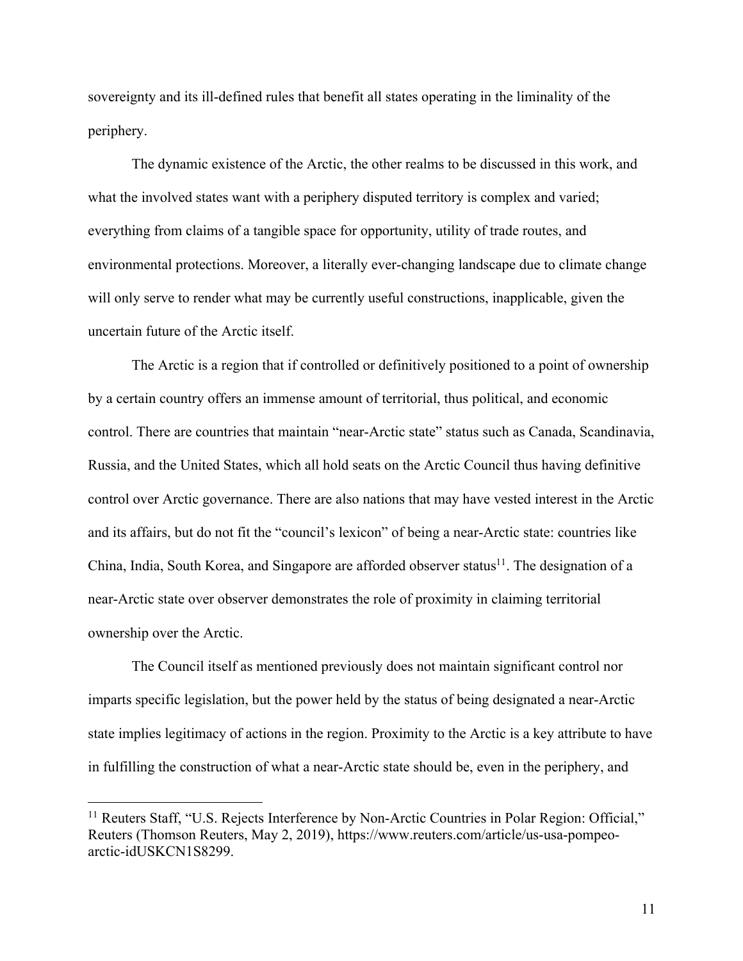sovereignty and its ill-defined rules that benefit all states operating in the liminality of the periphery.

The dynamic existence of the Arctic, the other realms to be discussed in this work, and what the involved states want with a periphery disputed territory is complex and varied; everything from claims of a tangible space for opportunity, utility of trade routes, and environmental protections. Moreover, a literally ever-changing landscape due to climate change will only serve to render what may be currently useful constructions, inapplicable, given the uncertain future of the Arctic itself.

The Arctic is a region that if controlled or definitively positioned to a point of ownership by a certain country offers an immense amount of territorial, thus political, and economic control. There are countries that maintain "near-Arctic state" status such as Canada, Scandinavia, Russia, and the United States, which all hold seats on the Arctic Council thus having definitive control over Arctic governance. There are also nations that may have vested interest in the Arctic and its affairs, but do not fit the "council's lexicon" of being a near-Arctic state: countries like China, India, South Korea, and Singapore are afforded observer status<sup>11</sup>. The designation of a near-Arctic state over observer demonstrates the role of proximity in claiming territorial ownership over the Arctic.

The Council itself as mentioned previously does not maintain significant control nor imparts specific legislation, but the power held by the status of being designated a near-Arctic state implies legitimacy of actions in the region. Proximity to the Arctic is a key attribute to have in fulfilling the construction of what a near-Arctic state should be, even in the periphery, and

<sup>&</sup>lt;sup>11</sup> Reuters Staff, "U.S. Rejects Interference by Non-Arctic Countries in Polar Region: Official," Reuters (Thomson Reuters, May 2, 2019), https://www.reuters.com/article/us-usa-pompeoarctic-idUSKCN1S8299.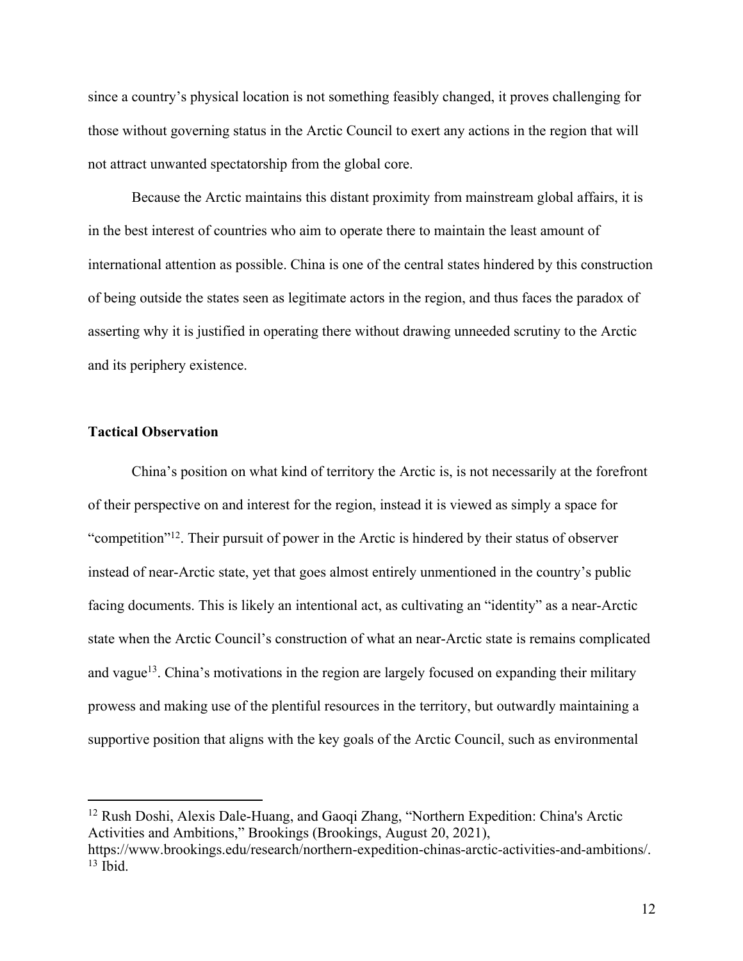since a country's physical location is not something feasibly changed, it proves challenging for those without governing status in the Arctic Council to exert any actions in the region that will not attract unwanted spectatorship from the global core.

Because the Arctic maintains this distant proximity from mainstream global affairs, it is in the best interest of countries who aim to operate there to maintain the least amount of international attention as possible. China is one of the central states hindered by this construction of being outside the states seen as legitimate actors in the region, and thus faces the paradox of asserting why it is justified in operating there without drawing unneeded scrutiny to the Arctic and its periphery existence.

# **Tactical Observation**

China's position on what kind of territory the Arctic is, is not necessarily at the forefront of their perspective on and interest for the region, instead it is viewed as simply a space for "competition"<sup>12</sup>. Their pursuit of power in the Arctic is hindered by their status of observer instead of near-Arctic state, yet that goes almost entirely unmentioned in the country's public facing documents. This is likely an intentional act, as cultivating an "identity" as a near-Arctic state when the Arctic Council's construction of what an near-Arctic state is remains complicated and vague<sup>13</sup>. China's motivations in the region are largely focused on expanding their military prowess and making use of the plentiful resources in the territory, but outwardly maintaining a supportive position that aligns with the key goals of the Arctic Council, such as environmental

<sup>12</sup> Rush Doshi, Alexis Dale-Huang, and Gaoqi Zhang, "Northern Expedition: China's Arctic Activities and Ambitions," Brookings (Brookings, August 20, 2021),

https://www.brookings.edu/research/northern-expedition-chinas-arctic-activities-and-ambitions/.  $13$  Ibid.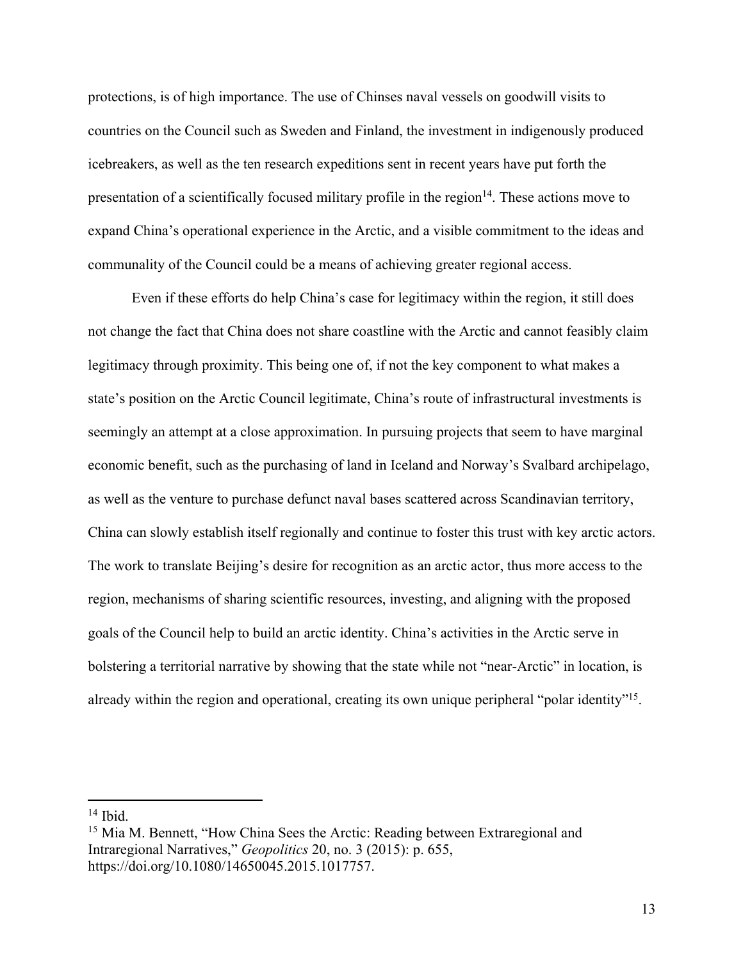protections, is of high importance. The use of Chinses naval vessels on goodwill visits to countries on the Council such as Sweden and Finland, the investment in indigenously produced icebreakers, as well as the ten research expeditions sent in recent years have put forth the presentation of a scientifically focused military profile in the region $14$ . These actions move to expand China's operational experience in the Arctic, and a visible commitment to the ideas and communality of the Council could be a means of achieving greater regional access.

Even if these efforts do help China's case for legitimacy within the region, it still does not change the fact that China does not share coastline with the Arctic and cannot feasibly claim legitimacy through proximity. This being one of, if not the key component to what makes a state's position on the Arctic Council legitimate, China's route of infrastructural investments is seemingly an attempt at a close approximation. In pursuing projects that seem to have marginal economic benefit, such as the purchasing of land in Iceland and Norway's Svalbard archipelago, as well as the venture to purchase defunct naval bases scattered across Scandinavian territory, China can slowly establish itself regionally and continue to foster this trust with key arctic actors. The work to translate Beijing's desire for recognition as an arctic actor, thus more access to the region, mechanisms of sharing scientific resources, investing, and aligning with the proposed goals of the Council help to build an arctic identity. China's activities in the Arctic serve in bolstering a territorial narrative by showing that the state while not "near-Arctic" in location, is already within the region and operational, creating its own unique peripheral "polar identity"<sup>15</sup>.

<sup>14</sup> Ibid.

<sup>&</sup>lt;sup>15</sup> Mia M. Bennett, "How China Sees the Arctic: Reading between Extraregional and Intraregional Narratives," *Geopolitics* 20, no. 3 (2015): p. 655, https://doi.org/10.1080/14650045.2015.1017757.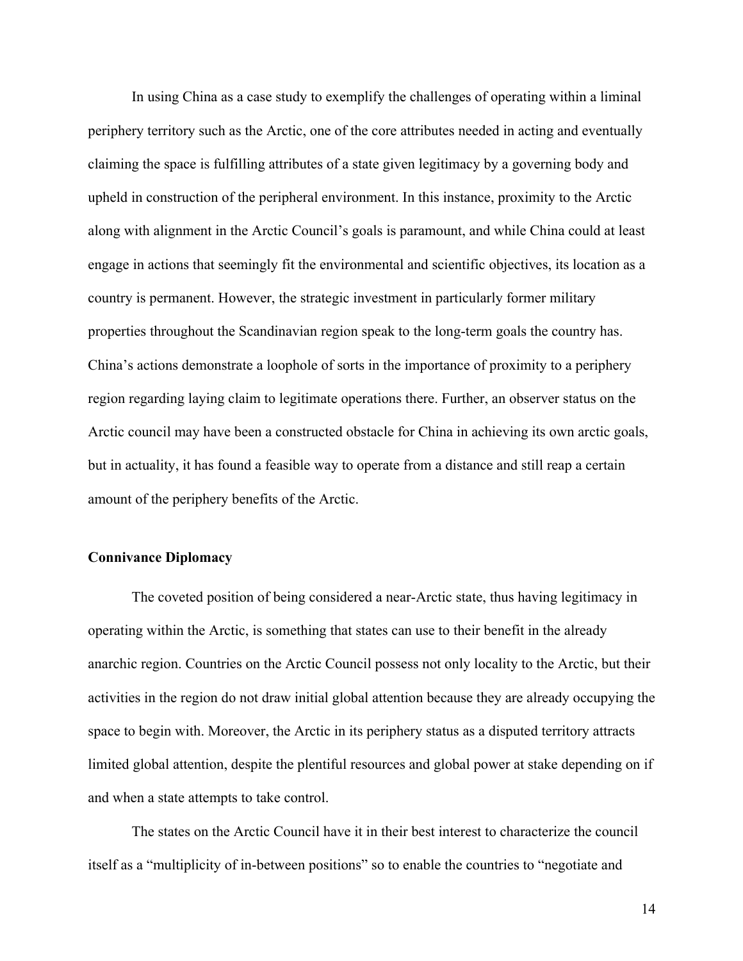In using China as a case study to exemplify the challenges of operating within a liminal periphery territory such as the Arctic, one of the core attributes needed in acting and eventually claiming the space is fulfilling attributes of a state given legitimacy by a governing body and upheld in construction of the peripheral environment. In this instance, proximity to the Arctic along with alignment in the Arctic Council's goals is paramount, and while China could at least engage in actions that seemingly fit the environmental and scientific objectives, its location as a country is permanent. However, the strategic investment in particularly former military properties throughout the Scandinavian region speak to the long-term goals the country has. China's actions demonstrate a loophole of sorts in the importance of proximity to a periphery region regarding laying claim to legitimate operations there. Further, an observer status on the Arctic council may have been a constructed obstacle for China in achieving its own arctic goals, but in actuality, it has found a feasible way to operate from a distance and still reap a certain amount of the periphery benefits of the Arctic.

# **Connivance Diplomacy**

The coveted position of being considered a near-Arctic state, thus having legitimacy in operating within the Arctic, is something that states can use to their benefit in the already anarchic region. Countries on the Arctic Council possess not only locality to the Arctic, but their activities in the region do not draw initial global attention because they are already occupying the space to begin with. Moreover, the Arctic in its periphery status as a disputed territory attracts limited global attention, despite the plentiful resources and global power at stake depending on if and when a state attempts to take control.

The states on the Arctic Council have it in their best interest to characterize the council itself as a "multiplicity of in-between positions" so to enable the countries to "negotiate and

14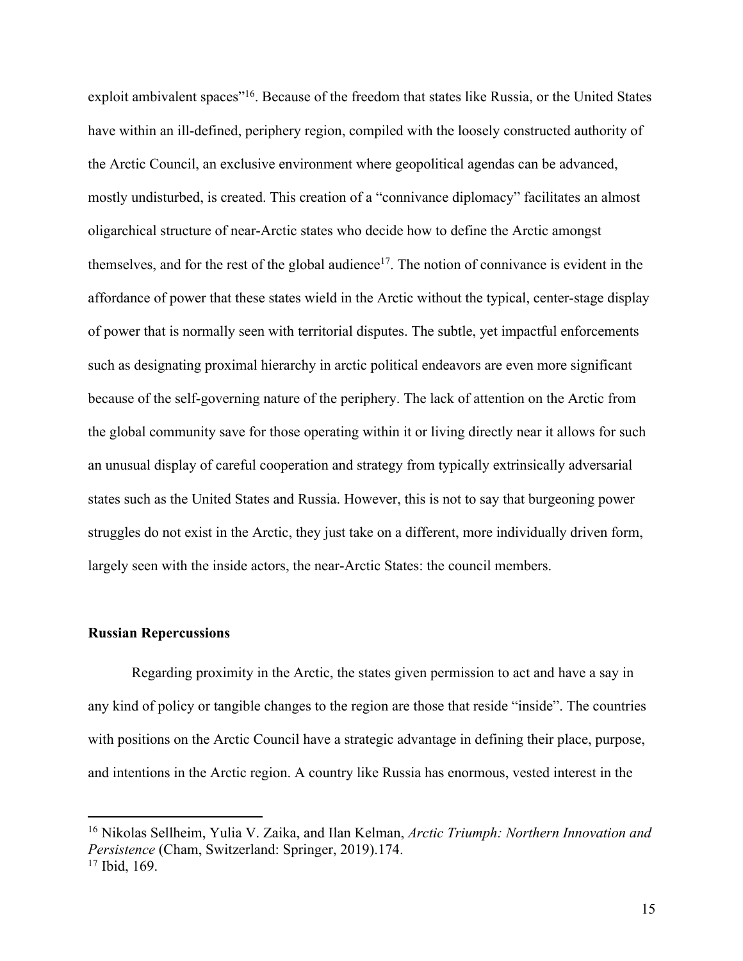exploit ambivalent spaces"16. Because of the freedom that states like Russia, or the United States have within an ill-defined, periphery region, compiled with the loosely constructed authority of the Arctic Council, an exclusive environment where geopolitical agendas can be advanced, mostly undisturbed, is created. This creation of a "connivance diplomacy" facilitates an almost oligarchical structure of near-Arctic states who decide how to define the Arctic amongst themselves, and for the rest of the global audience<sup>17</sup>. The notion of connivance is evident in the affordance of power that these states wield in the Arctic without the typical, center-stage display of power that is normally seen with territorial disputes. The subtle, yet impactful enforcements such as designating proximal hierarchy in arctic political endeavors are even more significant because of the self-governing nature of the periphery. The lack of attention on the Arctic from the global community save for those operating within it or living directly near it allows for such an unusual display of careful cooperation and strategy from typically extrinsically adversarial states such as the United States and Russia. However, this is not to say that burgeoning power struggles do not exist in the Arctic, they just take on a different, more individually driven form, largely seen with the inside actors, the near-Arctic States: the council members.

#### **Russian Repercussions**

Regarding proximity in the Arctic, the states given permission to act and have a say in any kind of policy or tangible changes to the region are those that reside "inside". The countries with positions on the Arctic Council have a strategic advantage in defining their place, purpose, and intentions in the Arctic region. A country like Russia has enormous, vested interest in the

<sup>16</sup> Nikolas Sellheim, Yulia V. Zaika, and Ilan Kelman, *Arctic Triumph: Northern Innovation and Persistence* (Cham, Switzerland: Springer, 2019).174. <sup>17</sup> Ibid, 169.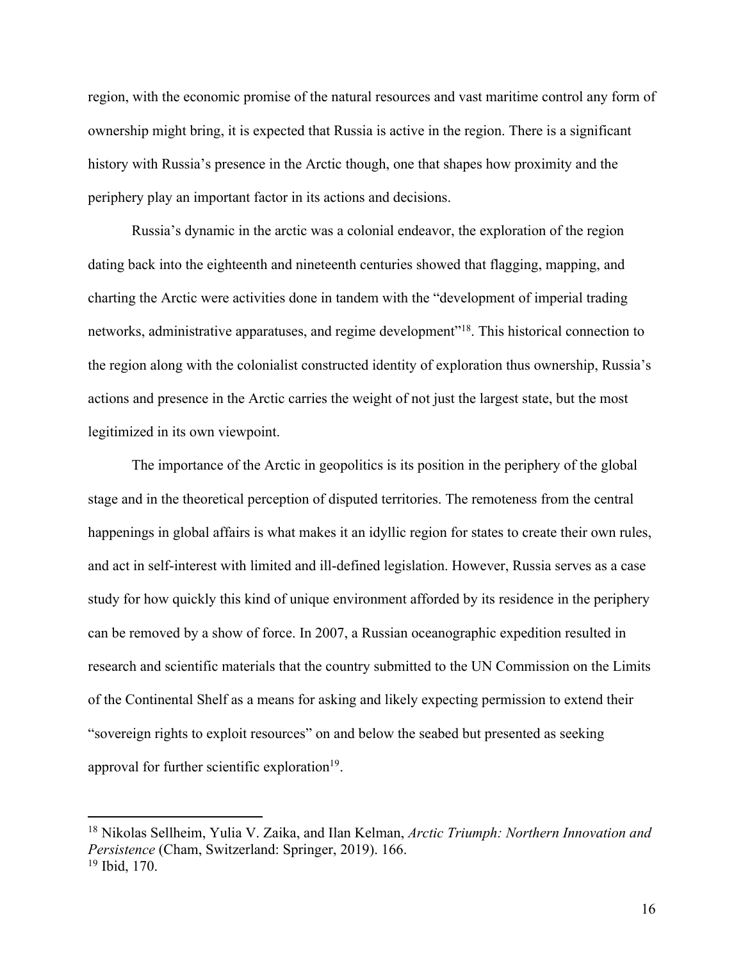region, with the economic promise of the natural resources and vast maritime control any form of ownership might bring, it is expected that Russia is active in the region. There is a significant history with Russia's presence in the Arctic though, one that shapes how proximity and the periphery play an important factor in its actions and decisions.

Russia's dynamic in the arctic was a colonial endeavor, the exploration of the region dating back into the eighteenth and nineteenth centuries showed that flagging, mapping, and charting the Arctic were activities done in tandem with the "development of imperial trading networks, administrative apparatuses, and regime development<sup>"18</sup>. This historical connection to the region along with the colonialist constructed identity of exploration thus ownership, Russia's actions and presence in the Arctic carries the weight of not just the largest state, but the most legitimized in its own viewpoint.

The importance of the Arctic in geopolitics is its position in the periphery of the global stage and in the theoretical perception of disputed territories. The remoteness from the central happenings in global affairs is what makes it an idyllic region for states to create their own rules, and act in self-interest with limited and ill-defined legislation. However, Russia serves as a case study for how quickly this kind of unique environment afforded by its residence in the periphery can be removed by a show of force. In 2007, a Russian oceanographic expedition resulted in research and scientific materials that the country submitted to the UN Commission on the Limits of the Continental Shelf as a means for asking and likely expecting permission to extend their "sovereign rights to exploit resources" on and below the seabed but presented as seeking approval for further scientific exploration $19$ .

<sup>18</sup> Nikolas Sellheim, Yulia V. Zaika, and Ilan Kelman, *Arctic Triumph: Northern Innovation and Persistence* (Cham, Switzerland: Springer, 2019). 166. <sup>19</sup> Ibid, 170.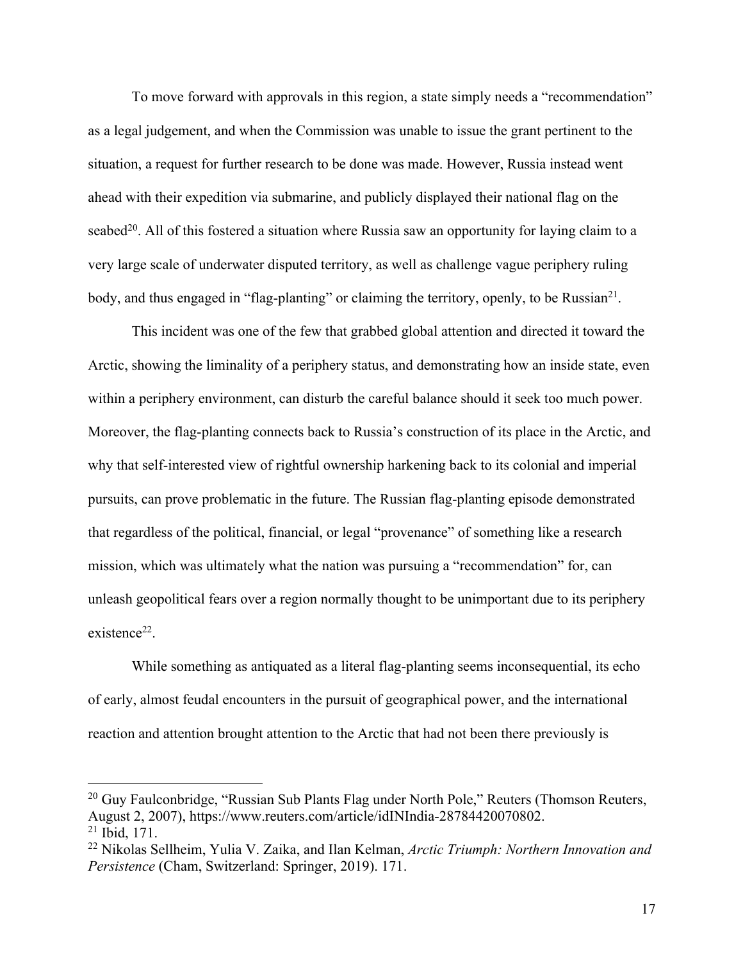To move forward with approvals in this region, a state simply needs a "recommendation" as a legal judgement, and when the Commission was unable to issue the grant pertinent to the situation, a request for further research to be done was made. However, Russia instead went ahead with their expedition via submarine, and publicly displayed their national flag on the seabed<sup>20</sup>. All of this fostered a situation where Russia saw an opportunity for laying claim to a very large scale of underwater disputed territory, as well as challenge vague periphery ruling body, and thus engaged in "flag-planting" or claiming the territory, openly, to be Russian<sup>21</sup>.

This incident was one of the few that grabbed global attention and directed it toward the Arctic, showing the liminality of a periphery status, and demonstrating how an inside state, even within a periphery environment, can disturb the careful balance should it seek too much power. Moreover, the flag-planting connects back to Russia's construction of its place in the Arctic, and why that self-interested view of rightful ownership harkening back to its colonial and imperial pursuits, can prove problematic in the future. The Russian flag-planting episode demonstrated that regardless of the political, financial, or legal "provenance" of something like a research mission, which was ultimately what the nation was pursuing a "recommendation" for, can unleash geopolitical fears over a region normally thought to be unimportant due to its periphery existence<sup>22</sup>.

While something as antiquated as a literal flag-planting seems inconsequential, its echo of early, almost feudal encounters in the pursuit of geographical power, and the international reaction and attention brought attention to the Arctic that had not been there previously is

 $20$  Guy Faulconbridge, "Russian Sub Plants Flag under North Pole," Reuters (Thomson Reuters, August 2, 2007), https://www.reuters.com/article/idINIndia-28784420070802. <sup>21</sup> Ibid, 171.

<sup>22</sup> Nikolas Sellheim, Yulia V. Zaika, and Ilan Kelman, *Arctic Triumph: Northern Innovation and Persistence* (Cham, Switzerland: Springer, 2019). 171.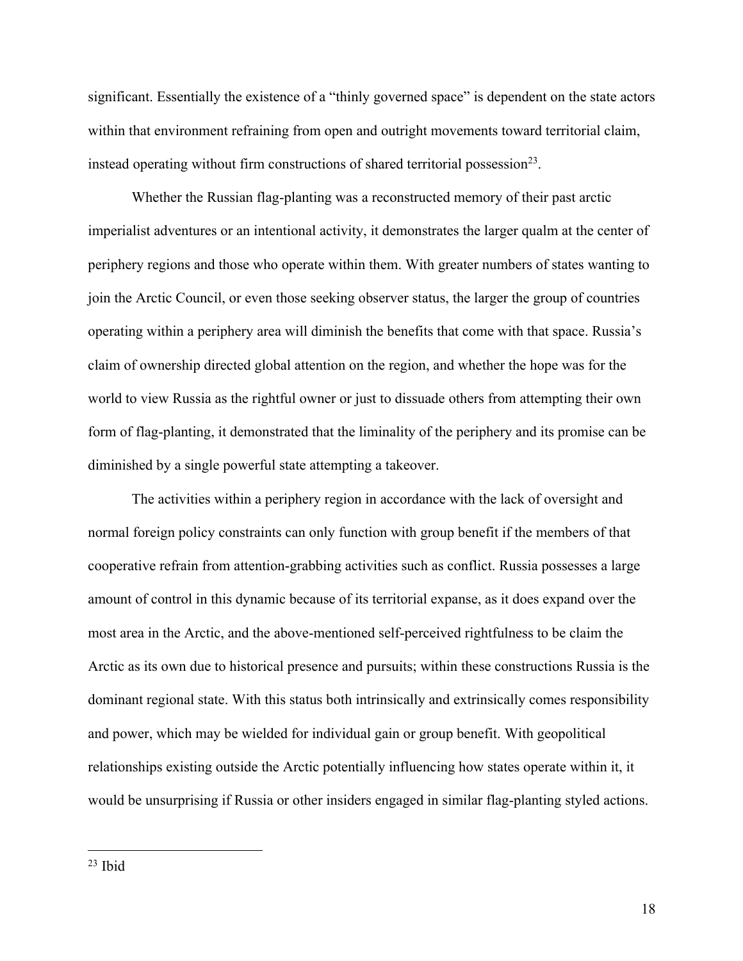significant. Essentially the existence of a "thinly governed space" is dependent on the state actors within that environment refraining from open and outright movements toward territorial claim, instead operating without firm constructions of shared territorial possession<sup>23</sup>.

Whether the Russian flag-planting was a reconstructed memory of their past arctic imperialist adventures or an intentional activity, it demonstrates the larger qualm at the center of periphery regions and those who operate within them. With greater numbers of states wanting to join the Arctic Council, or even those seeking observer status, the larger the group of countries operating within a periphery area will diminish the benefits that come with that space. Russia's claim of ownership directed global attention on the region, and whether the hope was for the world to view Russia as the rightful owner or just to dissuade others from attempting their own form of flag-planting, it demonstrated that the liminality of the periphery and its promise can be diminished by a single powerful state attempting a takeover.

The activities within a periphery region in accordance with the lack of oversight and normal foreign policy constraints can only function with group benefit if the members of that cooperative refrain from attention-grabbing activities such as conflict. Russia possesses a large amount of control in this dynamic because of its territorial expanse, as it does expand over the most area in the Arctic, and the above-mentioned self-perceived rightfulness to be claim the Arctic as its own due to historical presence and pursuits; within these constructions Russia is the dominant regional state. With this status both intrinsically and extrinsically comes responsibility and power, which may be wielded for individual gain or group benefit. With geopolitical relationships existing outside the Arctic potentially influencing how states operate within it, it would be unsurprising if Russia or other insiders engaged in similar flag-planting styled actions.

 $23$  Ibid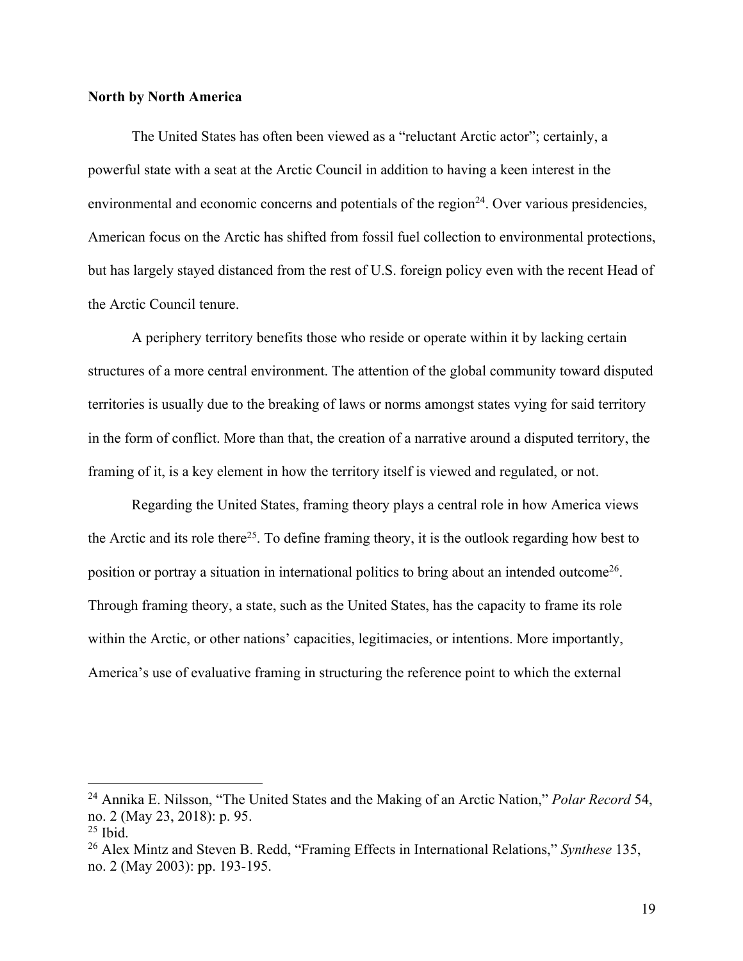#### **North by North America**

The United States has often been viewed as a "reluctant Arctic actor"; certainly, a powerful state with a seat at the Arctic Council in addition to having a keen interest in the environmental and economic concerns and potentials of the region $24$ . Over various presidencies, American focus on the Arctic has shifted from fossil fuel collection to environmental protections, but has largely stayed distanced from the rest of U.S. foreign policy even with the recent Head of the Arctic Council tenure.

A periphery territory benefits those who reside or operate within it by lacking certain structures of a more central environment. The attention of the global community toward disputed territories is usually due to the breaking of laws or norms amongst states vying for said territory in the form of conflict. More than that, the creation of a narrative around a disputed territory, the framing of it, is a key element in how the territory itself is viewed and regulated, or not.

Regarding the United States, framing theory plays a central role in how America views the Arctic and its role there25. To define framing theory, it is the outlook regarding how best to position or portray a situation in international politics to bring about an intended outcome26. Through framing theory, a state, such as the United States, has the capacity to frame its role within the Arctic, or other nations' capacities, legitimacies, or intentions. More importantly, America's use of evaluative framing in structuring the reference point to which the external

<sup>24</sup> Annika E. Nilsson, "The United States and the Making of an Arctic Nation," *Polar Record* 54, no. 2 (May 23, 2018): p. 95.

 $25$  Ibid.

<sup>26</sup> Alex Mintz and Steven B. Redd, "Framing Effects in International Relations," *Synthese* 135, no. 2 (May 2003): pp. 193-195.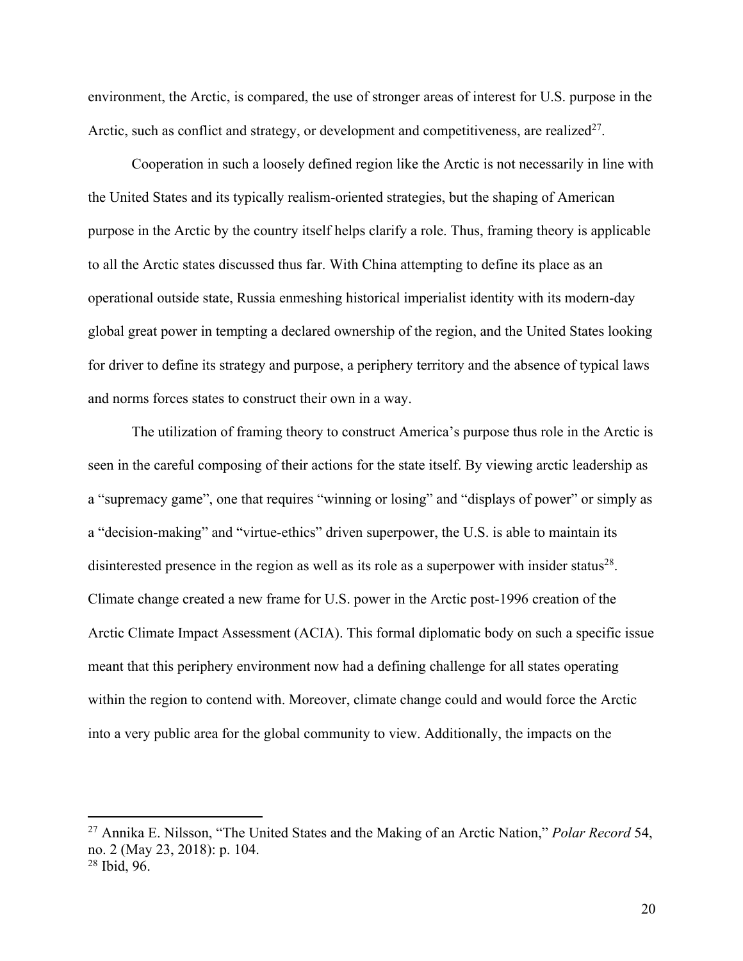environment, the Arctic, is compared, the use of stronger areas of interest for U.S. purpose in the Arctic, such as conflict and strategy, or development and competitiveness, are realized<sup>27</sup>.

Cooperation in such a loosely defined region like the Arctic is not necessarily in line with the United States and its typically realism-oriented strategies, but the shaping of American purpose in the Arctic by the country itself helps clarify a role. Thus, framing theory is applicable to all the Arctic states discussed thus far. With China attempting to define its place as an operational outside state, Russia enmeshing historical imperialist identity with its modern-day global great power in tempting a declared ownership of the region, and the United States looking for driver to define its strategy and purpose, a periphery territory and the absence of typical laws and norms forces states to construct their own in a way.

The utilization of framing theory to construct America's purpose thus role in the Arctic is seen in the careful composing of their actions for the state itself. By viewing arctic leadership as a "supremacy game", one that requires "winning or losing" and "displays of power" or simply as a "decision-making" and "virtue-ethics" driven superpower, the U.S. is able to maintain its disinterested presence in the region as well as its role as a superpower with insider status $^{28}$ . Climate change created a new frame for U.S. power in the Arctic post-1996 creation of the Arctic Climate Impact Assessment (ACIA). This formal diplomatic body on such a specific issue meant that this periphery environment now had a defining challenge for all states operating within the region to contend with. Moreover, climate change could and would force the Arctic into a very public area for the global community to view. Additionally, the impacts on the

<sup>27</sup> Annika E. Nilsson, "The United States and the Making of an Arctic Nation," *Polar Record* 54, no. 2 (May 23, 2018): p. 104. <sup>28</sup> Ibid, 96.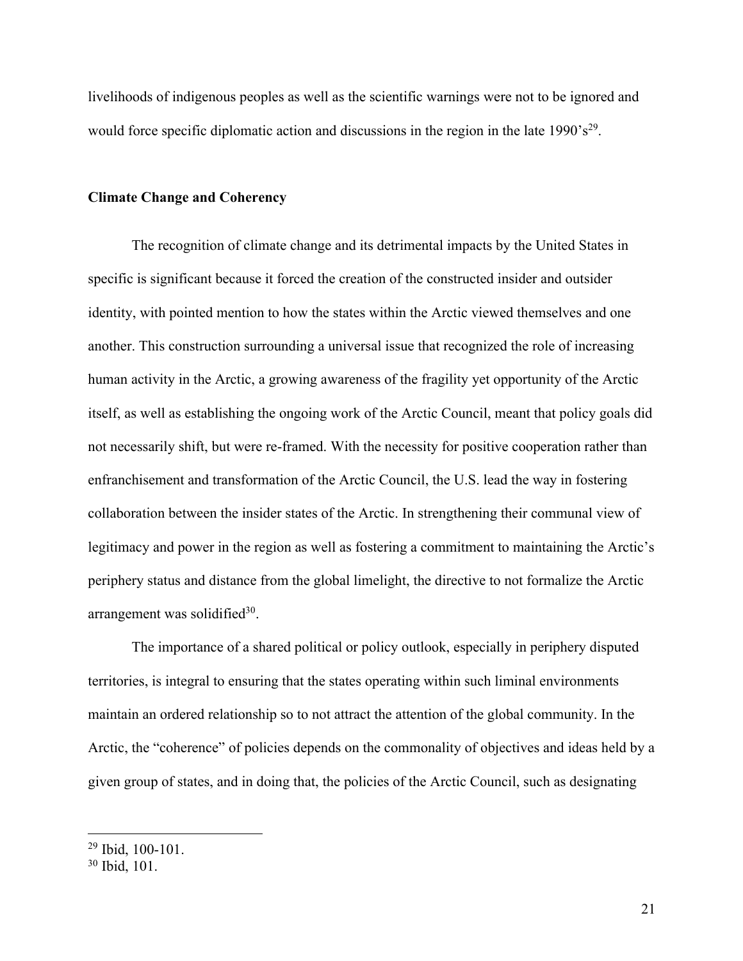livelihoods of indigenous peoples as well as the scientific warnings were not to be ignored and would force specific diplomatic action and discussions in the region in the late  $1990 \text{°s}^{29}$ .

#### **Climate Change and Coherency**

The recognition of climate change and its detrimental impacts by the United States in specific is significant because it forced the creation of the constructed insider and outsider identity, with pointed mention to how the states within the Arctic viewed themselves and one another. This construction surrounding a universal issue that recognized the role of increasing human activity in the Arctic, a growing awareness of the fragility yet opportunity of the Arctic itself, as well as establishing the ongoing work of the Arctic Council, meant that policy goals did not necessarily shift, but were re-framed. With the necessity for positive cooperation rather than enfranchisement and transformation of the Arctic Council, the U.S. lead the way in fostering collaboration between the insider states of the Arctic. In strengthening their communal view of legitimacy and power in the region as well as fostering a commitment to maintaining the Arctic's periphery status and distance from the global limelight, the directive to not formalize the Arctic arrangement was solidified $30$ .

The importance of a shared political or policy outlook, especially in periphery disputed territories, is integral to ensuring that the states operating within such liminal environments maintain an ordered relationship so to not attract the attention of the global community. In the Arctic, the "coherence" of policies depends on the commonality of objectives and ideas held by a given group of states, and in doing that, the policies of the Arctic Council, such as designating

<sup>29</sup> Ibid, 100-101.

<sup>30</sup> Ibid, 101.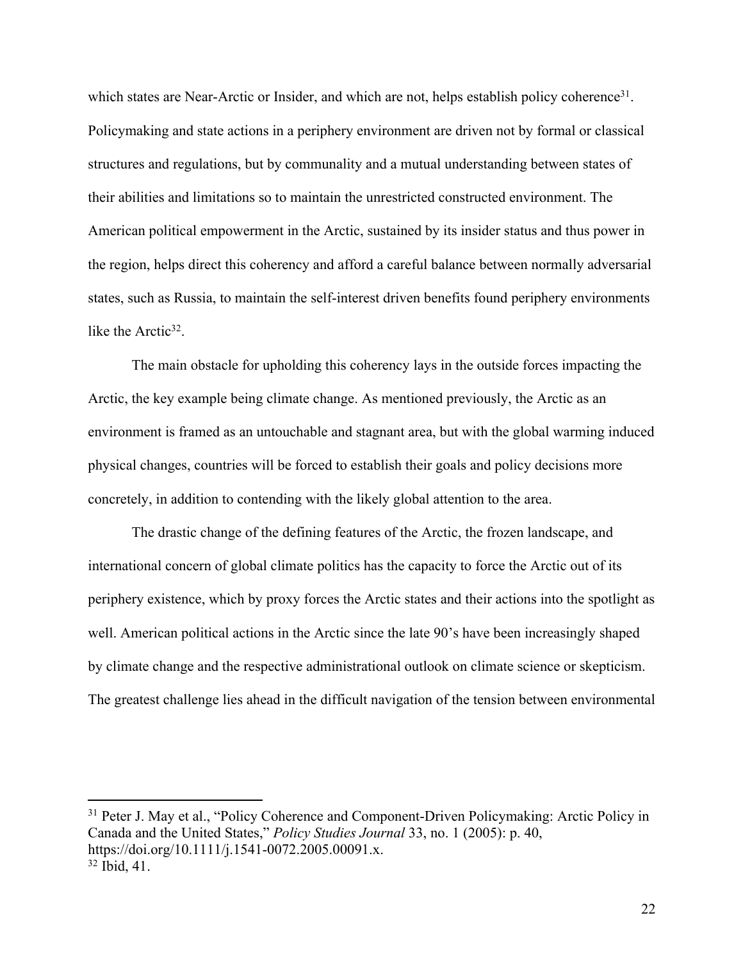which states are Near-Arctic or Insider, and which are not, helps establish policy coherence<sup>31</sup>. Policymaking and state actions in a periphery environment are driven not by formal or classical structures and regulations, but by communality and a mutual understanding between states of their abilities and limitations so to maintain the unrestricted constructed environment. The American political empowerment in the Arctic, sustained by its insider status and thus power in the region, helps direct this coherency and afford a careful balance between normally adversarial states, such as Russia, to maintain the self-interest driven benefits found periphery environments like the Arctic $32$ .

The main obstacle for upholding this coherency lays in the outside forces impacting the Arctic, the key example being climate change. As mentioned previously, the Arctic as an environment is framed as an untouchable and stagnant area, but with the global warming induced physical changes, countries will be forced to establish their goals and policy decisions more concretely, in addition to contending with the likely global attention to the area.

The drastic change of the defining features of the Arctic, the frozen landscape, and international concern of global climate politics has the capacity to force the Arctic out of its periphery existence, which by proxy forces the Arctic states and their actions into the spotlight as well. American political actions in the Arctic since the late 90's have been increasingly shaped by climate change and the respective administrational outlook on climate science or skepticism. The greatest challenge lies ahead in the difficult navigation of the tension between environmental

<sup>&</sup>lt;sup>31</sup> Peter J. May et al., "Policy Coherence and Component-Driven Policymaking: Arctic Policy in Canada and the United States," *Policy Studies Journal* 33, no. 1 (2005): p. 40, https://doi.org/10.1111/j.1541-0072.2005.00091.x. <sup>32</sup> Ibid, 41.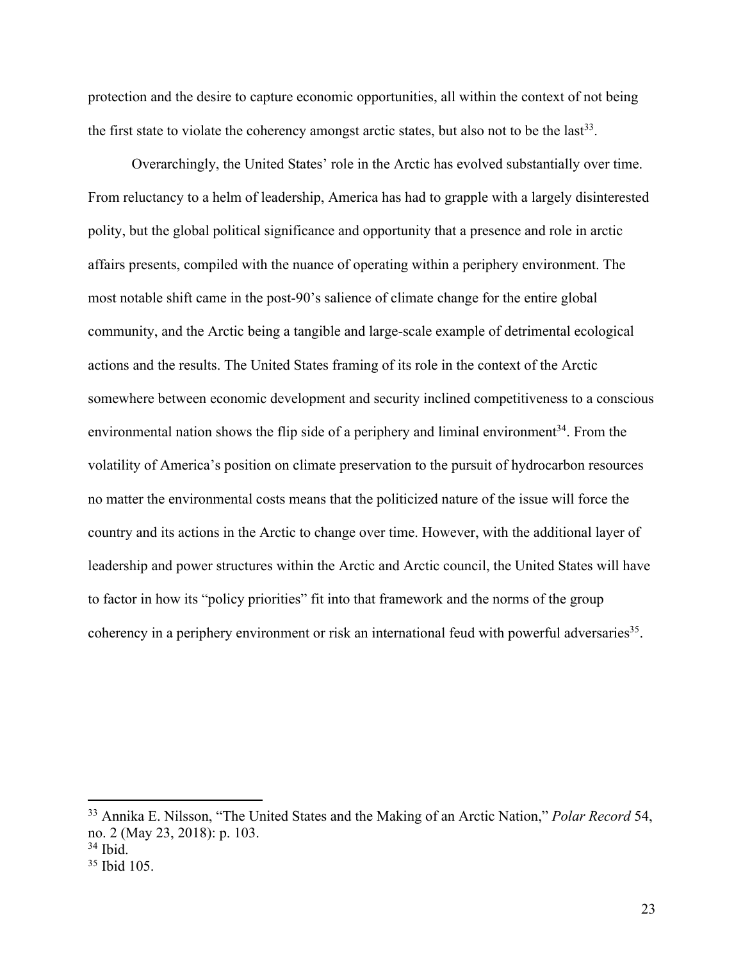protection and the desire to capture economic opportunities, all within the context of not being the first state to violate the coherency amongst arctic states, but also not to be the last<sup>33</sup>.

Overarchingly, the United States' role in the Arctic has evolved substantially over time. From reluctancy to a helm of leadership, America has had to grapple with a largely disinterested polity, but the global political significance and opportunity that a presence and role in arctic affairs presents, compiled with the nuance of operating within a periphery environment. The most notable shift came in the post-90's salience of climate change for the entire global community, and the Arctic being a tangible and large-scale example of detrimental ecological actions and the results. The United States framing of its role in the context of the Arctic somewhere between economic development and security inclined competitiveness to a conscious environmental nation shows the flip side of a periphery and liminal environment<sup>34</sup>. From the volatility of America's position on climate preservation to the pursuit of hydrocarbon resources no matter the environmental costs means that the politicized nature of the issue will force the country and its actions in the Arctic to change over time. However, with the additional layer of leadership and power structures within the Arctic and Arctic council, the United States will have to factor in how its "policy priorities" fit into that framework and the norms of the group coherency in a periphery environment or risk an international feud with powerful adversaries<sup>35</sup>.

<sup>33</sup> Annika E. Nilsson, "The United States and the Making of an Arctic Nation," *Polar Record* 54, no. 2 (May 23, 2018): p. 103.

<sup>34</sup> Ibid.

<sup>35</sup> Ibid 105.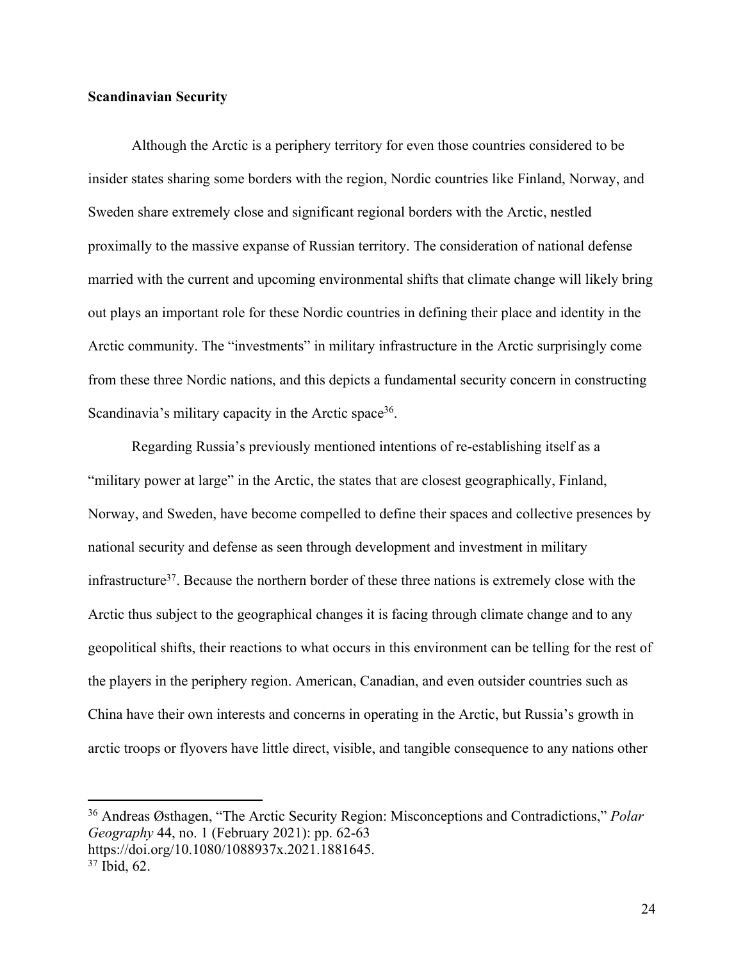# **Scandinavian Security**

Although the Arctic is a periphery territory for even those countries considered to be insider states sharing some borders with the region, Nordic countries like Finland, Norway, and Sweden share extremely close and significant regional borders with the Arctic, nestled proximally to the massive expanse of Russian territory. The consideration of national defense married with the current and upcoming environmental shifts that climate change will likely bring out plays an important role for these Nordic countries in defining their place and identity in the Arctic community. The "investments" in military infrastructure in the Arctic surprisingly come from these three Nordic nations, and this depicts a fundamental security concern in constructing Scandinavia's military capacity in the Arctic space<sup>36</sup>.

Regarding Russia's previously mentioned intentions of re-establishing itself as a "military power at large" in the Arctic, the states that are closest geographically, Finland, Norway, and Sweden, have become compelled to define their spaces and collective presences by national security and defense as seen through development and investment in military infrastructure<sup>37</sup>. Because the northern border of these three nations is extremely close with the Arctic thus subject to the geographical changes it is facing through climate change and to any geopolitical shifts, their reactions to what occurs in this environment can be telling for the rest of the players in the periphery region. American, Canadian, and even outsider countries such as China have their own interests and concerns in operating in the Arctic, but Russia's growth in arctic troops or flyovers have little direct, visible, and tangible consequence to any nations other

<sup>36</sup> Andreas Østhagen, "The Arctic Security Region: Misconceptions and Contradictions," *Polar Geography* 44, no. 1 (February 2021): pp. 62-63

https://doi.org/10.1080/1088937x.2021.1881645.

<sup>37</sup> Ibid, 62.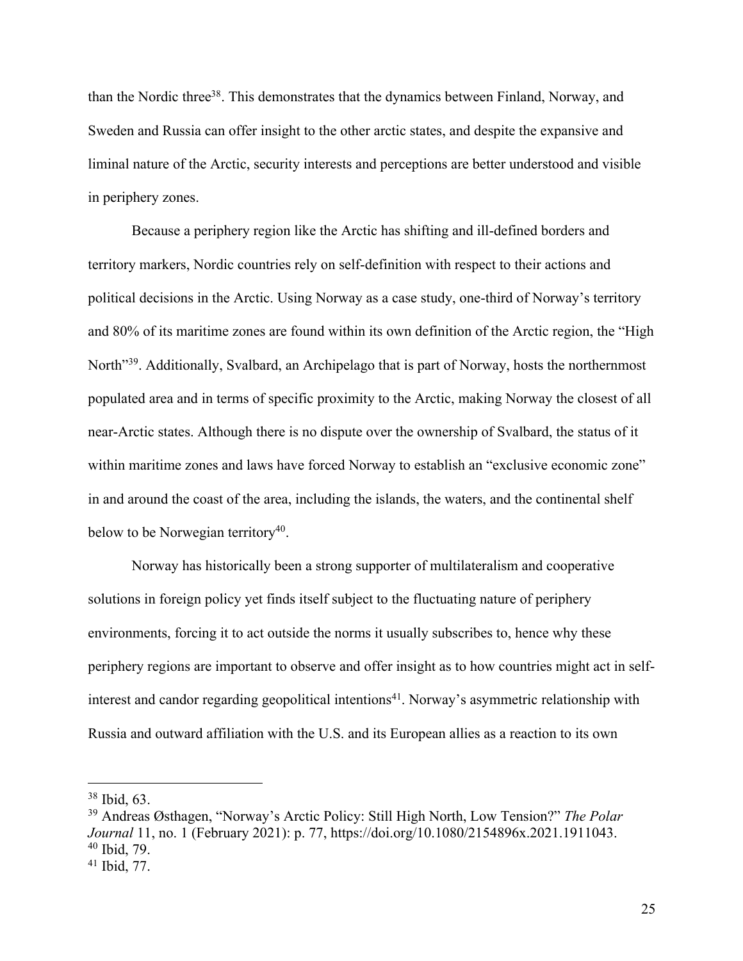than the Nordic three<sup>38</sup>. This demonstrates that the dynamics between Finland, Norway, and Sweden and Russia can offer insight to the other arctic states, and despite the expansive and liminal nature of the Arctic, security interests and perceptions are better understood and visible in periphery zones.

Because a periphery region like the Arctic has shifting and ill-defined borders and territory markers, Nordic countries rely on self-definition with respect to their actions and political decisions in the Arctic. Using Norway as a case study, one-third of Norway's territory and 80% of its maritime zones are found within its own definition of the Arctic region, the "High North<sup>"39</sup>. Additionally, Svalbard, an Archipelago that is part of Norway, hosts the northernmost populated area and in terms of specific proximity to the Arctic, making Norway the closest of all near-Arctic states. Although there is no dispute over the ownership of Svalbard, the status of it within maritime zones and laws have forced Norway to establish an "exclusive economic zone" in and around the coast of the area, including the islands, the waters, and the continental shelf below to be Norwegian territory $40$ .

Norway has historically been a strong supporter of multilateralism and cooperative solutions in foreign policy yet finds itself subject to the fluctuating nature of periphery environments, forcing it to act outside the norms it usually subscribes to, hence why these periphery regions are important to observe and offer insight as to how countries might act in selfinterest and candor regarding geopolitical intentions<sup>41</sup>. Norway's asymmetric relationship with Russia and outward affiliation with the U.S. and its European allies as a reaction to its own

<sup>38</sup> Ibid, 63.

<sup>39</sup> Andreas Østhagen, "Norway's Arctic Policy: Still High North, Low Tension?" *The Polar Journal* 11, no. 1 (February 2021): p. 77, https://doi.org/10.1080/2154896x.2021.1911043. <sup>40</sup> Ibid, 79.

<sup>41</sup> Ibid, 77.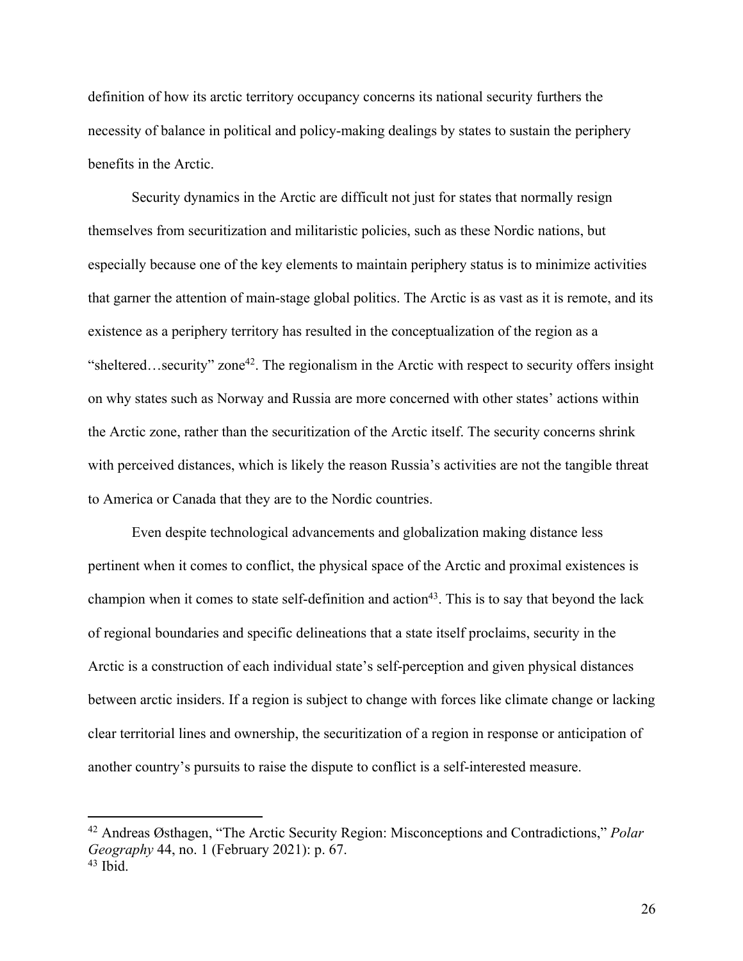definition of how its arctic territory occupancy concerns its national security furthers the necessity of balance in political and policy-making dealings by states to sustain the periphery benefits in the Arctic.

Security dynamics in the Arctic are difficult not just for states that normally resign themselves from securitization and militaristic policies, such as these Nordic nations, but especially because one of the key elements to maintain periphery status is to minimize activities that garner the attention of main-stage global politics. The Arctic is as vast as it is remote, and its existence as a periphery territory has resulted in the conceptualization of the region as a "sheltered...security" zone<sup>42</sup>. The regionalism in the Arctic with respect to security offers insight on why states such as Norway and Russia are more concerned with other states' actions within the Arctic zone, rather than the securitization of the Arctic itself. The security concerns shrink with perceived distances, which is likely the reason Russia's activities are not the tangible threat to America or Canada that they are to the Nordic countries.

Even despite technological advancements and globalization making distance less pertinent when it comes to conflict, the physical space of the Arctic and proximal existences is champion when it comes to state self-definition and action<sup>43</sup>. This is to say that beyond the lack of regional boundaries and specific delineations that a state itself proclaims, security in the Arctic is a construction of each individual state's self-perception and given physical distances between arctic insiders. If a region is subject to change with forces like climate change or lacking clear territorial lines and ownership, the securitization of a region in response or anticipation of another country's pursuits to raise the dispute to conflict is a self-interested measure.

<sup>42</sup> Andreas Østhagen, "The Arctic Security Region: Misconceptions and Contradictions," *Polar Geography* 44, no. 1 (February 2021): p. 67.  $43$  Ibid.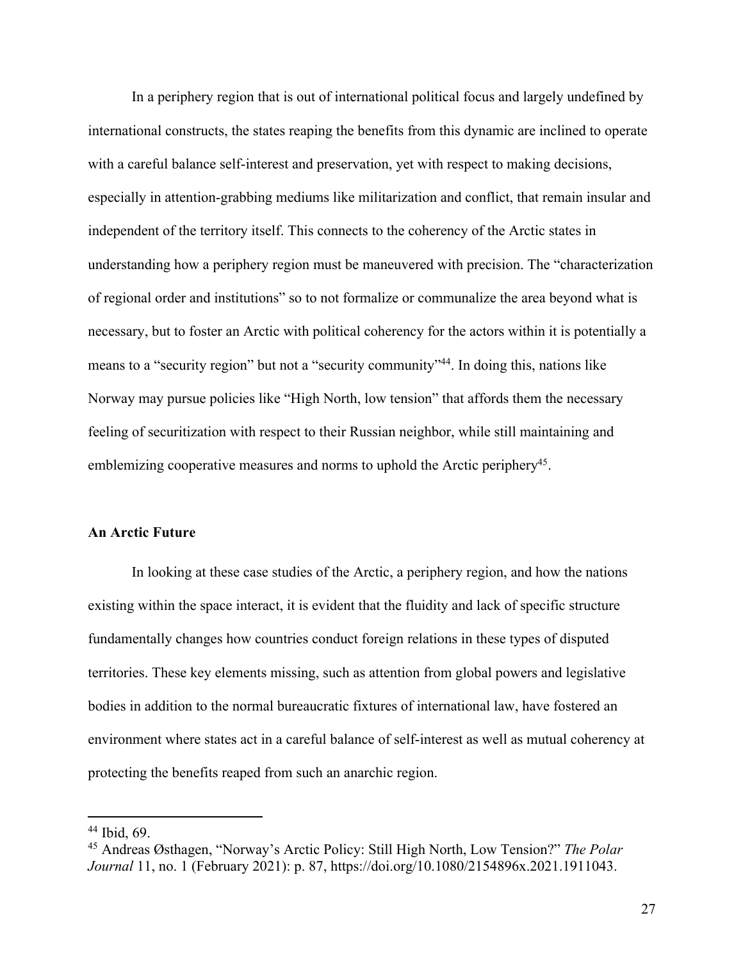In a periphery region that is out of international political focus and largely undefined by international constructs, the states reaping the benefits from this dynamic are inclined to operate with a careful balance self-interest and preservation, yet with respect to making decisions, especially in attention-grabbing mediums like militarization and conflict, that remain insular and independent of the territory itself. This connects to the coherency of the Arctic states in understanding how a periphery region must be maneuvered with precision. The "characterization of regional order and institutions" so to not formalize or communalize the area beyond what is necessary, but to foster an Arctic with political coherency for the actors within it is potentially a means to a "security region" but not a "security community"<sup>44</sup>. In doing this, nations like Norway may pursue policies like "High North, low tension" that affords them the necessary feeling of securitization with respect to their Russian neighbor, while still maintaining and emblemizing cooperative measures and norms to uphold the Arctic periphery<sup>45</sup>.

#### **An Arctic Future**

In looking at these case studies of the Arctic, a periphery region, and how the nations existing within the space interact, it is evident that the fluidity and lack of specific structure fundamentally changes how countries conduct foreign relations in these types of disputed territories. These key elements missing, such as attention from global powers and legislative bodies in addition to the normal bureaucratic fixtures of international law, have fostered an environment where states act in a careful balance of self-interest as well as mutual coherency at protecting the benefits reaped from such an anarchic region.

27

<sup>44</sup> Ibid, 69.

<sup>45</sup> Andreas Østhagen, "Norway's Arctic Policy: Still High North, Low Tension?" *The Polar Journal* 11, no. 1 (February 2021): p. 87, https://doi.org/10.1080/2154896x.2021.1911043.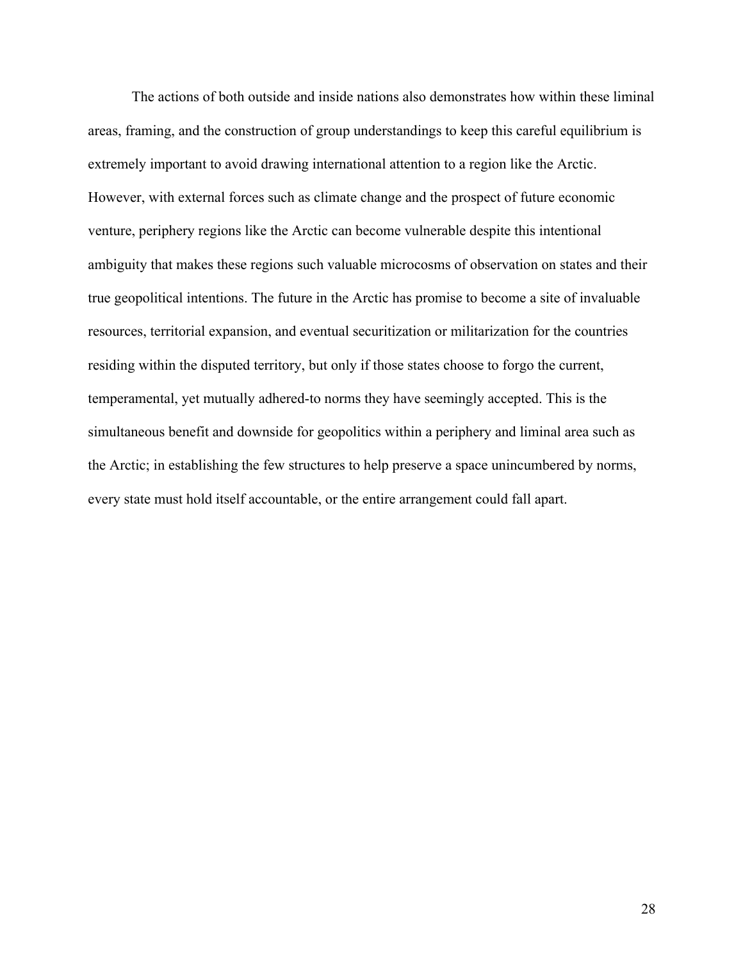The actions of both outside and inside nations also demonstrates how within these liminal areas, framing, and the construction of group understandings to keep this careful equilibrium is extremely important to avoid drawing international attention to a region like the Arctic. However, with external forces such as climate change and the prospect of future economic venture, periphery regions like the Arctic can become vulnerable despite this intentional ambiguity that makes these regions such valuable microcosms of observation on states and their true geopolitical intentions. The future in the Arctic has promise to become a site of invaluable resources, territorial expansion, and eventual securitization or militarization for the countries residing within the disputed territory, but only if those states choose to forgo the current, temperamental, yet mutually adhered-to norms they have seemingly accepted. This is the simultaneous benefit and downside for geopolitics within a periphery and liminal area such as the Arctic; in establishing the few structures to help preserve a space unincumbered by norms, every state must hold itself accountable, or the entire arrangement could fall apart.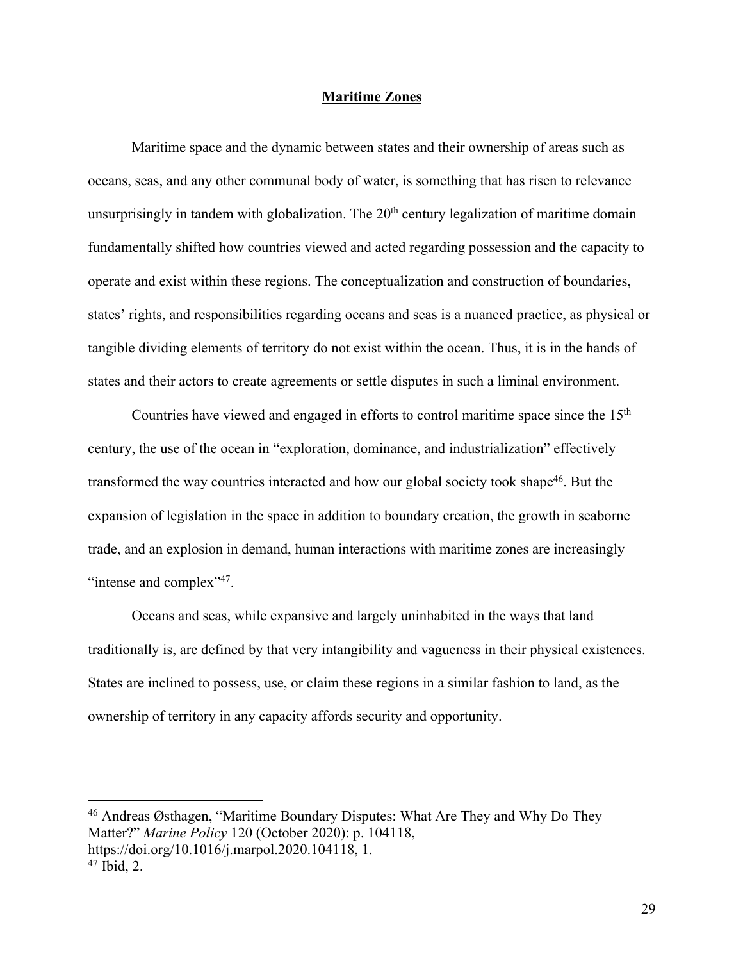# **Maritime Zones**

Maritime space and the dynamic between states and their ownership of areas such as oceans, seas, and any other communal body of water, is something that has risen to relevance unsurprisingly in tandem with globalization. The  $20<sup>th</sup>$  century legalization of maritime domain fundamentally shifted how countries viewed and acted regarding possession and the capacity to operate and exist within these regions. The conceptualization and construction of boundaries, states' rights, and responsibilities regarding oceans and seas is a nuanced practice, as physical or tangible dividing elements of territory do not exist within the ocean. Thus, it is in the hands of states and their actors to create agreements or settle disputes in such a liminal environment.

Countries have viewed and engaged in efforts to control maritime space since the 15<sup>th</sup> century, the use of the ocean in "exploration, dominance, and industrialization" effectively transformed the way countries interacted and how our global society took shape<sup>46</sup>. But the expansion of legislation in the space in addition to boundary creation, the growth in seaborne trade, and an explosion in demand, human interactions with maritime zones are increasingly "intense and complex"<sup>47</sup>.

Oceans and seas, while expansive and largely uninhabited in the ways that land traditionally is, are defined by that very intangibility and vagueness in their physical existences. States are inclined to possess, use, or claim these regions in a similar fashion to land, as the ownership of territory in any capacity affords security and opportunity.

<sup>46</sup> Andreas Østhagen, "Maritime Boundary Disputes: What Are They and Why Do They Matter?" *Marine Policy* 120 (October 2020): p. 104118, https://doi.org/10.1016/j.marpol.2020.104118, 1.  $47$  Ibid, 2.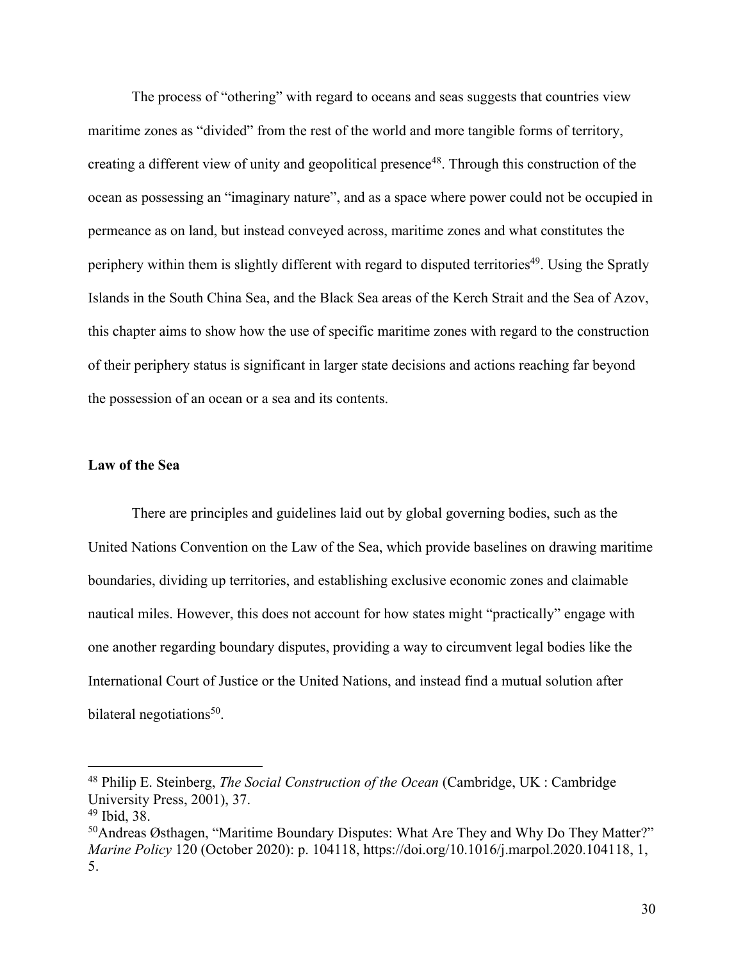The process of "othering" with regard to oceans and seas suggests that countries view maritime zones as "divided" from the rest of the world and more tangible forms of territory, creating a different view of unity and geopolitical presence48. Through this construction of the ocean as possessing an "imaginary nature", and as a space where power could not be occupied in permeance as on land, but instead conveyed across, maritime zones and what constitutes the periphery within them is slightly different with regard to disputed territories<sup>49</sup>. Using the Spratly Islands in the South China Sea, and the Black Sea areas of the Kerch Strait and the Sea of Azov, this chapter aims to show how the use of specific maritime zones with regard to the construction of their periphery status is significant in larger state decisions and actions reaching far beyond the possession of an ocean or a sea and its contents.

# **Law of the Sea**

There are principles and guidelines laid out by global governing bodies, such as the United Nations Convention on the Law of the Sea, which provide baselines on drawing maritime boundaries, dividing up territories, and establishing exclusive economic zones and claimable nautical miles. However, this does not account for how states might "practically" engage with one another regarding boundary disputes, providing a way to circumvent legal bodies like the International Court of Justice or the United Nations, and instead find a mutual solution after bilateral negotiations<sup>50</sup>.

<sup>48</sup> Philip E. Steinberg, *The Social Construction of the Ocean* (Cambridge, UK : Cambridge University Press, 2001), 37.

<sup>49</sup> Ibid, 38.

<sup>&</sup>lt;sup>50</sup>Andreas Østhagen, "Maritime Boundary Disputes: What Are They and Why Do They Matter?" *Marine Policy* 120 (October 2020): p. 104118, https://doi.org/10.1016/j.marpol.2020.104118, 1, 5.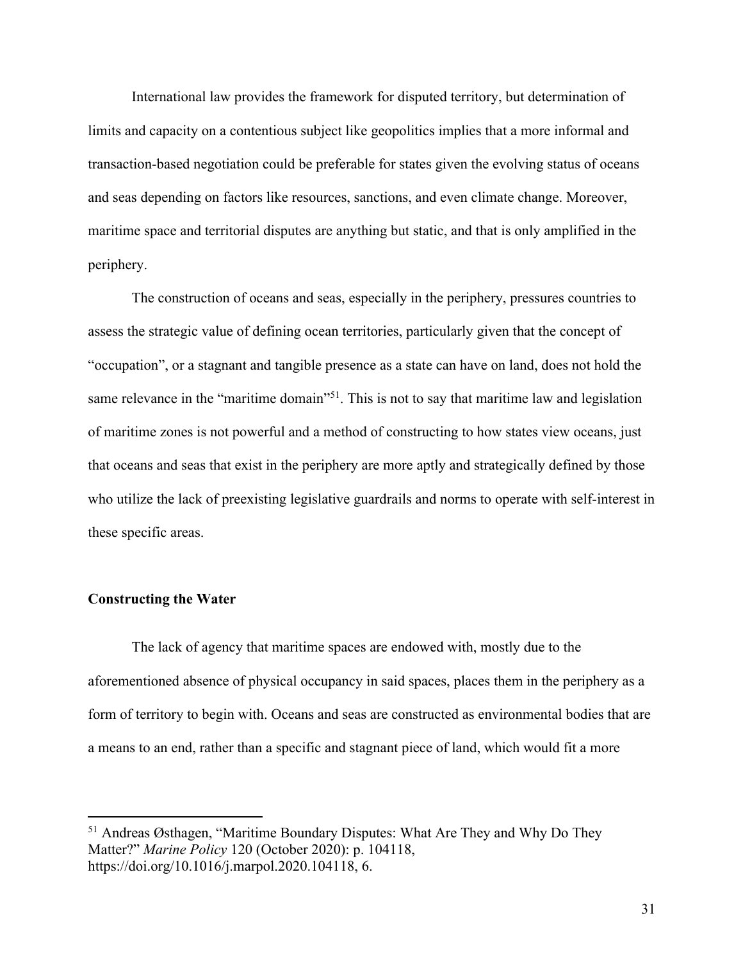International law provides the framework for disputed territory, but determination of limits and capacity on a contentious subject like geopolitics implies that a more informal and transaction-based negotiation could be preferable for states given the evolving status of oceans and seas depending on factors like resources, sanctions, and even climate change. Moreover, maritime space and territorial disputes are anything but static, and that is only amplified in the periphery.

The construction of oceans and seas, especially in the periphery, pressures countries to assess the strategic value of defining ocean territories, particularly given that the concept of "occupation", or a stagnant and tangible presence as a state can have on land, does not hold the same relevance in the "maritime domain"<sup>51</sup>. This is not to say that maritime law and legislation of maritime zones is not powerful and a method of constructing to how states view oceans, just that oceans and seas that exist in the periphery are more aptly and strategically defined by those who utilize the lack of preexisting legislative guardrails and norms to operate with self-interest in these specific areas.

# **Constructing the Water**

The lack of agency that maritime spaces are endowed with, mostly due to the aforementioned absence of physical occupancy in said spaces, places them in the periphery as a form of territory to begin with. Oceans and seas are constructed as environmental bodies that are a means to an end, rather than a specific and stagnant piece of land, which would fit a more

<sup>51</sup> Andreas Østhagen, "Maritime Boundary Disputes: What Are They and Why Do They Matter?" *Marine Policy* 120 (October 2020): p. 104118, https://doi.org/10.1016/j.marpol.2020.104118, 6.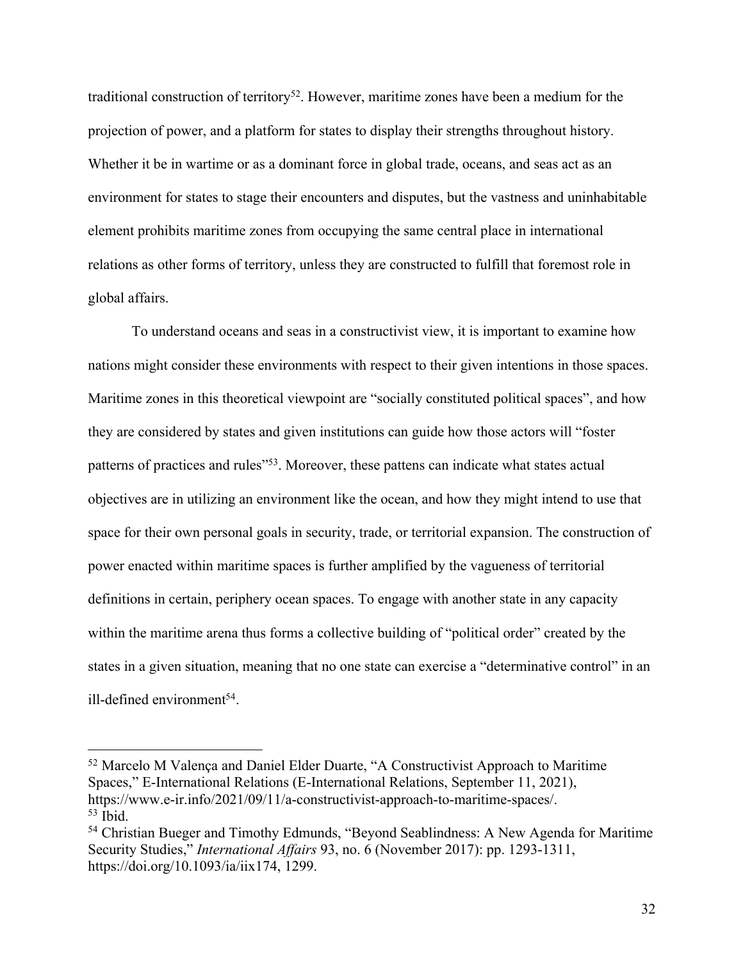traditional construction of territory<sup>52</sup>. However, maritime zones have been a medium for the projection of power, and a platform for states to display their strengths throughout history. Whether it be in wartime or as a dominant force in global trade, oceans, and seas act as an environment for states to stage their encounters and disputes, but the vastness and uninhabitable element prohibits maritime zones from occupying the same central place in international relations as other forms of territory, unless they are constructed to fulfill that foremost role in global affairs.

To understand oceans and seas in a constructivist view, it is important to examine how nations might consider these environments with respect to their given intentions in those spaces. Maritime zones in this theoretical viewpoint are "socially constituted political spaces", and how they are considered by states and given institutions can guide how those actors will "foster patterns of practices and rules"53. Moreover, these pattens can indicate what states actual objectives are in utilizing an environment like the ocean, and how they might intend to use that space for their own personal goals in security, trade, or territorial expansion. The construction of power enacted within maritime spaces is further amplified by the vagueness of territorial definitions in certain, periphery ocean spaces. To engage with another state in any capacity within the maritime arena thus forms a collective building of "political order" created by the states in a given situation, meaning that no one state can exercise a "determinative control" in an ill-defined environment<sup>54</sup>.

<sup>52</sup> Marcelo M Valença and Daniel Elder Duarte, "A Constructivist Approach to Maritime Spaces," E-International Relations (E-International Relations, September 11, 2021), https://www.e-ir.info/2021/09/11/a-constructivist-approach-to-maritime-spaces/. <sup>53</sup> Ibid.

<sup>&</sup>lt;sup>54</sup> Christian Bueger and Timothy Edmunds, "Beyond Seablindness: A New Agenda for Maritime Security Studies," *International Affairs* 93, no. 6 (November 2017): pp. 1293-1311, https://doi.org/10.1093/ia/iix174, 1299.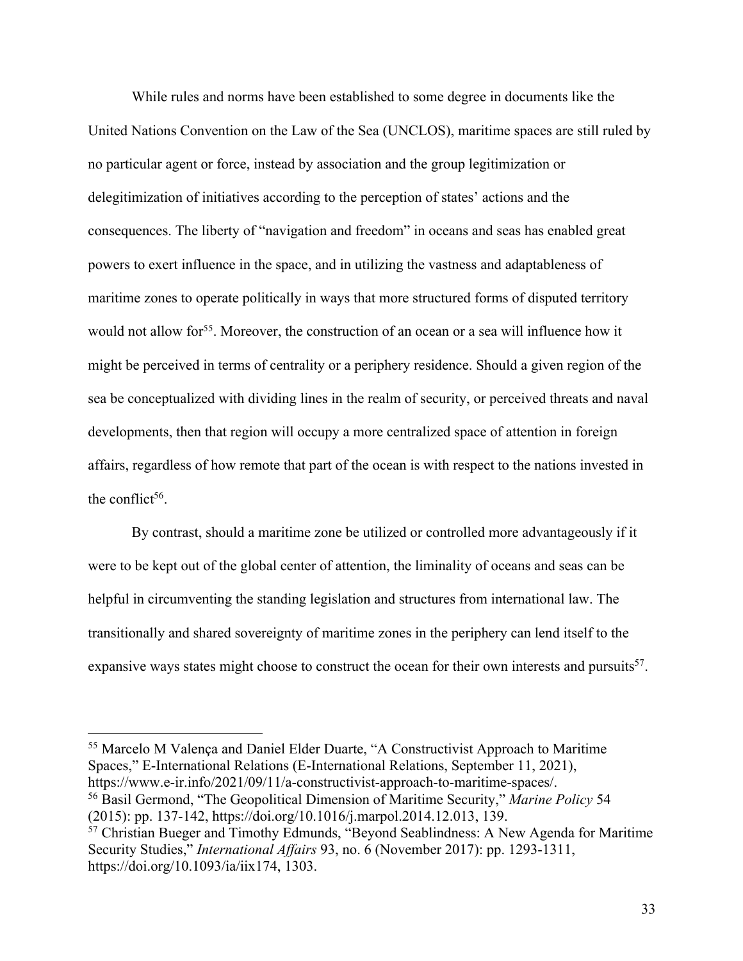While rules and norms have been established to some degree in documents like the United Nations Convention on the Law of the Sea (UNCLOS), maritime spaces are still ruled by no particular agent or force, instead by association and the group legitimization or delegitimization of initiatives according to the perception of states' actions and the consequences. The liberty of "navigation and freedom" in oceans and seas has enabled great powers to exert influence in the space, and in utilizing the vastness and adaptableness of maritime zones to operate politically in ways that more structured forms of disputed territory would not allow for<sup>55</sup>. Moreover, the construction of an ocean or a sea will influence how it might be perceived in terms of centrality or a periphery residence. Should a given region of the sea be conceptualized with dividing lines in the realm of security, or perceived threats and naval developments, then that region will occupy a more centralized space of attention in foreign affairs, regardless of how remote that part of the ocean is with respect to the nations invested in the conflict<sup>56</sup>.

By contrast, should a maritime zone be utilized or controlled more advantageously if it were to be kept out of the global center of attention, the liminality of oceans and seas can be helpful in circumventing the standing legislation and structures from international law. The transitionally and shared sovereignty of maritime zones in the periphery can lend itself to the expansive ways states might choose to construct the ocean for their own interests and pursuits<sup>57</sup>.

<sup>55</sup> Marcelo M Valença and Daniel Elder Duarte, "A Constructivist Approach to Maritime Spaces," E-International Relations (E-International Relations, September 11, 2021), https://www.e-ir.info/2021/09/11/a-constructivist-approach-to-maritime-spaces/.

<sup>56</sup> Basil Germond, "The Geopolitical Dimension of Maritime Security," *Marine Policy* 54 (2015): pp. 137-142, https://doi.org/10.1016/j.marpol.2014.12.013, 139.

<sup>57</sup> Christian Bueger and Timothy Edmunds, "Beyond Seablindness: A New Agenda for Maritime Security Studies," *International Affairs* 93, no. 6 (November 2017): pp. 1293-1311, https://doi.org/10.1093/ia/iix174, 1303.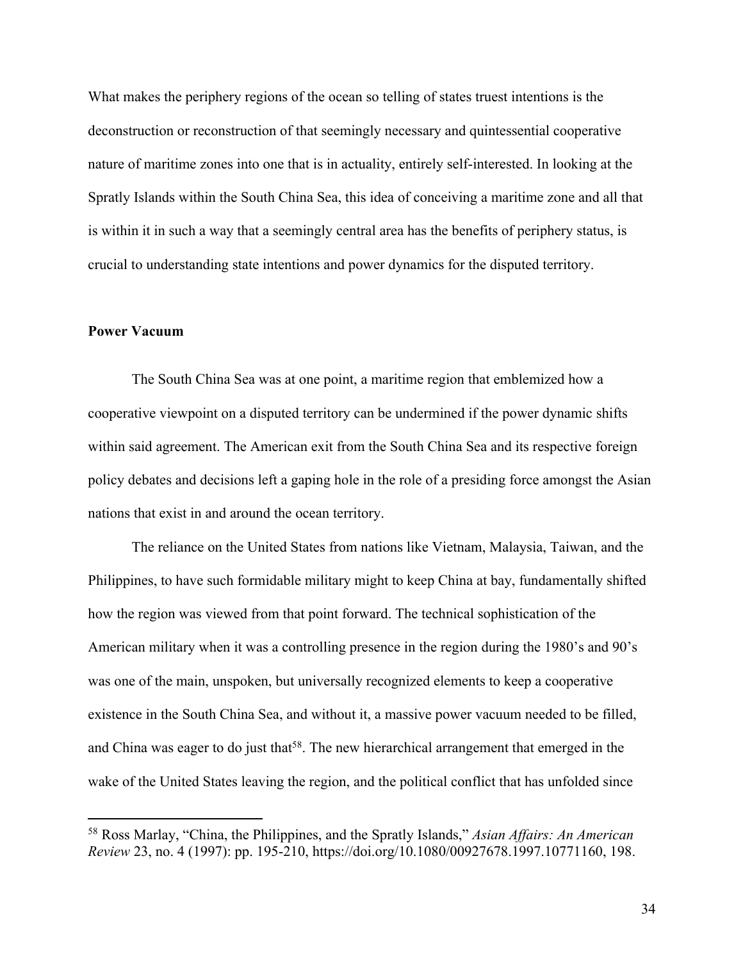What makes the periphery regions of the ocean so telling of states truest intentions is the deconstruction or reconstruction of that seemingly necessary and quintessential cooperative nature of maritime zones into one that is in actuality, entirely self-interested. In looking at the Spratly Islands within the South China Sea, this idea of conceiving a maritime zone and all that is within it in such a way that a seemingly central area has the benefits of periphery status, is crucial to understanding state intentions and power dynamics for the disputed territory.

### **Power Vacuum**

The South China Sea was at one point, a maritime region that emblemized how a cooperative viewpoint on a disputed territory can be undermined if the power dynamic shifts within said agreement. The American exit from the South China Sea and its respective foreign policy debates and decisions left a gaping hole in the role of a presiding force amongst the Asian nations that exist in and around the ocean territory.

The reliance on the United States from nations like Vietnam, Malaysia, Taiwan, and the Philippines, to have such formidable military might to keep China at bay, fundamentally shifted how the region was viewed from that point forward. The technical sophistication of the American military when it was a controlling presence in the region during the 1980's and 90's was one of the main, unspoken, but universally recognized elements to keep a cooperative existence in the South China Sea, and without it, a massive power vacuum needed to be filled, and China was eager to do just that<sup>58</sup>. The new hierarchical arrangement that emerged in the wake of the United States leaving the region, and the political conflict that has unfolded since

<sup>58</sup> Ross Marlay, "China, the Philippines, and the Spratly Islands," *Asian Affairs: An American Review* 23, no. 4 (1997): pp. 195-210, https://doi.org/10.1080/00927678.1997.10771160, 198.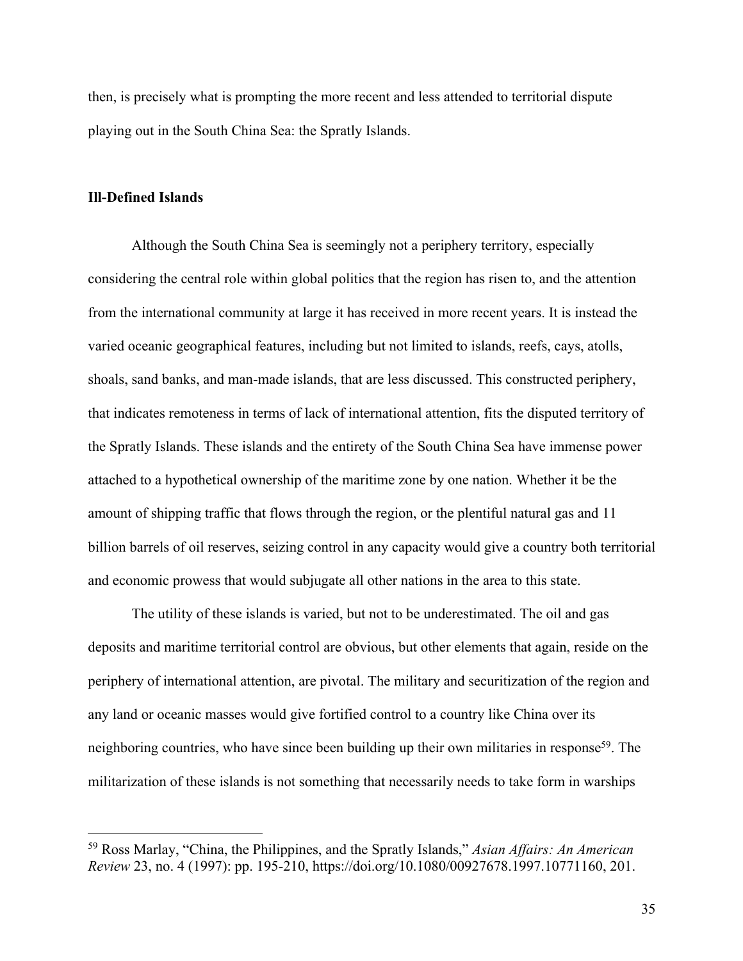then, is precisely what is prompting the more recent and less attended to territorial dispute playing out in the South China Sea: the Spratly Islands.

## **Ill-Defined Islands**

Although the South China Sea is seemingly not a periphery territory, especially considering the central role within global politics that the region has risen to, and the attention from the international community at large it has received in more recent years. It is instead the varied oceanic geographical features, including but not limited to islands, reefs, cays, atolls, shoals, sand banks, and man-made islands, that are less discussed. This constructed periphery, that indicates remoteness in terms of lack of international attention, fits the disputed territory of the Spratly Islands. These islands and the entirety of the South China Sea have immense power attached to a hypothetical ownership of the maritime zone by one nation. Whether it be the amount of shipping traffic that flows through the region, or the plentiful natural gas and 11 billion barrels of oil reserves, seizing control in any capacity would give a country both territorial and economic prowess that would subjugate all other nations in the area to this state.

The utility of these islands is varied, but not to be underestimated. The oil and gas deposits and maritime territorial control are obvious, but other elements that again, reside on the periphery of international attention, are pivotal. The military and securitization of the region and any land or oceanic masses would give fortified control to a country like China over its neighboring countries, who have since been building up their own militaries in response<sup>59</sup>. The militarization of these islands is not something that necessarily needs to take form in warships

<sup>59</sup> Ross Marlay, "China, the Philippines, and the Spratly Islands," *Asian Affairs: An American Review* 23, no. 4 (1997): pp. 195-210, https://doi.org/10.1080/00927678.1997.10771160, 201.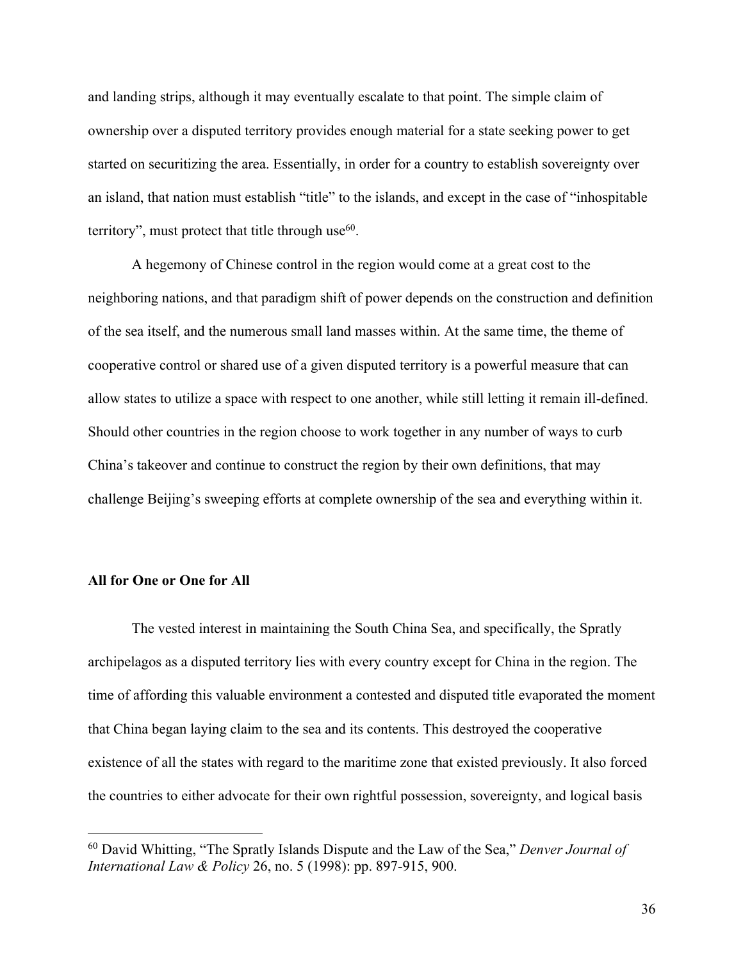and landing strips, although it may eventually escalate to that point. The simple claim of ownership over a disputed territory provides enough material for a state seeking power to get started on securitizing the area. Essentially, in order for a country to establish sovereignty over an island, that nation must establish "title" to the islands, and except in the case of "inhospitable territory", must protect that title through use $66$ .

A hegemony of Chinese control in the region would come at a great cost to the neighboring nations, and that paradigm shift of power depends on the construction and definition of the sea itself, and the numerous small land masses within. At the same time, the theme of cooperative control or shared use of a given disputed territory is a powerful measure that can allow states to utilize a space with respect to one another, while still letting it remain ill-defined. Should other countries in the region choose to work together in any number of ways to curb China's takeover and continue to construct the region by their own definitions, that may challenge Beijing's sweeping efforts at complete ownership of the sea and everything within it.

# **All for One or One for All**

The vested interest in maintaining the South China Sea, and specifically, the Spratly archipelagos as a disputed territory lies with every country except for China in the region. The time of affording this valuable environment a contested and disputed title evaporated the moment that China began laying claim to the sea and its contents. This destroyed the cooperative existence of all the states with regard to the maritime zone that existed previously. It also forced the countries to either advocate for their own rightful possession, sovereignty, and logical basis

<sup>60</sup> David Whitting, "The Spratly Islands Dispute and the Law of the Sea," *Denver Journal of International Law & Policy* 26, no. 5 (1998): pp. 897-915, 900.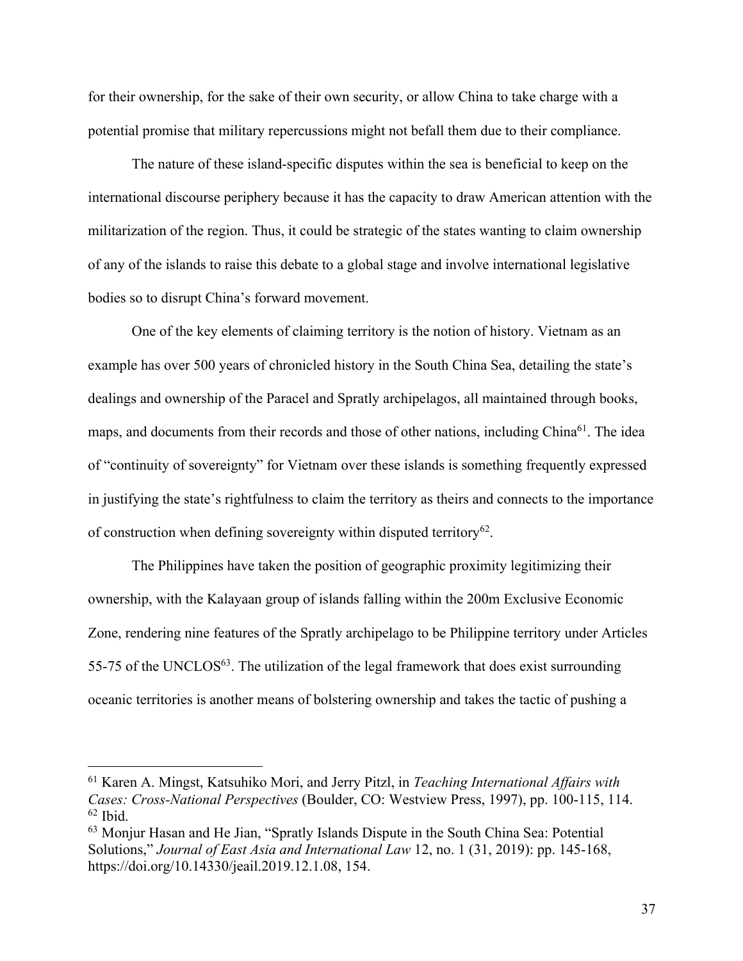for their ownership, for the sake of their own security, or allow China to take charge with a potential promise that military repercussions might not befall them due to their compliance.

The nature of these island-specific disputes within the sea is beneficial to keep on the international discourse periphery because it has the capacity to draw American attention with the militarization of the region. Thus, it could be strategic of the states wanting to claim ownership of any of the islands to raise this debate to a global stage and involve international legislative bodies so to disrupt China's forward movement.

One of the key elements of claiming territory is the notion of history. Vietnam as an example has over 500 years of chronicled history in the South China Sea, detailing the state's dealings and ownership of the Paracel and Spratly archipelagos, all maintained through books, maps, and documents from their records and those of other nations, including China<sup>61</sup>. The idea of "continuity of sovereignty" for Vietnam over these islands is something frequently expressed in justifying the state's rightfulness to claim the territory as theirs and connects to the importance of construction when defining sovereignty within disputed territory<sup>62</sup>.

The Philippines have taken the position of geographic proximity legitimizing their ownership, with the Kalayaan group of islands falling within the 200m Exclusive Economic Zone, rendering nine features of the Spratly archipelago to be Philippine territory under Articles 55-75 of the UNCLOS $^{63}$ . The utilization of the legal framework that does exist surrounding oceanic territories is another means of bolstering ownership and takes the tactic of pushing a

<sup>61</sup> Karen A. Mingst, Katsuhiko Mori, and Jerry Pitzl, in *Teaching International Affairs with Cases: Cross-National Perspectives* (Boulder, CO: Westview Press, 1997), pp. 100-115, 114.  $62$  Ibid.

<sup>63</sup> Monjur Hasan and He Jian, "Spratly Islands Dispute in the South China Sea: Potential Solutions," *Journal of East Asia and International Law* 12, no. 1 (31, 2019): pp. 145-168, https://doi.org/10.14330/jeail.2019.12.1.08, 154.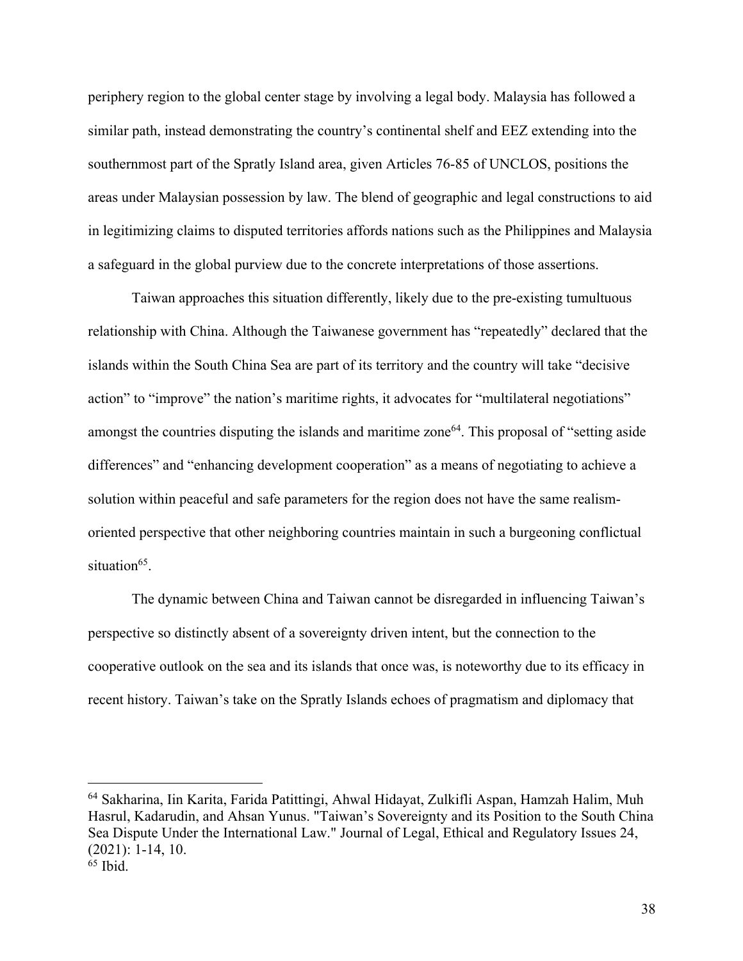periphery region to the global center stage by involving a legal body. Malaysia has followed a similar path, instead demonstrating the country's continental shelf and EEZ extending into the southernmost part of the Spratly Island area, given Articles 76-85 of UNCLOS, positions the areas under Malaysian possession by law. The blend of geographic and legal constructions to aid in legitimizing claims to disputed territories affords nations such as the Philippines and Malaysia a safeguard in the global purview due to the concrete interpretations of those assertions.

Taiwan approaches this situation differently, likely due to the pre-existing tumultuous relationship with China. Although the Taiwanese government has "repeatedly" declared that the islands within the South China Sea are part of its territory and the country will take "decisive action" to "improve" the nation's maritime rights, it advocates for "multilateral negotiations" amongst the countries disputing the islands and maritime zone<sup>64</sup>. This proposal of "setting aside" differences" and "enhancing development cooperation" as a means of negotiating to achieve a solution within peaceful and safe parameters for the region does not have the same realismoriented perspective that other neighboring countries maintain in such a burgeoning conflictual situation $65$ .

The dynamic between China and Taiwan cannot be disregarded in influencing Taiwan's perspective so distinctly absent of a sovereignty driven intent, but the connection to the cooperative outlook on the sea and its islands that once was, is noteworthy due to its efficacy in recent history. Taiwan's take on the Spratly Islands echoes of pragmatism and diplomacy that

<sup>64</sup> Sakharina, Iin Karita, Farida Patittingi, Ahwal Hidayat, Zulkifli Aspan, Hamzah Halim, Muh Hasrul, Kadarudin, and Ahsan Yunus. "Taiwan's Sovereignty and its Position to the South China Sea Dispute Under the International Law." Journal of Legal, Ethical and Regulatory Issues 24, (2021): 1-14, 10.  $65$  Ibid.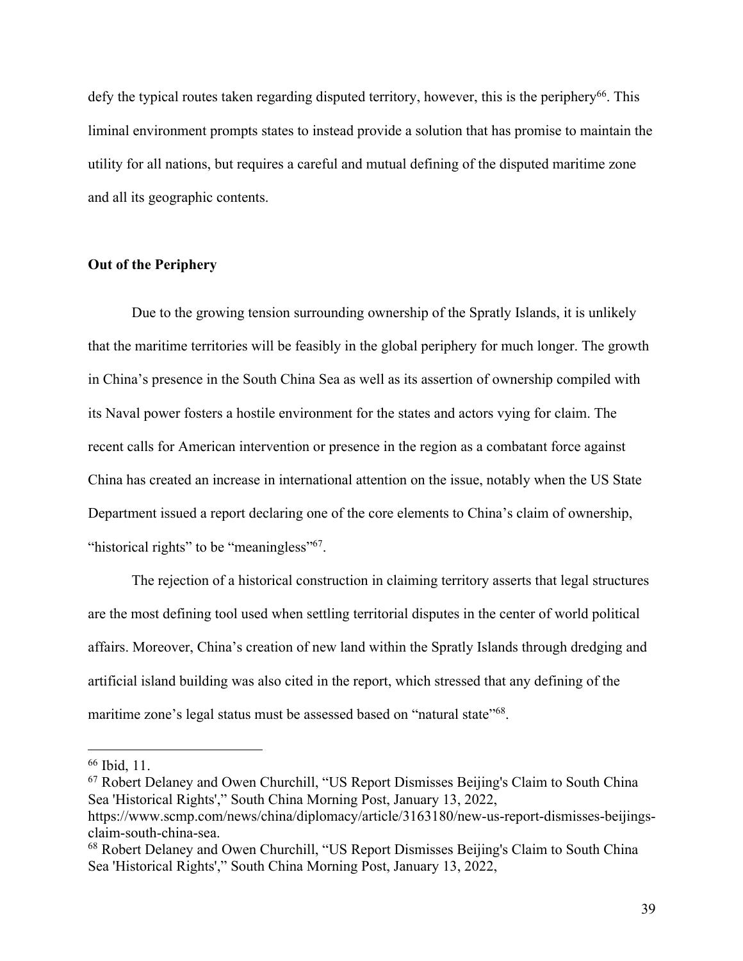defy the typical routes taken regarding disputed territory, however, this is the periphery<sup>66</sup>. This liminal environment prompts states to instead provide a solution that has promise to maintain the utility for all nations, but requires a careful and mutual defining of the disputed maritime zone and all its geographic contents.

## **Out of the Periphery**

Due to the growing tension surrounding ownership of the Spratly Islands, it is unlikely that the maritime territories will be feasibly in the global periphery for much longer. The growth in China's presence in the South China Sea as well as its assertion of ownership compiled with its Naval power fosters a hostile environment for the states and actors vying for claim. The recent calls for American intervention or presence in the region as a combatant force against China has created an increase in international attention on the issue, notably when the US State Department issued a report declaring one of the core elements to China's claim of ownership, "historical rights" to be "meaningless"<sup>67</sup>.

The rejection of a historical construction in claiming territory asserts that legal structures are the most defining tool used when settling territorial disputes in the center of world political affairs. Moreover, China's creation of new land within the Spratly Islands through dredging and artificial island building was also cited in the report, which stressed that any defining of the maritime zone's legal status must be assessed based on "natural state"<sup>68</sup>.

<sup>66</sup> Ibid, 11.

<sup>67</sup> Robert Delaney and Owen Churchill, "US Report Dismisses Beijing's Claim to South China Sea 'Historical Rights'," South China Morning Post, January 13, 2022, https://www.scmp.com/news/china/diplomacy/article/3163180/new-us-report-dismisses-beijingsclaim-south-china-sea.

<sup>68</sup> Robert Delaney and Owen Churchill, "US Report Dismisses Beijing's Claim to South China Sea 'Historical Rights'," South China Morning Post, January 13, 2022,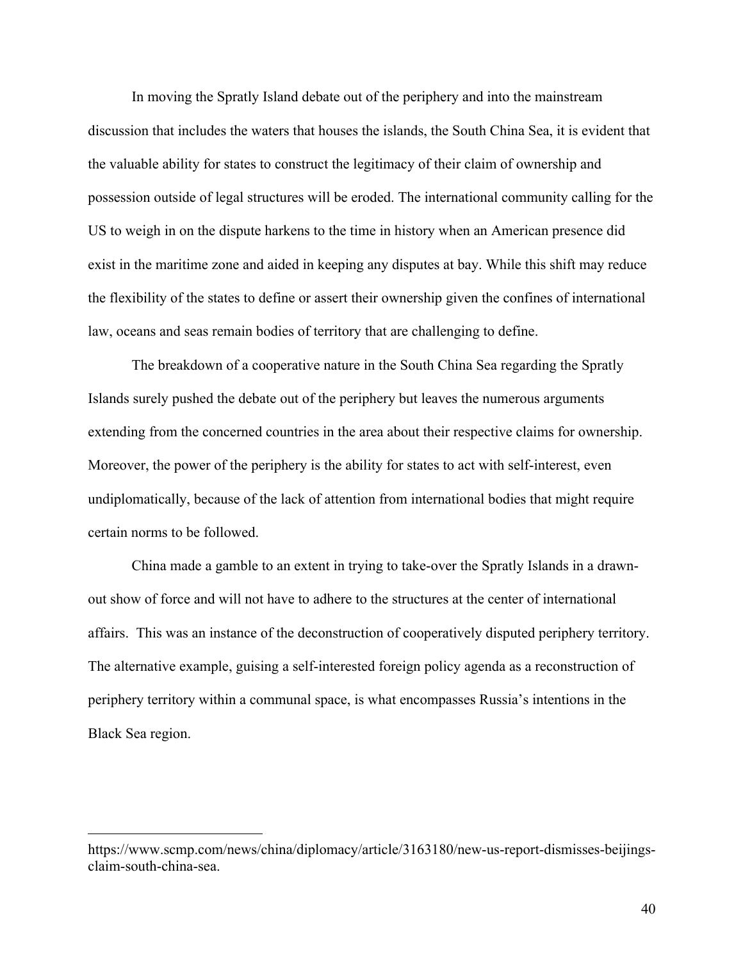In moving the Spratly Island debate out of the periphery and into the mainstream discussion that includes the waters that houses the islands, the South China Sea, it is evident that the valuable ability for states to construct the legitimacy of their claim of ownership and possession outside of legal structures will be eroded. The international community calling for the US to weigh in on the dispute harkens to the time in history when an American presence did exist in the maritime zone and aided in keeping any disputes at bay. While this shift may reduce the flexibility of the states to define or assert their ownership given the confines of international law, oceans and seas remain bodies of territory that are challenging to define.

The breakdown of a cooperative nature in the South China Sea regarding the Spratly Islands surely pushed the debate out of the periphery but leaves the numerous arguments extending from the concerned countries in the area about their respective claims for ownership. Moreover, the power of the periphery is the ability for states to act with self-interest, even undiplomatically, because of the lack of attention from international bodies that might require certain norms to be followed.

China made a gamble to an extent in trying to take-over the Spratly Islands in a drawnout show of force and will not have to adhere to the structures at the center of international affairs. This was an instance of the deconstruction of cooperatively disputed periphery territory. The alternative example, guising a self-interested foreign policy agenda as a reconstruction of periphery territory within a communal space, is what encompasses Russia's intentions in the Black Sea region.

https://www.scmp.com/news/china/diplomacy/article/3163180/new-us-report-dismisses-beijingsclaim-south-china-sea.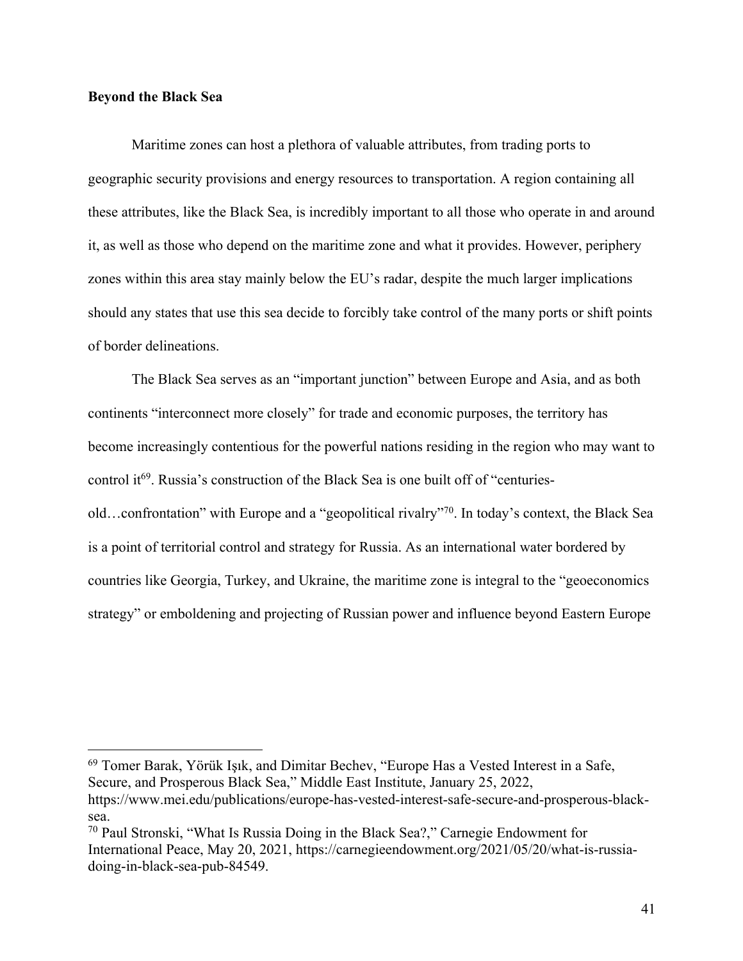## **Beyond the Black Sea**

Maritime zones can host a plethora of valuable attributes, from trading ports to geographic security provisions and energy resources to transportation. A region containing all these attributes, like the Black Sea, is incredibly important to all those who operate in and around it, as well as those who depend on the maritime zone and what it provides. However, periphery zones within this area stay mainly below the EU's radar, despite the much larger implications should any states that use this sea decide to forcibly take control of the many ports or shift points of border delineations.

The Black Sea serves as an "important junction" between Europe and Asia, and as both continents "interconnect more closely" for trade and economic purposes, the territory has become increasingly contentious for the powerful nations residing in the region who may want to control it<sup>69</sup>. Russia's construction of the Black Sea is one built off of "centuriesold…confrontation" with Europe and a "geopolitical rivalry"70. In today's context, the Black Sea is a point of territorial control and strategy for Russia. As an international water bordered by countries like Georgia, Turkey, and Ukraine, the maritime zone is integral to the "geoeconomics strategy" or emboldening and projecting of Russian power and influence beyond Eastern Europe

<sup>69</sup> Tomer Barak, Yörük Işık, and Dimitar Bechev, "Europe Has a Vested Interest in a Safe, Secure, and Prosperous Black Sea," Middle East Institute, January 25, 2022, https://www.mei.edu/publications/europe-has-vested-interest-safe-secure-and-prosperous-blacksea.

<sup>70</sup> Paul Stronski, "What Is Russia Doing in the Black Sea?," Carnegie Endowment for International Peace, May 20, 2021, https://carnegieendowment.org/2021/05/20/what-is-russiadoing-in-black-sea-pub-84549.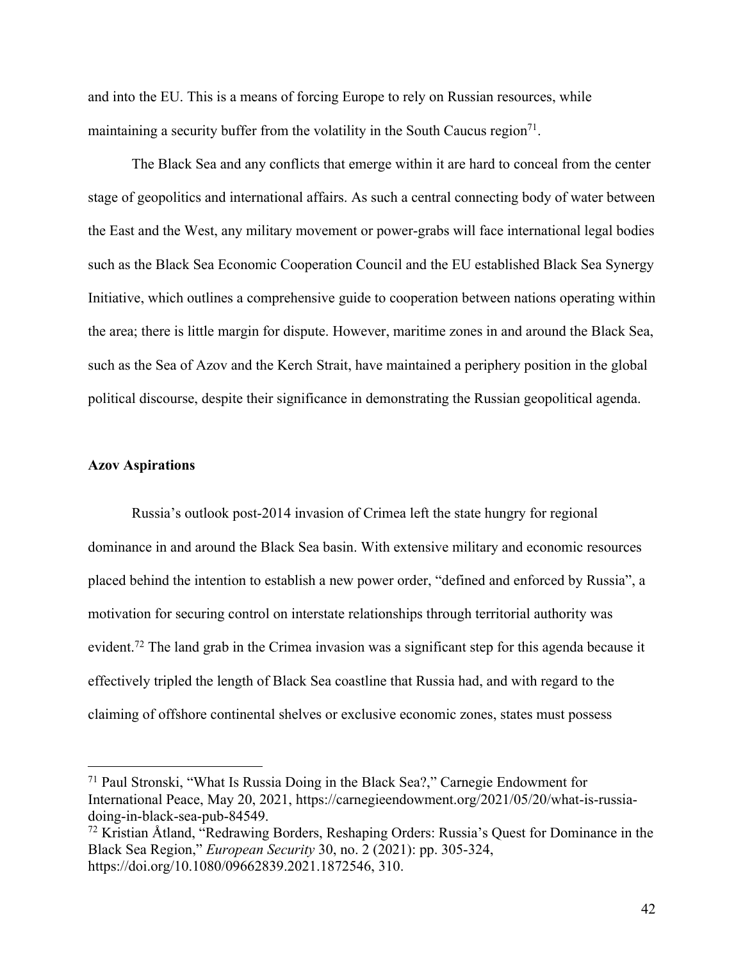and into the EU. This is a means of forcing Europe to rely on Russian resources, while maintaining a security buffer from the volatility in the South Caucus region<sup>71</sup>.

The Black Sea and any conflicts that emerge within it are hard to conceal from the center stage of geopolitics and international affairs. As such a central connecting body of water between the East and the West, any military movement or power-grabs will face international legal bodies such as the Black Sea Economic Cooperation Council and the EU established Black Sea Synergy Initiative, which outlines a comprehensive guide to cooperation between nations operating within the area; there is little margin for dispute. However, maritime zones in and around the Black Sea, such as the Sea of Azov and the Kerch Strait, have maintained a periphery position in the global political discourse, despite their significance in demonstrating the Russian geopolitical agenda.

## **Azov Aspirations**

Russia's outlook post-2014 invasion of Crimea left the state hungry for regional dominance in and around the Black Sea basin. With extensive military and economic resources placed behind the intention to establish a new power order, "defined and enforced by Russia", a motivation for securing control on interstate relationships through territorial authority was evident.<sup>72</sup> The land grab in the Crimea invasion was a significant step for this agenda because it effectively tripled the length of Black Sea coastline that Russia had, and with regard to the claiming of offshore continental shelves or exclusive economic zones, states must possess

<sup>71</sup> Paul Stronski, "What Is Russia Doing in the Black Sea?," Carnegie Endowment for International Peace, May 20, 2021, https://carnegieendowment.org/2021/05/20/what-is-russiadoing-in-black-sea-pub-84549.

<sup>72</sup> Kristian Åtland, "Redrawing Borders, Reshaping Orders: Russia's Quest for Dominance in the Black Sea Region," *European Security* 30, no. 2 (2021): pp. 305-324, https://doi.org/10.1080/09662839.2021.1872546, 310.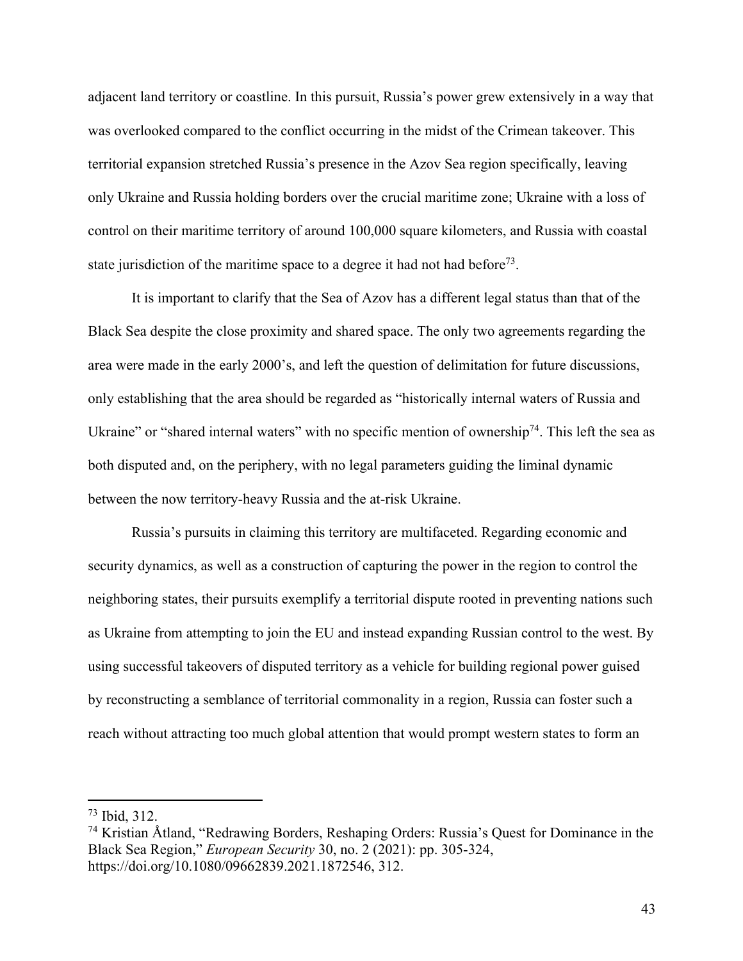adjacent land territory or coastline. In this pursuit, Russia's power grew extensively in a way that was overlooked compared to the conflict occurring in the midst of the Crimean takeover. This territorial expansion stretched Russia's presence in the Azov Sea region specifically, leaving only Ukraine and Russia holding borders over the crucial maritime zone; Ukraine with a loss of control on their maritime territory of around 100,000 square kilometers, and Russia with coastal state jurisdiction of the maritime space to a degree it had not had before<sup>73</sup>.

It is important to clarify that the Sea of Azov has a different legal status than that of the Black Sea despite the close proximity and shared space. The only two agreements regarding the area were made in the early 2000's, and left the question of delimitation for future discussions, only establishing that the area should be regarded as "historically internal waters of Russia and Ukraine" or "shared internal waters" with no specific mention of ownership<sup>74</sup>. This left the sea as both disputed and, on the periphery, with no legal parameters guiding the liminal dynamic between the now territory-heavy Russia and the at-risk Ukraine.

Russia's pursuits in claiming this territory are multifaceted. Regarding economic and security dynamics, as well as a construction of capturing the power in the region to control the neighboring states, their pursuits exemplify a territorial dispute rooted in preventing nations such as Ukraine from attempting to join the EU and instead expanding Russian control to the west. By using successful takeovers of disputed territory as a vehicle for building regional power guised by reconstructing a semblance of territorial commonality in a region, Russia can foster such a reach without attracting too much global attention that would prompt western states to form an

<sup>73</sup> Ibid, 312.

<sup>74</sup> Kristian Åtland, "Redrawing Borders, Reshaping Orders: Russia's Quest for Dominance in the Black Sea Region," *European Security* 30, no. 2 (2021): pp. 305-324, https://doi.org/10.1080/09662839.2021.1872546, 312.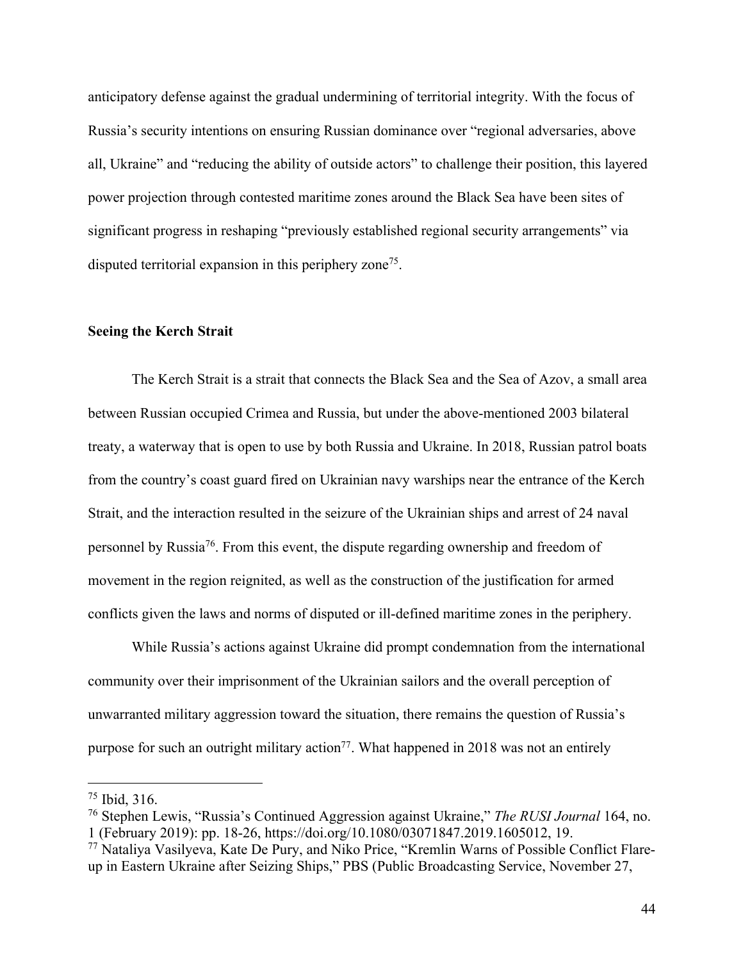anticipatory defense against the gradual undermining of territorial integrity. With the focus of Russia's security intentions on ensuring Russian dominance over "regional adversaries, above all, Ukraine" and "reducing the ability of outside actors" to challenge their position, this layered power projection through contested maritime zones around the Black Sea have been sites of significant progress in reshaping "previously established regional security arrangements" via disputed territorial expansion in this periphery zone<sup>75</sup>.

#### **Seeing the Kerch Strait**

The Kerch Strait is a strait that connects the Black Sea and the Sea of Azov, a small area between Russian occupied Crimea and Russia, but under the above-mentioned 2003 bilateral treaty, a waterway that is open to use by both Russia and Ukraine. In 2018, Russian patrol boats from the country's coast guard fired on Ukrainian navy warships near the entrance of the Kerch Strait, and the interaction resulted in the seizure of the Ukrainian ships and arrest of 24 naval personnel by Russia76. From this event, the dispute regarding ownership and freedom of movement in the region reignited, as well as the construction of the justification for armed conflicts given the laws and norms of disputed or ill-defined maritime zones in the periphery.

While Russia's actions against Ukraine did prompt condemnation from the international community over their imprisonment of the Ukrainian sailors and the overall perception of unwarranted military aggression toward the situation, there remains the question of Russia's purpose for such an outright military action<sup>77</sup>. What happened in 2018 was not an entirely

<sup>75</sup> Ibid, 316.

<sup>76</sup> Stephen Lewis, "Russia's Continued Aggression against Ukraine," *The RUSI Journal* 164, no. 1 (February 2019): pp. 18-26, https://doi.org/10.1080/03071847.2019.1605012, 19.

<sup>77</sup> Nataliya Vasilyeva, Kate De Pury, and Niko Price, "Kremlin Warns of Possible Conflict Flareup in Eastern Ukraine after Seizing Ships," PBS (Public Broadcasting Service, November 27,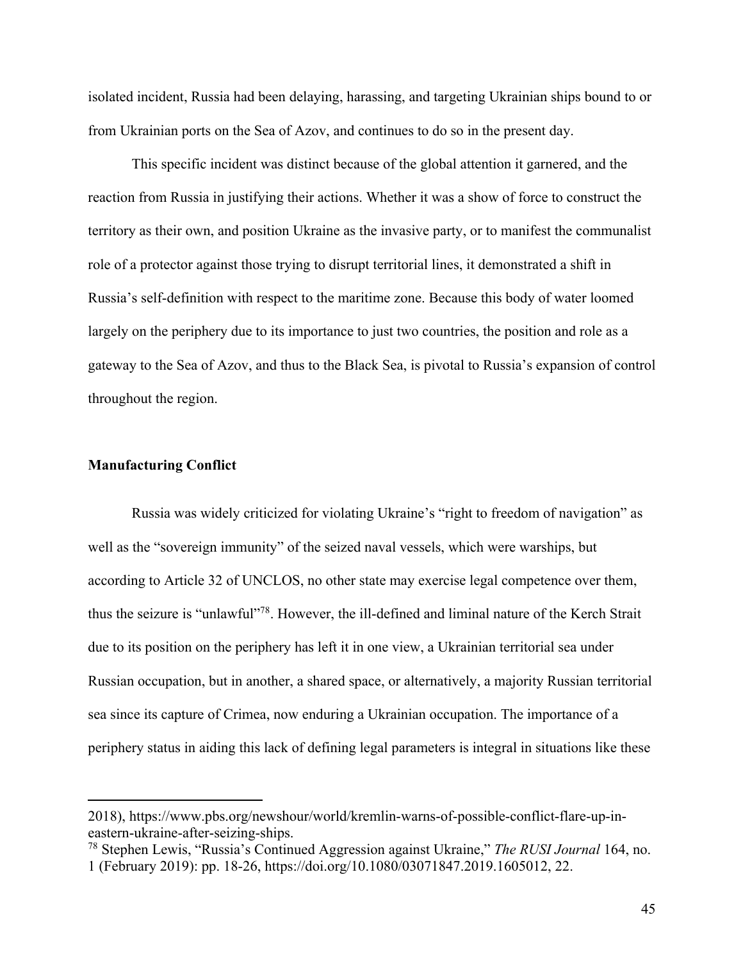isolated incident, Russia had been delaying, harassing, and targeting Ukrainian ships bound to or from Ukrainian ports on the Sea of Azov, and continues to do so in the present day.

This specific incident was distinct because of the global attention it garnered, and the reaction from Russia in justifying their actions. Whether it was a show of force to construct the territory as their own, and position Ukraine as the invasive party, or to manifest the communalist role of a protector against those trying to disrupt territorial lines, it demonstrated a shift in Russia's self-definition with respect to the maritime zone. Because this body of water loomed largely on the periphery due to its importance to just two countries, the position and role as a gateway to the Sea of Azov, and thus to the Black Sea, is pivotal to Russia's expansion of control throughout the region.

## **Manufacturing Conflict**

Russia was widely criticized for violating Ukraine's "right to freedom of navigation" as well as the "sovereign immunity" of the seized naval vessels, which were warships, but according to Article 32 of UNCLOS, no other state may exercise legal competence over them, thus the seizure is "unlawful"78. However, the ill-defined and liminal nature of the Kerch Strait due to its position on the periphery has left it in one view, a Ukrainian territorial sea under Russian occupation, but in another, a shared space, or alternatively, a majority Russian territorial sea since its capture of Crimea, now enduring a Ukrainian occupation. The importance of a periphery status in aiding this lack of defining legal parameters is integral in situations like these

<sup>2018),</sup> https://www.pbs.org/newshour/world/kremlin-warns-of-possible-conflict-flare-up-ineastern-ukraine-after-seizing-ships.

<sup>78</sup> Stephen Lewis, "Russia's Continued Aggression against Ukraine," *The RUSI Journal* 164, no. 1 (February 2019): pp. 18-26, https://doi.org/10.1080/03071847.2019.1605012, 22.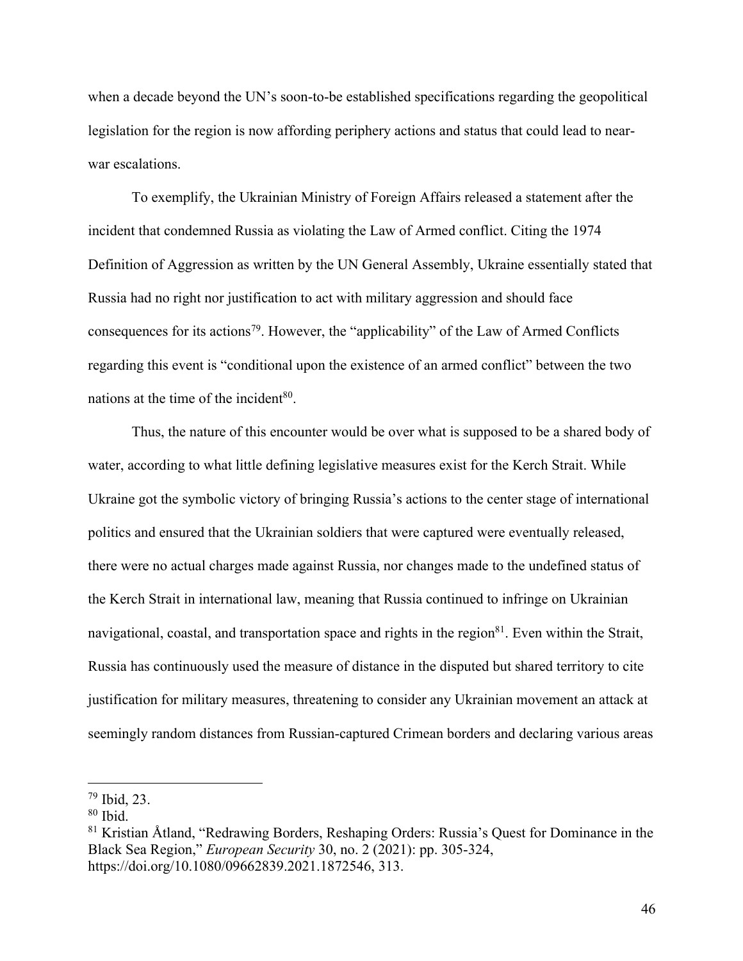when a decade beyond the UN's soon-to-be established specifications regarding the geopolitical legislation for the region is now affording periphery actions and status that could lead to nearwar escalations.

To exemplify, the Ukrainian Ministry of Foreign Affairs released a statement after the incident that condemned Russia as violating the Law of Armed conflict. Citing the 1974 Definition of Aggression as written by the UN General Assembly, Ukraine essentially stated that Russia had no right nor justification to act with military aggression and should face consequences for its actions<sup>79</sup>. However, the "applicability" of the Law of Armed Conflicts regarding this event is "conditional upon the existence of an armed conflict" between the two nations at the time of the incident $80$ .

Thus, the nature of this encounter would be over what is supposed to be a shared body of water, according to what little defining legislative measures exist for the Kerch Strait. While Ukraine got the symbolic victory of bringing Russia's actions to the center stage of international politics and ensured that the Ukrainian soldiers that were captured were eventually released, there were no actual charges made against Russia, nor changes made to the undefined status of the Kerch Strait in international law, meaning that Russia continued to infringe on Ukrainian navigational, coastal, and transportation space and rights in the region<sup>81</sup>. Even within the Strait, Russia has continuously used the measure of distance in the disputed but shared territory to cite justification for military measures, threatening to consider any Ukrainian movement an attack at seemingly random distances from Russian-captured Crimean borders and declaring various areas

<sup>79</sup> Ibid, 23.

<sup>80</sup> Ibid.

<sup>81</sup> Kristian Åtland, "Redrawing Borders, Reshaping Orders: Russia's Quest for Dominance in the Black Sea Region," *European Security* 30, no. 2 (2021): pp. 305-324, https://doi.org/10.1080/09662839.2021.1872546, 313.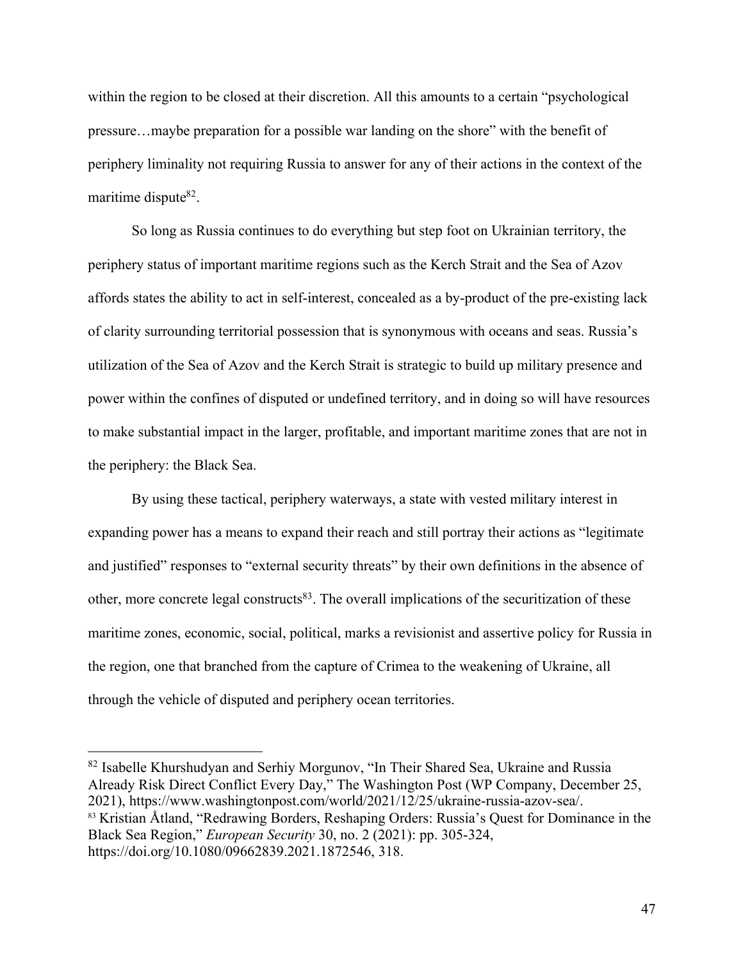within the region to be closed at their discretion. All this amounts to a certain "psychological pressure…maybe preparation for a possible war landing on the shore" with the benefit of periphery liminality not requiring Russia to answer for any of their actions in the context of the maritime dispute<sup>82</sup>.

So long as Russia continues to do everything but step foot on Ukrainian territory, the periphery status of important maritime regions such as the Kerch Strait and the Sea of Azov affords states the ability to act in self-interest, concealed as a by-product of the pre-existing lack of clarity surrounding territorial possession that is synonymous with oceans and seas. Russia's utilization of the Sea of Azov and the Kerch Strait is strategic to build up military presence and power within the confines of disputed or undefined territory, and in doing so will have resources to make substantial impact in the larger, profitable, and important maritime zones that are not in the periphery: the Black Sea.

By using these tactical, periphery waterways, a state with vested military interest in expanding power has a means to expand their reach and still portray their actions as "legitimate and justified" responses to "external security threats" by their own definitions in the absence of other, more concrete legal constructs<sup>83</sup>. The overall implications of the securitization of these maritime zones, economic, social, political, marks a revisionist and assertive policy for Russia in the region, one that branched from the capture of Crimea to the weakening of Ukraine, all through the vehicle of disputed and periphery ocean territories.

<sup>&</sup>lt;sup>82</sup> Isabelle Khurshudyan and Serhiy Morgunov, "In Their Shared Sea, Ukraine and Russia Already Risk Direct Conflict Every Day," The Washington Post (WP Company, December 25, 2021), https://www.washingtonpost.com/world/2021/12/25/ukraine-russia-azov-sea/. <sup>83</sup> Kristian Åtland, "Redrawing Borders, Reshaping Orders: Russia's Quest for Dominance in the Black Sea Region," *European Security* 30, no. 2 (2021): pp. 305-324, https://doi.org/10.1080/09662839.2021.1872546, 318.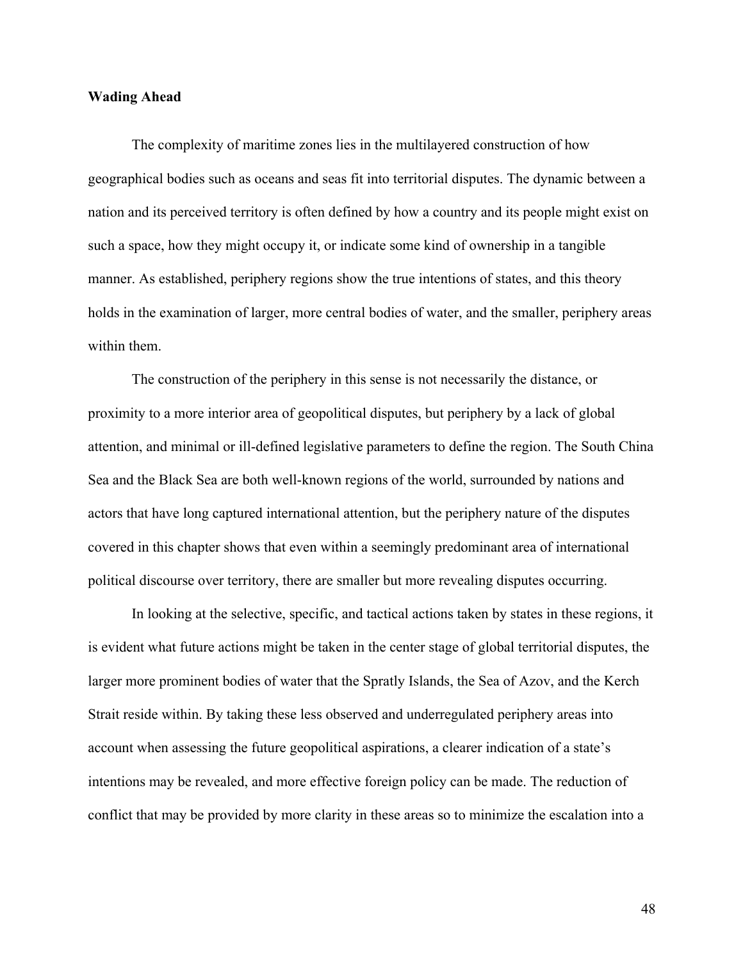## **Wading Ahead**

The complexity of maritime zones lies in the multilayered construction of how geographical bodies such as oceans and seas fit into territorial disputes. The dynamic between a nation and its perceived territory is often defined by how a country and its people might exist on such a space, how they might occupy it, or indicate some kind of ownership in a tangible manner. As established, periphery regions show the true intentions of states, and this theory holds in the examination of larger, more central bodies of water, and the smaller, periphery areas within them.

The construction of the periphery in this sense is not necessarily the distance, or proximity to a more interior area of geopolitical disputes, but periphery by a lack of global attention, and minimal or ill-defined legislative parameters to define the region. The South China Sea and the Black Sea are both well-known regions of the world, surrounded by nations and actors that have long captured international attention, but the periphery nature of the disputes covered in this chapter shows that even within a seemingly predominant area of international political discourse over territory, there are smaller but more revealing disputes occurring.

In looking at the selective, specific, and tactical actions taken by states in these regions, it is evident what future actions might be taken in the center stage of global territorial disputes, the larger more prominent bodies of water that the Spratly Islands, the Sea of Azov, and the Kerch Strait reside within. By taking these less observed and underregulated periphery areas into account when assessing the future geopolitical aspirations, a clearer indication of a state's intentions may be revealed, and more effective foreign policy can be made. The reduction of conflict that may be provided by more clarity in these areas so to minimize the escalation into a

48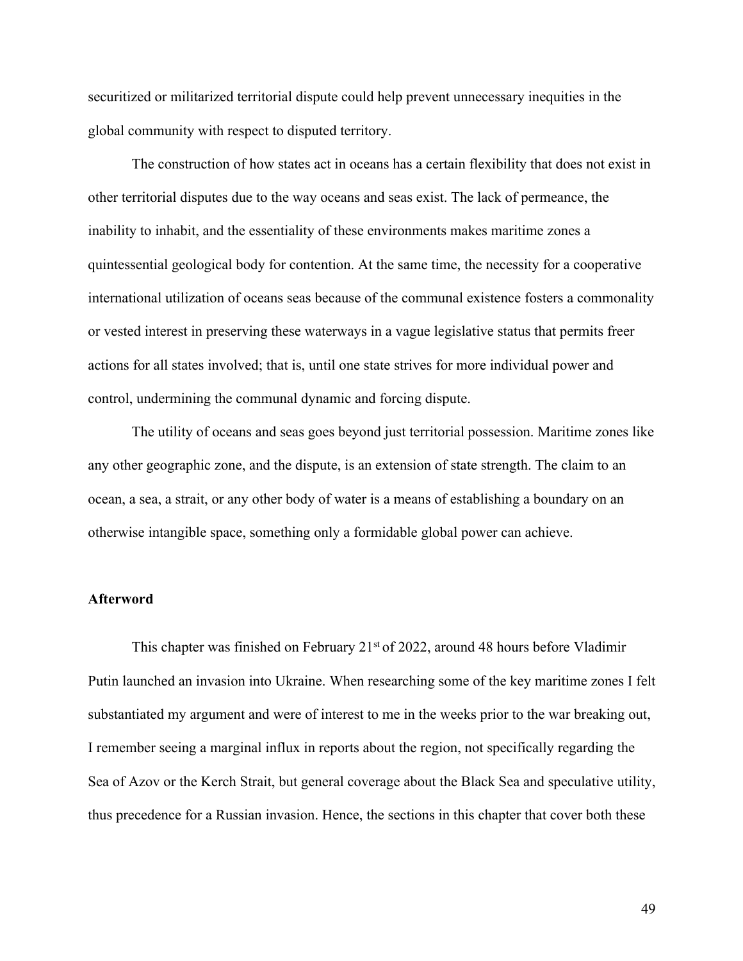securitized or militarized territorial dispute could help prevent unnecessary inequities in the global community with respect to disputed territory.

The construction of how states act in oceans has a certain flexibility that does not exist in other territorial disputes due to the way oceans and seas exist. The lack of permeance, the inability to inhabit, and the essentiality of these environments makes maritime zones a quintessential geological body for contention. At the same time, the necessity for a cooperative international utilization of oceans seas because of the communal existence fosters a commonality or vested interest in preserving these waterways in a vague legislative status that permits freer actions for all states involved; that is, until one state strives for more individual power and control, undermining the communal dynamic and forcing dispute.

The utility of oceans and seas goes beyond just territorial possession. Maritime zones like any other geographic zone, and the dispute, is an extension of state strength. The claim to an ocean, a sea, a strait, or any other body of water is a means of establishing a boundary on an otherwise intangible space, something only a formidable global power can achieve.

## **Afterword**

This chapter was finished on February  $21<sup>st</sup>$  of 2022, around 48 hours before Vladimir Putin launched an invasion into Ukraine. When researching some of the key maritime zones I felt substantiated my argument and were of interest to me in the weeks prior to the war breaking out, I remember seeing a marginal influx in reports about the region, not specifically regarding the Sea of Azov or the Kerch Strait, but general coverage about the Black Sea and speculative utility, thus precedence for a Russian invasion. Hence, the sections in this chapter that cover both these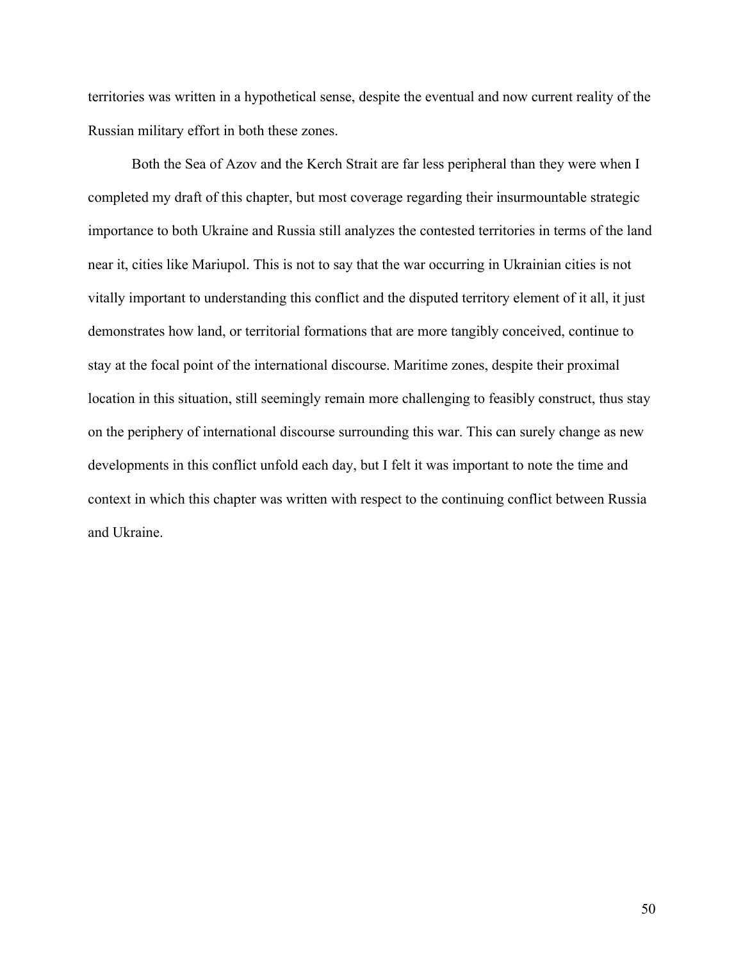territories was written in a hypothetical sense, despite the eventual and now current reality of the Russian military effort in both these zones.

Both the Sea of Azov and the Kerch Strait are far less peripheral than they were when I completed my draft of this chapter, but most coverage regarding their insurmountable strategic importance to both Ukraine and Russia still analyzes the contested territories in terms of the land near it, cities like Mariupol. This is not to say that the war occurring in Ukrainian cities is not vitally important to understanding this conflict and the disputed territory element of it all, it just demonstrates how land, or territorial formations that are more tangibly conceived, continue to stay at the focal point of the international discourse. Maritime zones, despite their proximal location in this situation, still seemingly remain more challenging to feasibly construct, thus stay on the periphery of international discourse surrounding this war. This can surely change as new developments in this conflict unfold each day, but I felt it was important to note the time and context in which this chapter was written with respect to the continuing conflict between Russia and Ukraine.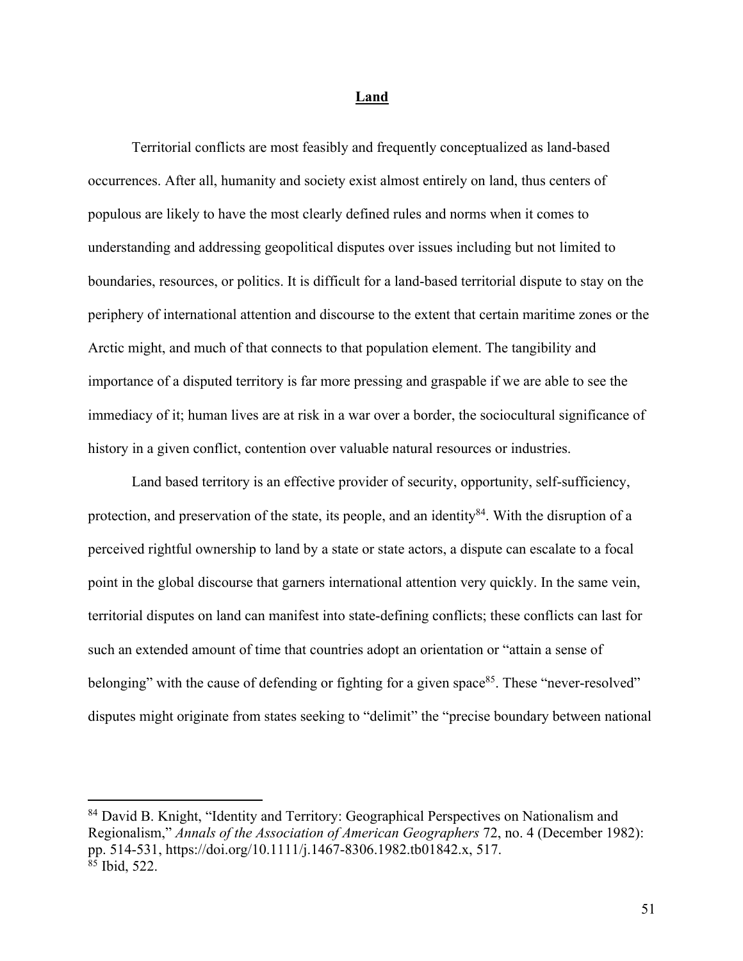#### **Land**

Territorial conflicts are most feasibly and frequently conceptualized as land-based occurrences. After all, humanity and society exist almost entirely on land, thus centers of populous are likely to have the most clearly defined rules and norms when it comes to understanding and addressing geopolitical disputes over issues including but not limited to boundaries, resources, or politics. It is difficult for a land-based territorial dispute to stay on the periphery of international attention and discourse to the extent that certain maritime zones or the Arctic might, and much of that connects to that population element. The tangibility and importance of a disputed territory is far more pressing and graspable if we are able to see the immediacy of it; human lives are at risk in a war over a border, the sociocultural significance of history in a given conflict, contention over valuable natural resources or industries.

Land based territory is an effective provider of security, opportunity, self-sufficiency, protection, and preservation of the state, its people, and an identity<sup>84</sup>. With the disruption of a perceived rightful ownership to land by a state or state actors, a dispute can escalate to a focal point in the global discourse that garners international attention very quickly. In the same vein, territorial disputes on land can manifest into state-defining conflicts; these conflicts can last for such an extended amount of time that countries adopt an orientation or "attain a sense of belonging" with the cause of defending or fighting for a given space<sup>85</sup>. These "never-resolved" disputes might originate from states seeking to "delimit" the "precise boundary between national

<sup>&</sup>lt;sup>84</sup> David B. Knight, "Identity and Territory: Geographical Perspectives on Nationalism and Regionalism," *Annals of the Association of American Geographers* 72, no. 4 (December 1982): pp. 514-531, https://doi.org/10.1111/j.1467-8306.1982.tb01842.x, 517. <sup>85</sup> Ibid, 522.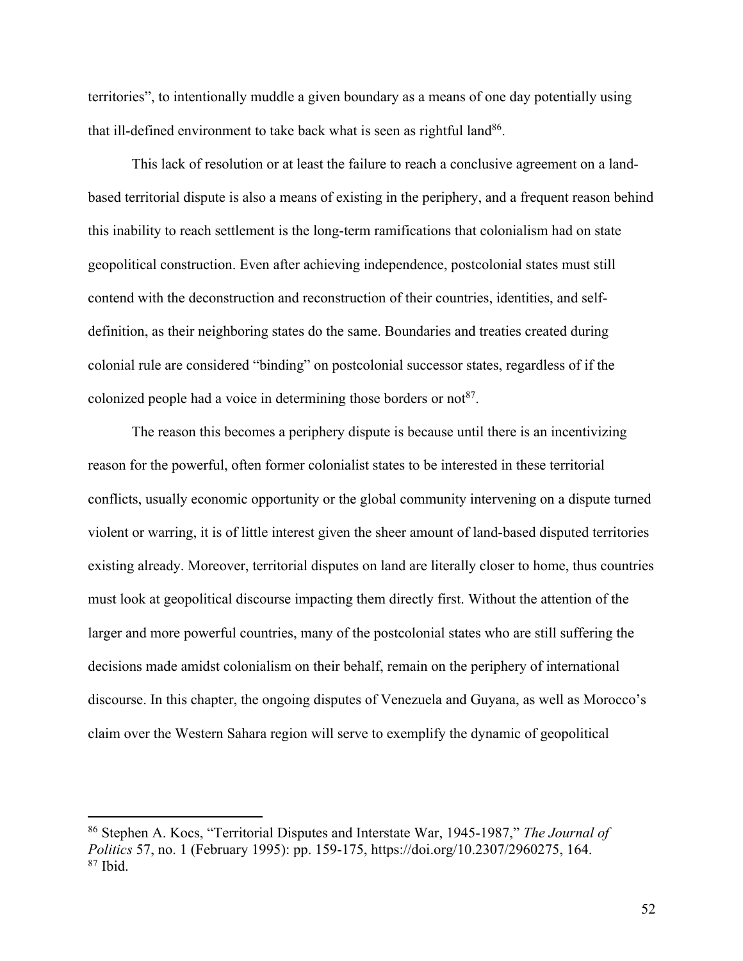territories", to intentionally muddle a given boundary as a means of one day potentially using that ill-defined environment to take back what is seen as rightful land<sup>86</sup>.

This lack of resolution or at least the failure to reach a conclusive agreement on a landbased territorial dispute is also a means of existing in the periphery, and a frequent reason behind this inability to reach settlement is the long-term ramifications that colonialism had on state geopolitical construction. Even after achieving independence, postcolonial states must still contend with the deconstruction and reconstruction of their countries, identities, and selfdefinition, as their neighboring states do the same. Boundaries and treaties created during colonial rule are considered "binding" on postcolonial successor states, regardless of if the colonized people had a voice in determining those borders or not<sup>87</sup>.

The reason this becomes a periphery dispute is because until there is an incentivizing reason for the powerful, often former colonialist states to be interested in these territorial conflicts, usually economic opportunity or the global community intervening on a dispute turned violent or warring, it is of little interest given the sheer amount of land-based disputed territories existing already. Moreover, territorial disputes on land are literally closer to home, thus countries must look at geopolitical discourse impacting them directly first. Without the attention of the larger and more powerful countries, many of the postcolonial states who are still suffering the decisions made amidst colonialism on their behalf, remain on the periphery of international discourse. In this chapter, the ongoing disputes of Venezuela and Guyana, as well as Morocco's claim over the Western Sahara region will serve to exemplify the dynamic of geopolitical

<sup>86</sup> Stephen A. Kocs, "Territorial Disputes and Interstate War, 1945-1987," *The Journal of Politics* 57, no. 1 (February 1995): pp. 159-175, https://doi.org/10.2307/2960275, 164.  $87$  Ibid.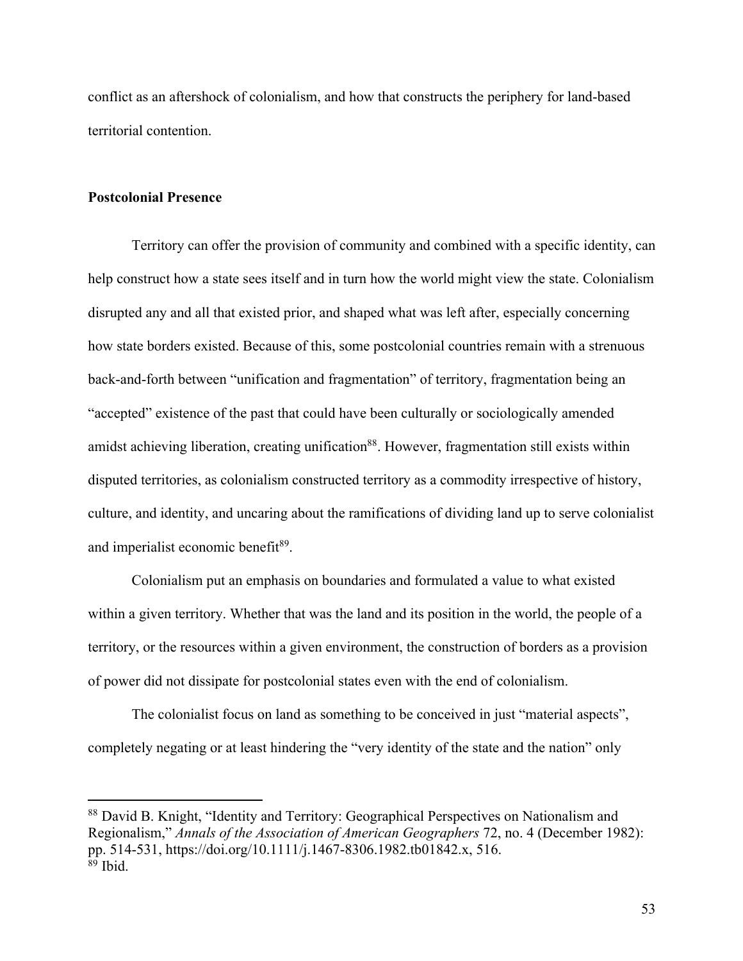conflict as an aftershock of colonialism, and how that constructs the periphery for land-based territorial contention.

## **Postcolonial Presence**

Territory can offer the provision of community and combined with a specific identity, can help construct how a state sees itself and in turn how the world might view the state. Colonialism disrupted any and all that existed prior, and shaped what was left after, especially concerning how state borders existed. Because of this, some postcolonial countries remain with a strenuous back-and-forth between "unification and fragmentation" of territory, fragmentation being an "accepted" existence of the past that could have been culturally or sociologically amended amidst achieving liberation, creating unification<sup>88</sup>. However, fragmentation still exists within disputed territories, as colonialism constructed territory as a commodity irrespective of history, culture, and identity, and uncaring about the ramifications of dividing land up to serve colonialist and imperialist economic benefit<sup>89</sup>.

Colonialism put an emphasis on boundaries and formulated a value to what existed within a given territory. Whether that was the land and its position in the world, the people of a territory, or the resources within a given environment, the construction of borders as a provision of power did not dissipate for postcolonial states even with the end of colonialism.

The colonialist focus on land as something to be conceived in just "material aspects", completely negating or at least hindering the "very identity of the state and the nation" only

<sup>88</sup> David B. Knight, "Identity and Territory: Geographical Perspectives on Nationalism and Regionalism," *Annals of the Association of American Geographers* 72, no. 4 (December 1982): pp. 514-531, https://doi.org/10.1111/j.1467-8306.1982.tb01842.x, 516. <sup>89</sup> Ibid.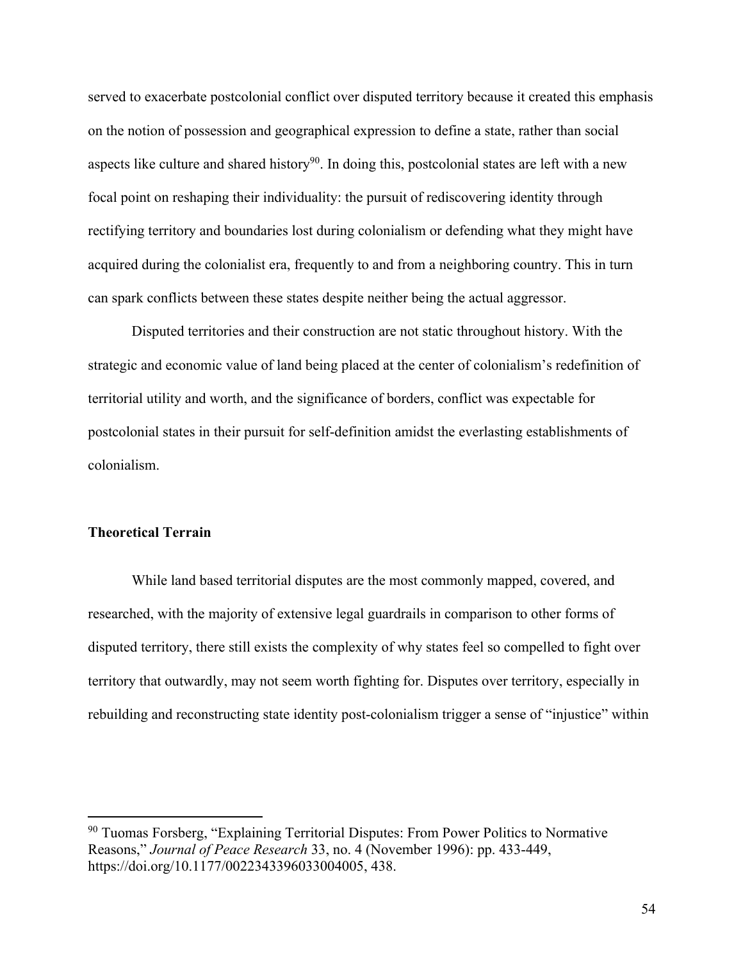served to exacerbate postcolonial conflict over disputed territory because it created this emphasis on the notion of possession and geographical expression to define a state, rather than social aspects like culture and shared history<sup>90</sup>. In doing this, postcolonial states are left with a new focal point on reshaping their individuality: the pursuit of rediscovering identity through rectifying territory and boundaries lost during colonialism or defending what they might have acquired during the colonialist era, frequently to and from a neighboring country. This in turn can spark conflicts between these states despite neither being the actual aggressor.

Disputed territories and their construction are not static throughout history. With the strategic and economic value of land being placed at the center of colonialism's redefinition of territorial utility and worth, and the significance of borders, conflict was expectable for postcolonial states in their pursuit for self-definition amidst the everlasting establishments of colonialism.

### **Theoretical Terrain**

While land based territorial disputes are the most commonly mapped, covered, and researched, with the majority of extensive legal guardrails in comparison to other forms of disputed territory, there still exists the complexity of why states feel so compelled to fight over territory that outwardly, may not seem worth fighting for. Disputes over territory, especially in rebuilding and reconstructing state identity post-colonialism trigger a sense of "injustice" within

<sup>90</sup> Tuomas Forsberg, "Explaining Territorial Disputes: From Power Politics to Normative Reasons," *Journal of Peace Research* 33, no. 4 (November 1996): pp. 433-449, https://doi.org/10.1177/0022343396033004005, 438.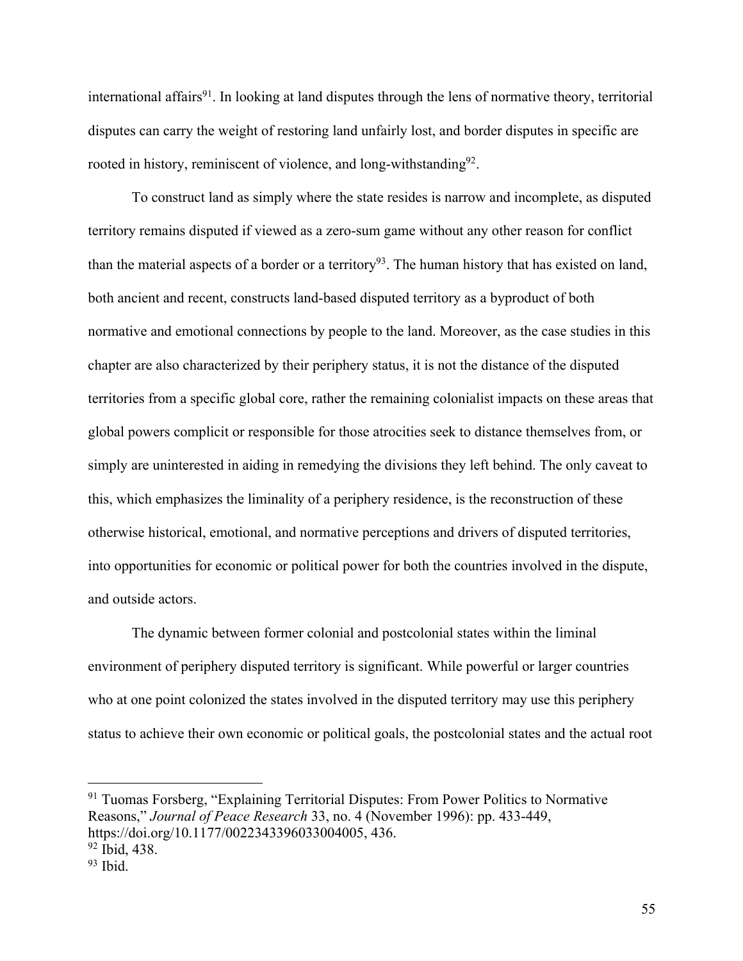international affairs<sup>91</sup>. In looking at land disputes through the lens of normative theory, territorial disputes can carry the weight of restoring land unfairly lost, and border disputes in specific are rooted in history, reminiscent of violence, and long-withstanding<sup>92</sup>.

To construct land as simply where the state resides is narrow and incomplete, as disputed territory remains disputed if viewed as a zero-sum game without any other reason for conflict than the material aspects of a border or a territory<sup>93</sup>. The human history that has existed on land, both ancient and recent, constructs land-based disputed territory as a byproduct of both normative and emotional connections by people to the land. Moreover, as the case studies in this chapter are also characterized by their periphery status, it is not the distance of the disputed territories from a specific global core, rather the remaining colonialist impacts on these areas that global powers complicit or responsible for those atrocities seek to distance themselves from, or simply are uninterested in aiding in remedying the divisions they left behind. The only caveat to this, which emphasizes the liminality of a periphery residence, is the reconstruction of these otherwise historical, emotional, and normative perceptions and drivers of disputed territories, into opportunities for economic or political power for both the countries involved in the dispute, and outside actors.

The dynamic between former colonial and postcolonial states within the liminal environment of periphery disputed territory is significant. While powerful or larger countries who at one point colonized the states involved in the disputed territory may use this periphery status to achieve their own economic or political goals, the postcolonial states and the actual root

<sup>91</sup> Tuomas Forsberg, "Explaining Territorial Disputes: From Power Politics to Normative Reasons," *Journal of Peace Research* 33, no. 4 (November 1996): pp. 433-449, https://doi.org/10.1177/0022343396033004005, 436.

<sup>92</sup> Ibid, 438.

 $93$  Ibid.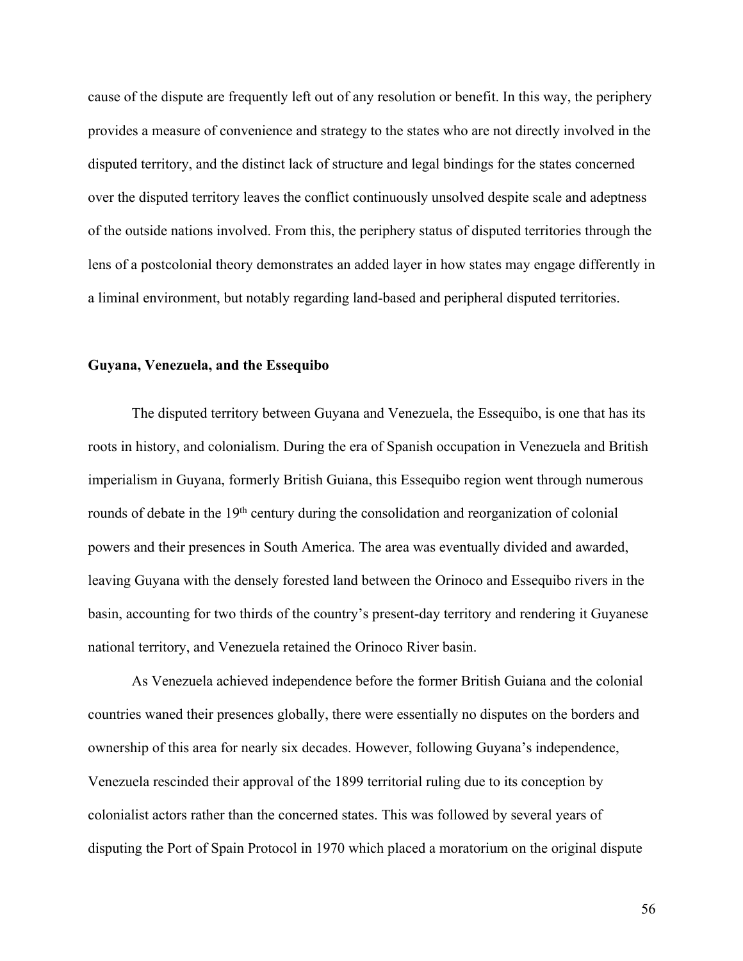cause of the dispute are frequently left out of any resolution or benefit. In this way, the periphery provides a measure of convenience and strategy to the states who are not directly involved in the disputed territory, and the distinct lack of structure and legal bindings for the states concerned over the disputed territory leaves the conflict continuously unsolved despite scale and adeptness of the outside nations involved. From this, the periphery status of disputed territories through the lens of a postcolonial theory demonstrates an added layer in how states may engage differently in a liminal environment, but notably regarding land-based and peripheral disputed territories.

#### **Guyana, Venezuela, and the Essequibo**

The disputed territory between Guyana and Venezuela, the Essequibo, is one that has its roots in history, and colonialism. During the era of Spanish occupation in Venezuela and British imperialism in Guyana, formerly British Guiana, this Essequibo region went through numerous rounds of debate in the 19<sup>th</sup> century during the consolidation and reorganization of colonial powers and their presences in South America. The area was eventually divided and awarded, leaving Guyana with the densely forested land between the Orinoco and Essequibo rivers in the basin, accounting for two thirds of the country's present-day territory and rendering it Guyanese national territory, and Venezuela retained the Orinoco River basin.

As Venezuela achieved independence before the former British Guiana and the colonial countries waned their presences globally, there were essentially no disputes on the borders and ownership of this area for nearly six decades. However, following Guyana's independence, Venezuela rescinded their approval of the 1899 territorial ruling due to its conception by colonialist actors rather than the concerned states. This was followed by several years of disputing the Port of Spain Protocol in 1970 which placed a moratorium on the original dispute

56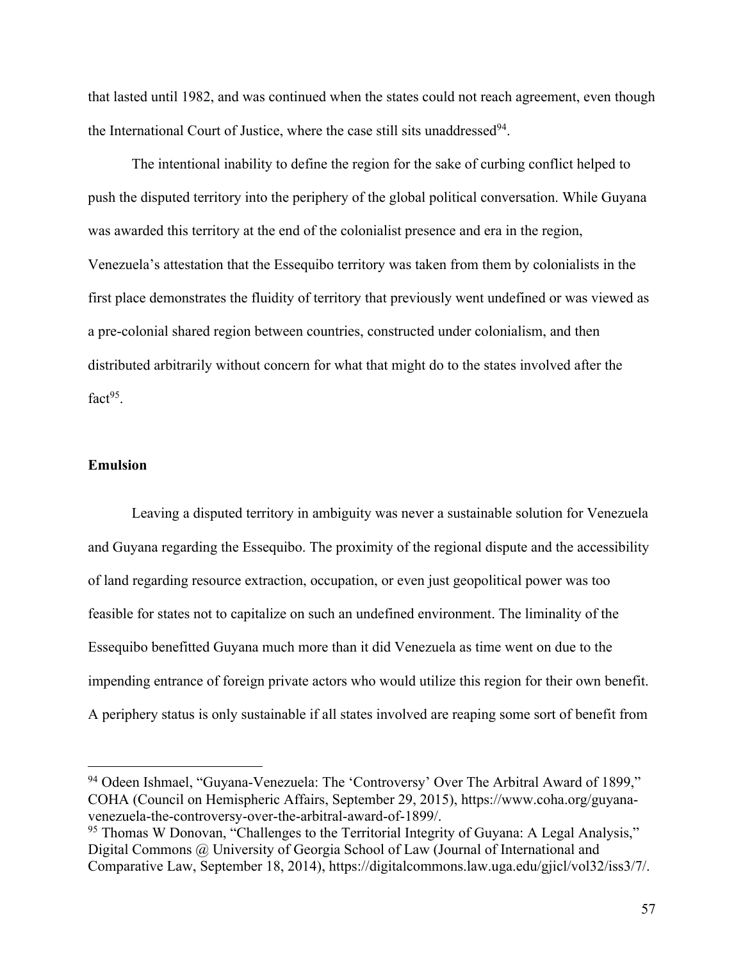that lasted until 1982, and was continued when the states could not reach agreement, even though the International Court of Justice, where the case still sits unaddressed<sup>94</sup>.

The intentional inability to define the region for the sake of curbing conflict helped to push the disputed territory into the periphery of the global political conversation. While Guyana was awarded this territory at the end of the colonialist presence and era in the region, Venezuela's attestation that the Essequibo territory was taken from them by colonialists in the first place demonstrates the fluidity of territory that previously went undefined or was viewed as a pre-colonial shared region between countries, constructed under colonialism, and then distributed arbitrarily without concern for what that might do to the states involved after the fact $95$ .

## **Emulsion**

Leaving a disputed territory in ambiguity was never a sustainable solution for Venezuela and Guyana regarding the Essequibo. The proximity of the regional dispute and the accessibility of land regarding resource extraction, occupation, or even just geopolitical power was too feasible for states not to capitalize on such an undefined environment. The liminality of the Essequibo benefitted Guyana much more than it did Venezuela as time went on due to the impending entrance of foreign private actors who would utilize this region for their own benefit. A periphery status is only sustainable if all states involved are reaping some sort of benefit from

<sup>94</sup> Odeen Ishmael, "Guyana-Venezuela: The 'Controversy' Over The Arbitral Award of 1899," COHA (Council on Hemispheric Affairs, September 29, 2015), https://www.coha.org/guyanavenezuela-the-controversy-over-the-arbitral-award-of-1899/.

<sup>&</sup>lt;sup>95</sup> Thomas W Donovan, "Challenges to the Territorial Integrity of Guyana: A Legal Analysis," Digital Commons @ University of Georgia School of Law (Journal of International and Comparative Law, September 18, 2014), https://digitalcommons.law.uga.edu/gjicl/vol32/iss3/7/.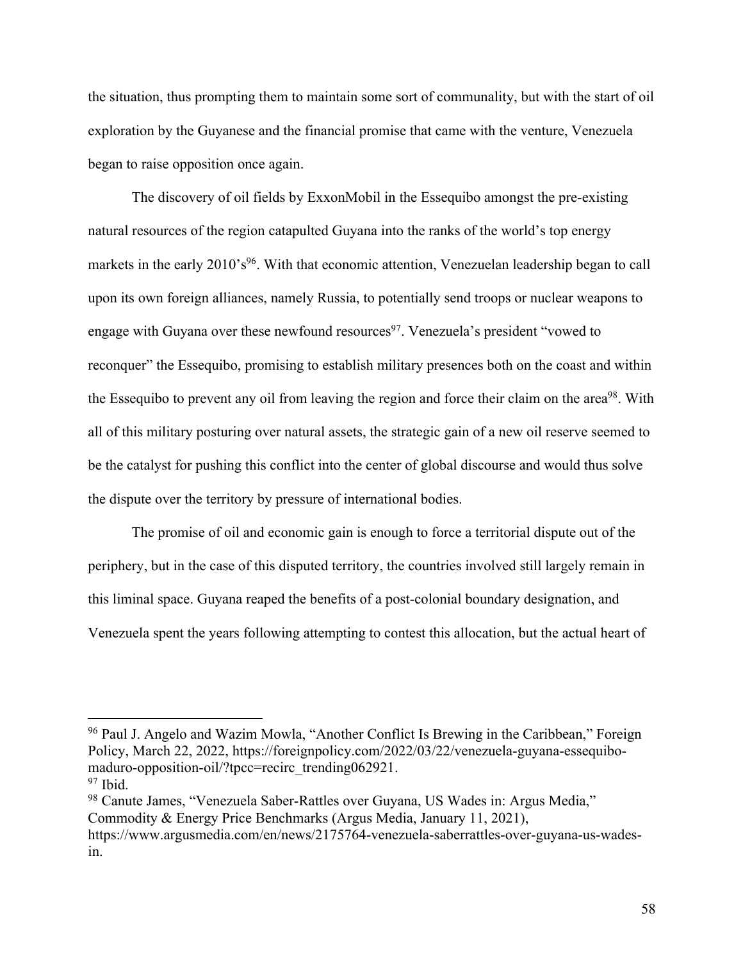the situation, thus prompting them to maintain some sort of communality, but with the start of oil exploration by the Guyanese and the financial promise that came with the venture, Venezuela began to raise opposition once again.

The discovery of oil fields by ExxonMobil in the Essequibo amongst the pre-existing natural resources of the region catapulted Guyana into the ranks of the world's top energy markets in the early 2010's<sup>96</sup>. With that economic attention, Venezuelan leadership began to call upon its own foreign alliances, namely Russia, to potentially send troops or nuclear weapons to engage with Guyana over these newfound resources<sup>97</sup>. Venezuela's president "vowed to reconquer" the Essequibo, promising to establish military presences both on the coast and within the Essequibo to prevent any oil from leaving the region and force their claim on the area<sup>98</sup>. With all of this military posturing over natural assets, the strategic gain of a new oil reserve seemed to be the catalyst for pushing this conflict into the center of global discourse and would thus solve the dispute over the territory by pressure of international bodies.

The promise of oil and economic gain is enough to force a territorial dispute out of the periphery, but in the case of this disputed territory, the countries involved still largely remain in this liminal space. Guyana reaped the benefits of a post-colonial boundary designation, and Venezuela spent the years following attempting to contest this allocation, but the actual heart of

<sup>&</sup>lt;sup>96</sup> Paul J. Angelo and Wazim Mowla, "Another Conflict Is Brewing in the Caribbean," Foreign Policy, March 22, 2022, https://foreignpolicy.com/2022/03/22/venezuela-guyana-essequibomaduro-opposition-oil/?tpcc=recirc\_trending062921.  $97$  Ibid.

<sup>98</sup> Canute James, "Venezuela Saber-Rattles over Guyana, US Wades in: Argus Media," Commodity & Energy Price Benchmarks (Argus Media, January 11, 2021), https://www.argusmedia.com/en/news/2175764-venezuela-saberrattles-over-guyana-us-wadesin.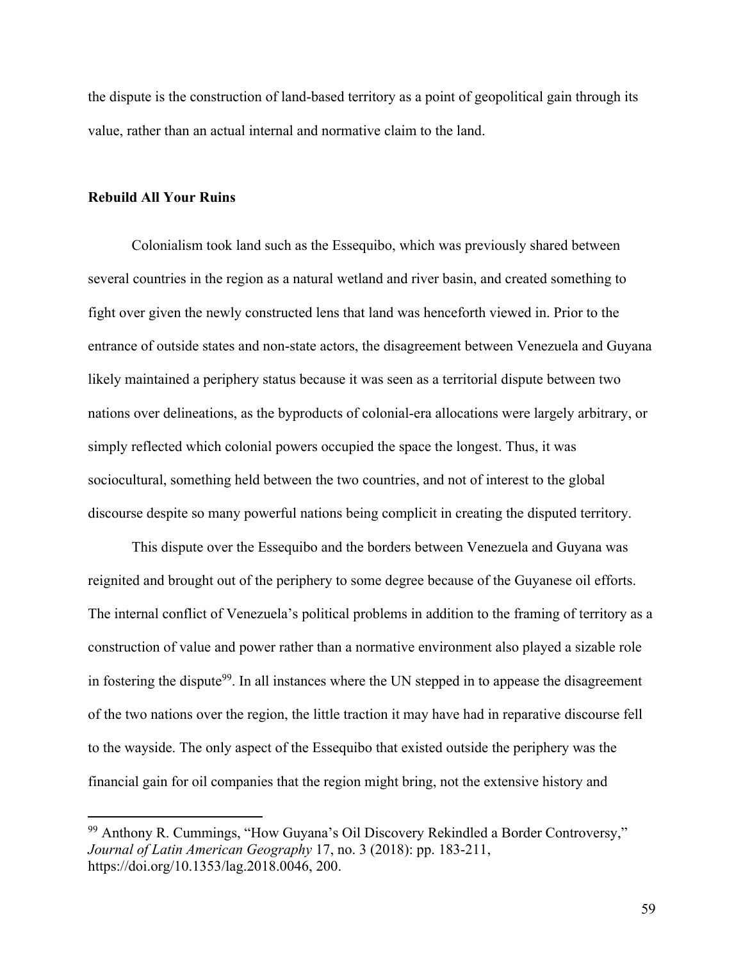the dispute is the construction of land-based territory as a point of geopolitical gain through its value, rather than an actual internal and normative claim to the land.

### **Rebuild All Your Ruins**

Colonialism took land such as the Essequibo, which was previously shared between several countries in the region as a natural wetland and river basin, and created something to fight over given the newly constructed lens that land was henceforth viewed in. Prior to the entrance of outside states and non-state actors, the disagreement between Venezuela and Guyana likely maintained a periphery status because it was seen as a territorial dispute between two nations over delineations, as the byproducts of colonial-era allocations were largely arbitrary, or simply reflected which colonial powers occupied the space the longest. Thus, it was sociocultural, something held between the two countries, and not of interest to the global discourse despite so many powerful nations being complicit in creating the disputed territory.

This dispute over the Essequibo and the borders between Venezuela and Guyana was reignited and brought out of the periphery to some degree because of the Guyanese oil efforts. The internal conflict of Venezuela's political problems in addition to the framing of territory as a construction of value and power rather than a normative environment also played a sizable role in fostering the dispute<sup>99</sup>. In all instances where the UN stepped in to appease the disagreement of the two nations over the region, the little traction it may have had in reparative discourse fell to the wayside. The only aspect of the Essequibo that existed outside the periphery was the financial gain for oil companies that the region might bring, not the extensive history and

<sup>99</sup> Anthony R. Cummings, "How Guyana's Oil Discovery Rekindled a Border Controversy," *Journal of Latin American Geography* 17, no. 3 (2018): pp. 183-211, https://doi.org/10.1353/lag.2018.0046, 200.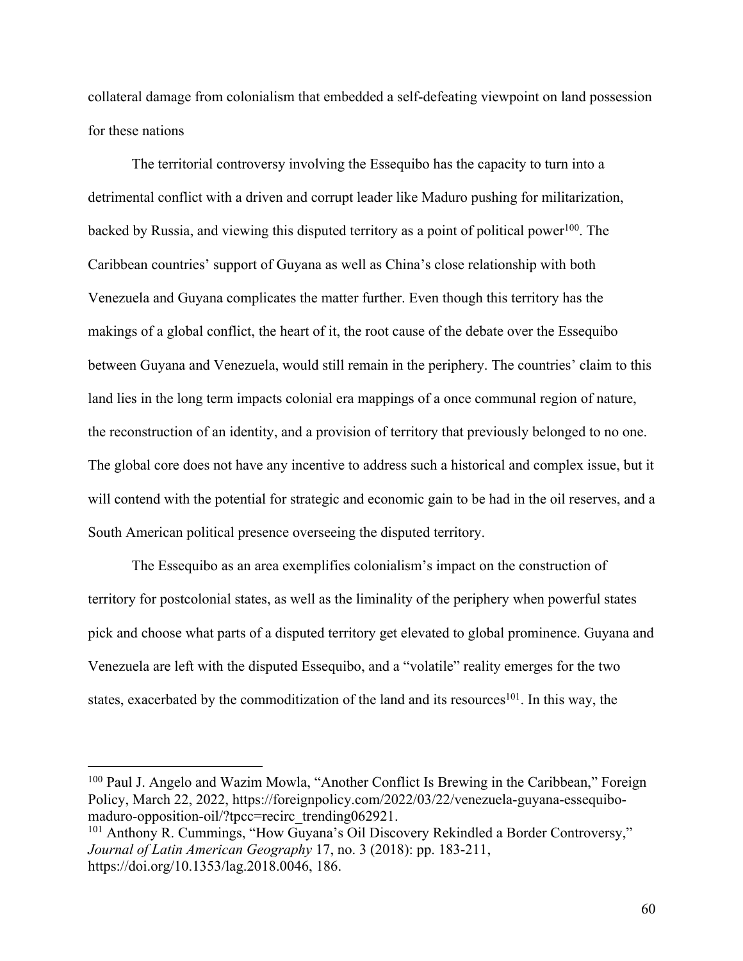collateral damage from colonialism that embedded a self-defeating viewpoint on land possession for these nations

The territorial controversy involving the Essequibo has the capacity to turn into a detrimental conflict with a driven and corrupt leader like Maduro pushing for militarization, backed by Russia, and viewing this disputed territory as a point of political power<sup>100</sup>. The Caribbean countries' support of Guyana as well as China's close relationship with both Venezuela and Guyana complicates the matter further. Even though this territory has the makings of a global conflict, the heart of it, the root cause of the debate over the Essequibo between Guyana and Venezuela, would still remain in the periphery. The countries' claim to this land lies in the long term impacts colonial era mappings of a once communal region of nature, the reconstruction of an identity, and a provision of territory that previously belonged to no one. The global core does not have any incentive to address such a historical and complex issue, but it will contend with the potential for strategic and economic gain to be had in the oil reserves, and a South American political presence overseeing the disputed territory.

The Essequibo as an area exemplifies colonialism's impact on the construction of territory for postcolonial states, as well as the liminality of the periphery when powerful states pick and choose what parts of a disputed territory get elevated to global prominence. Guyana and Venezuela are left with the disputed Essequibo, and a "volatile" reality emerges for the two states, exacerbated by the commoditization of the land and its resources<sup>101</sup>. In this way, the

<sup>100</sup> Paul J. Angelo and Wazim Mowla, "Another Conflict Is Brewing in the Caribbean," Foreign Policy, March 22, 2022, https://foreignpolicy.com/2022/03/22/venezuela-guyana-essequibomaduro-opposition-oil/?tpcc=recirc\_trending062921.

<sup>&</sup>lt;sup>101</sup> Anthony R. Cummings, "How Guyana's Oil Discovery Rekindled a Border Controversy," *Journal of Latin American Geography* 17, no. 3 (2018): pp. 183-211, https://doi.org/10.1353/lag.2018.0046, 186.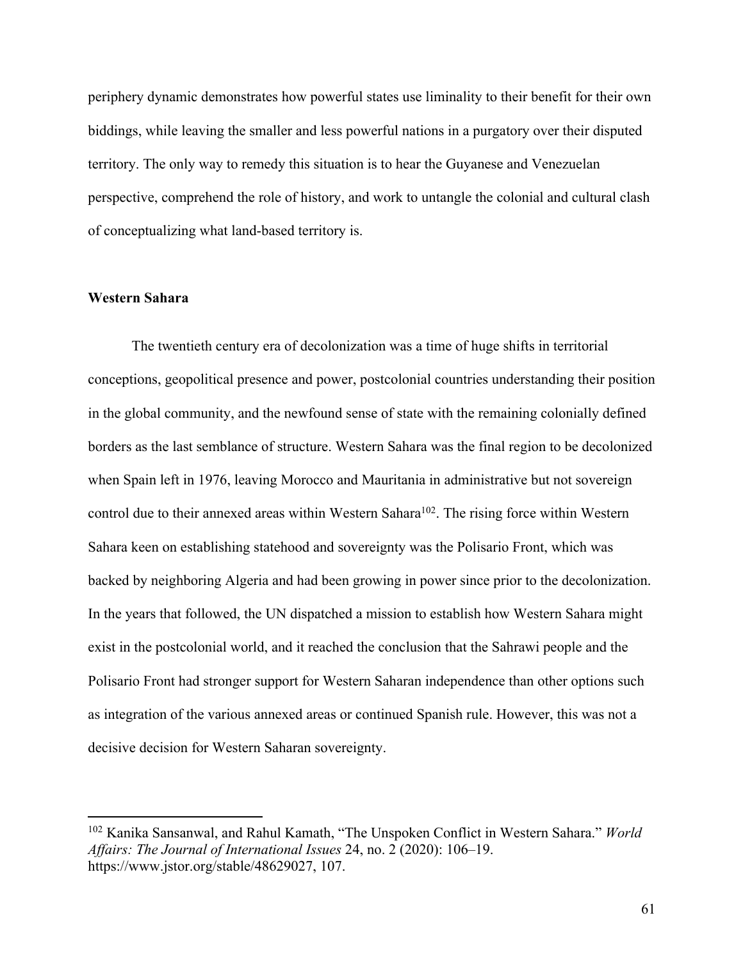periphery dynamic demonstrates how powerful states use liminality to their benefit for their own biddings, while leaving the smaller and less powerful nations in a purgatory over their disputed territory. The only way to remedy this situation is to hear the Guyanese and Venezuelan perspective, comprehend the role of history, and work to untangle the colonial and cultural clash of conceptualizing what land-based territory is.

### **Western Sahara**

The twentieth century era of decolonization was a time of huge shifts in territorial conceptions, geopolitical presence and power, postcolonial countries understanding their position in the global community, and the newfound sense of state with the remaining colonially defined borders as the last semblance of structure. Western Sahara was the final region to be decolonized when Spain left in 1976, leaving Morocco and Mauritania in administrative but not sovereign control due to their annexed areas within Western Sahara<sup>102</sup>. The rising force within Western Sahara keen on establishing statehood and sovereignty was the Polisario Front, which was backed by neighboring Algeria and had been growing in power since prior to the decolonization. In the years that followed, the UN dispatched a mission to establish how Western Sahara might exist in the postcolonial world, and it reached the conclusion that the Sahrawi people and the Polisario Front had stronger support for Western Saharan independence than other options such as integration of the various annexed areas or continued Spanish rule. However, this was not a decisive decision for Western Saharan sovereignty.

<sup>102</sup> Kanika Sansanwal, and Rahul Kamath, "The Unspoken Conflict in Western Sahara." *World Affairs: The Journal of International Issues* 24, no. 2 (2020): 106–19. https://www.jstor.org/stable/48629027, 107.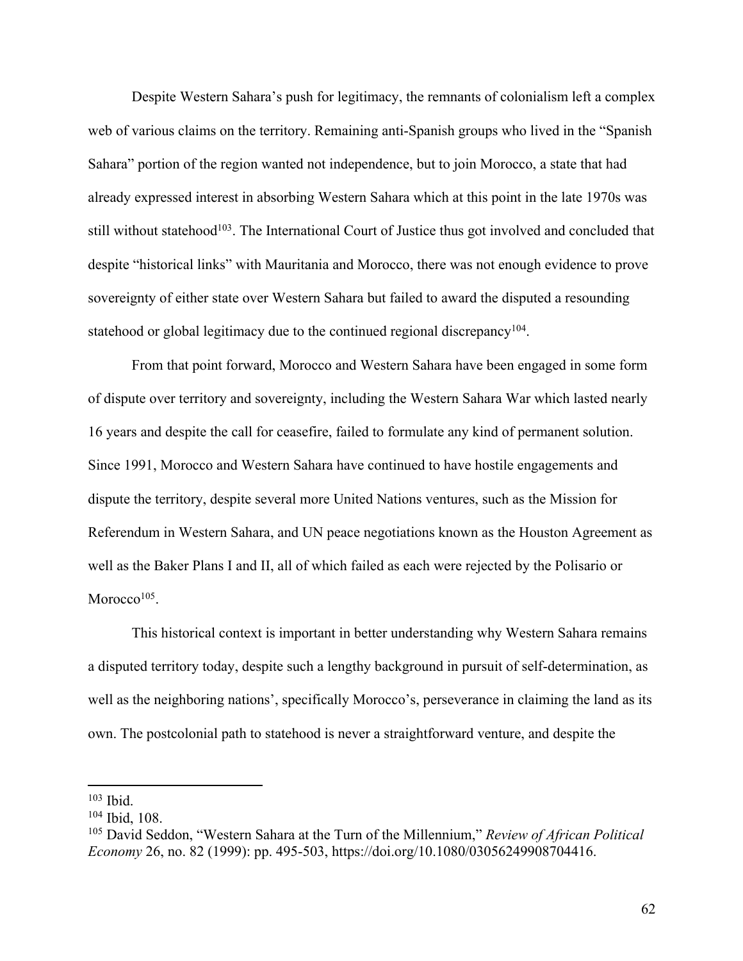Despite Western Sahara's push for legitimacy, the remnants of colonialism left a complex web of various claims on the territory. Remaining anti-Spanish groups who lived in the "Spanish Sahara" portion of the region wanted not independence, but to join Morocco, a state that had already expressed interest in absorbing Western Sahara which at this point in the late 1970s was still without statehood<sup>103</sup>. The International Court of Justice thus got involved and concluded that despite "historical links" with Mauritania and Morocco, there was not enough evidence to prove sovereignty of either state over Western Sahara but failed to award the disputed a resounding statehood or global legitimacy due to the continued regional discrepancy<sup>104</sup>.

From that point forward, Morocco and Western Sahara have been engaged in some form of dispute over territory and sovereignty, including the Western Sahara War which lasted nearly 16 years and despite the call for ceasefire, failed to formulate any kind of permanent solution. Since 1991, Morocco and Western Sahara have continued to have hostile engagements and dispute the territory, despite several more United Nations ventures, such as the Mission for Referendum in Western Sahara, and UN peace negotiations known as the Houston Agreement as well as the Baker Plans I and II, all of which failed as each were rejected by the Polisario or Morocco $105$ .

This historical context is important in better understanding why Western Sahara remains a disputed territory today, despite such a lengthy background in pursuit of self-determination, as well as the neighboring nations', specifically Morocco's, perseverance in claiming the land as its own. The postcolonial path to statehood is never a straightforward venture, and despite the

<sup>103</sup> Ibid.

<sup>104</sup> Ibid, 108.

<sup>105</sup> David Seddon, "Western Sahara at the Turn of the Millennium," *Review of African Political Economy* 26, no. 82 (1999): pp. 495-503, https://doi.org/10.1080/03056249908704416.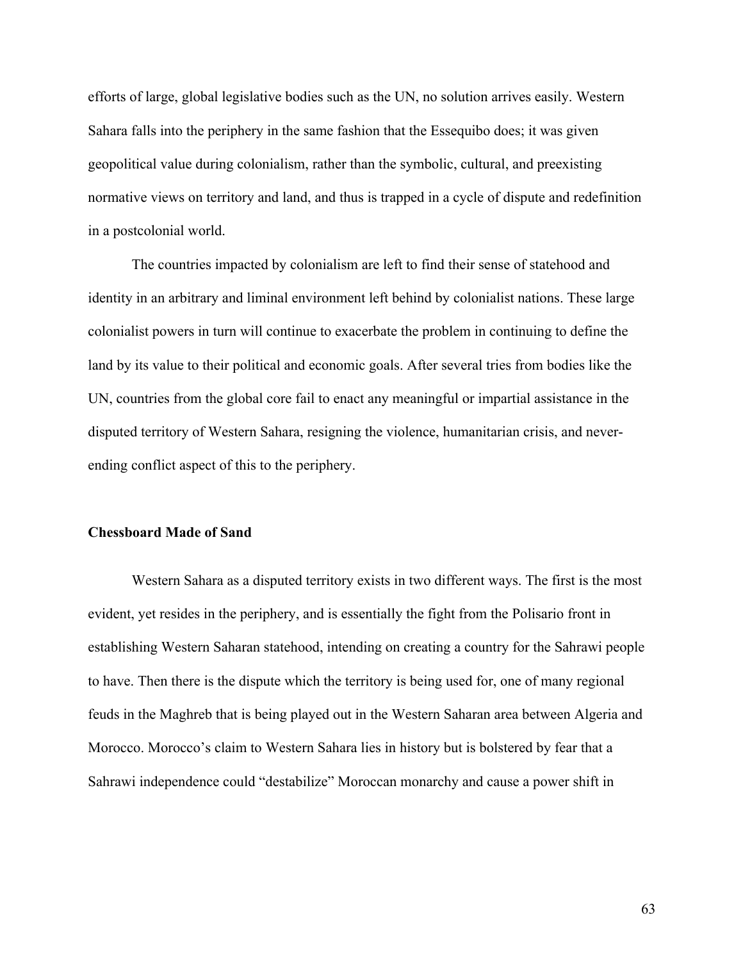efforts of large, global legislative bodies such as the UN, no solution arrives easily. Western Sahara falls into the periphery in the same fashion that the Essequibo does; it was given geopolitical value during colonialism, rather than the symbolic, cultural, and preexisting normative views on territory and land, and thus is trapped in a cycle of dispute and redefinition in a postcolonial world.

The countries impacted by colonialism are left to find their sense of statehood and identity in an arbitrary and liminal environment left behind by colonialist nations. These large colonialist powers in turn will continue to exacerbate the problem in continuing to define the land by its value to their political and economic goals. After several tries from bodies like the UN, countries from the global core fail to enact any meaningful or impartial assistance in the disputed territory of Western Sahara, resigning the violence, humanitarian crisis, and neverending conflict aspect of this to the periphery.

### **Chessboard Made of Sand**

Western Sahara as a disputed territory exists in two different ways. The first is the most evident, yet resides in the periphery, and is essentially the fight from the Polisario front in establishing Western Saharan statehood, intending on creating a country for the Sahrawi people to have. Then there is the dispute which the territory is being used for, one of many regional feuds in the Maghreb that is being played out in the Western Saharan area between Algeria and Morocco. Morocco's claim to Western Sahara lies in history but is bolstered by fear that a Sahrawi independence could "destabilize" Moroccan monarchy and cause a power shift in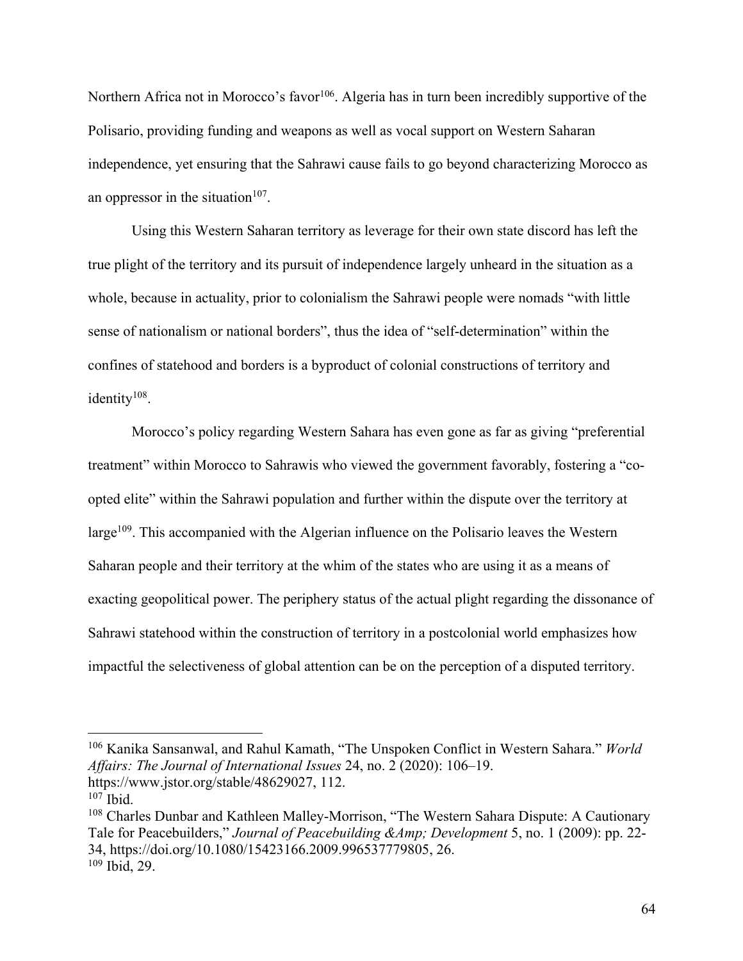Northern Africa not in Morocco's favor<sup>106</sup>. Algeria has in turn been incredibly supportive of the Polisario, providing funding and weapons as well as vocal support on Western Saharan independence, yet ensuring that the Sahrawi cause fails to go beyond characterizing Morocco as an oppressor in the situation $107$ .

Using this Western Saharan territory as leverage for their own state discord has left the true plight of the territory and its pursuit of independence largely unheard in the situation as a whole, because in actuality, prior to colonialism the Sahrawi people were nomads "with little sense of nationalism or national borders", thus the idea of "self-determination" within the confines of statehood and borders is a byproduct of colonial constructions of territory and identity<sup>108</sup>.

Morocco's policy regarding Western Sahara has even gone as far as giving "preferential treatment" within Morocco to Sahrawis who viewed the government favorably, fostering a "coopted elite" within the Sahrawi population and further within the dispute over the territory at large<sup>109</sup>. This accompanied with the Algerian influence on the Polisario leaves the Western Saharan people and their territory at the whim of the states who are using it as a means of exacting geopolitical power. The periphery status of the actual plight regarding the dissonance of Sahrawi statehood within the construction of territory in a postcolonial world emphasizes how impactful the selectiveness of global attention can be on the perception of a disputed territory.

<sup>106</sup> Kanika Sansanwal, and Rahul Kamath, "The Unspoken Conflict in Western Sahara." *World Affairs: The Journal of International Issues* 24, no. 2 (2020): 106–19. https://www.jstor.org/stable/48629027, 112.

 $107$  Ibid.

<sup>108</sup> Charles Dunbar and Kathleen Malley-Morrison, "The Western Sahara Dispute: A Cautionary Tale for Peacebuilders," *Journal of Peacebuilding &Amp; Development* 5, no. 1 (2009): pp. 22- 34, https://doi.org/10.1080/15423166.2009.996537779805, 26. <sup>109</sup> Ibid, 29.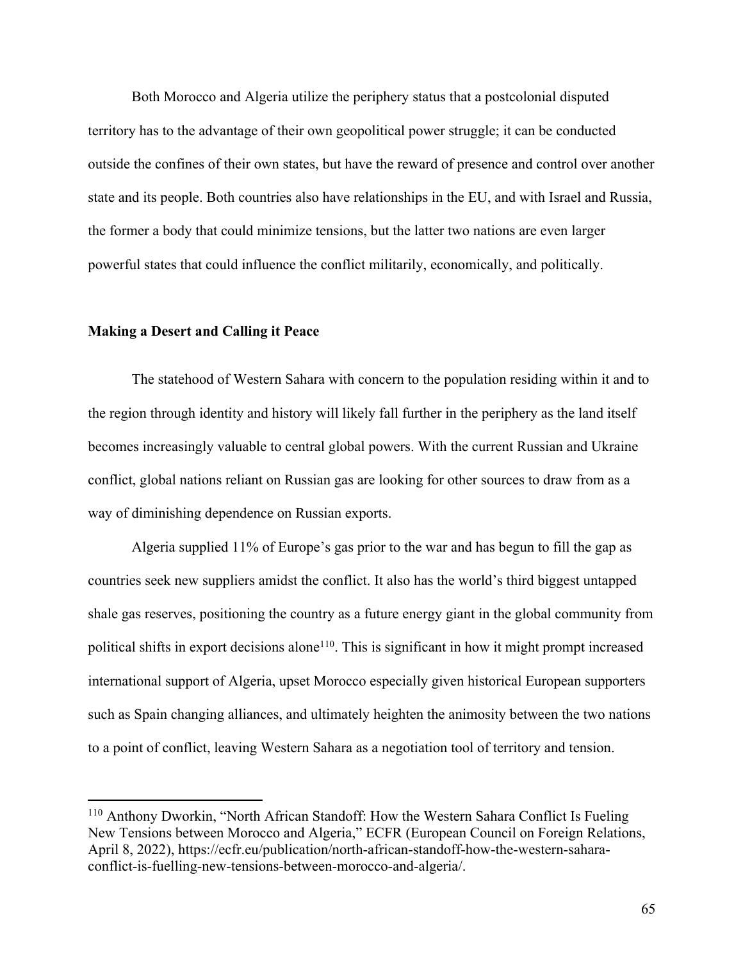Both Morocco and Algeria utilize the periphery status that a postcolonial disputed territory has to the advantage of their own geopolitical power struggle; it can be conducted outside the confines of their own states, but have the reward of presence and control over another state and its people. Both countries also have relationships in the EU, and with Israel and Russia, the former a body that could minimize tensions, but the latter two nations are even larger powerful states that could influence the conflict militarily, economically, and politically.

## **Making a Desert and Calling it Peace**

The statehood of Western Sahara with concern to the population residing within it and to the region through identity and history will likely fall further in the periphery as the land itself becomes increasingly valuable to central global powers. With the current Russian and Ukraine conflict, global nations reliant on Russian gas are looking for other sources to draw from as a way of diminishing dependence on Russian exports.

Algeria supplied 11% of Europe's gas prior to the war and has begun to fill the gap as countries seek new suppliers amidst the conflict. It also has the world's third biggest untapped shale gas reserves, positioning the country as a future energy giant in the global community from political shifts in export decisions alone<sup>110</sup>. This is significant in how it might prompt increased international support of Algeria, upset Morocco especially given historical European supporters such as Spain changing alliances, and ultimately heighten the animosity between the two nations to a point of conflict, leaving Western Sahara as a negotiation tool of territory and tension.

<sup>&</sup>lt;sup>110</sup> Anthony Dworkin, "North African Standoff: How the Western Sahara Conflict Is Fueling New Tensions between Morocco and Algeria," ECFR (European Council on Foreign Relations, April 8, 2022), https://ecfr.eu/publication/north-african-standoff-how-the-western-saharaconflict-is-fuelling-new-tensions-between-morocco-and-algeria/.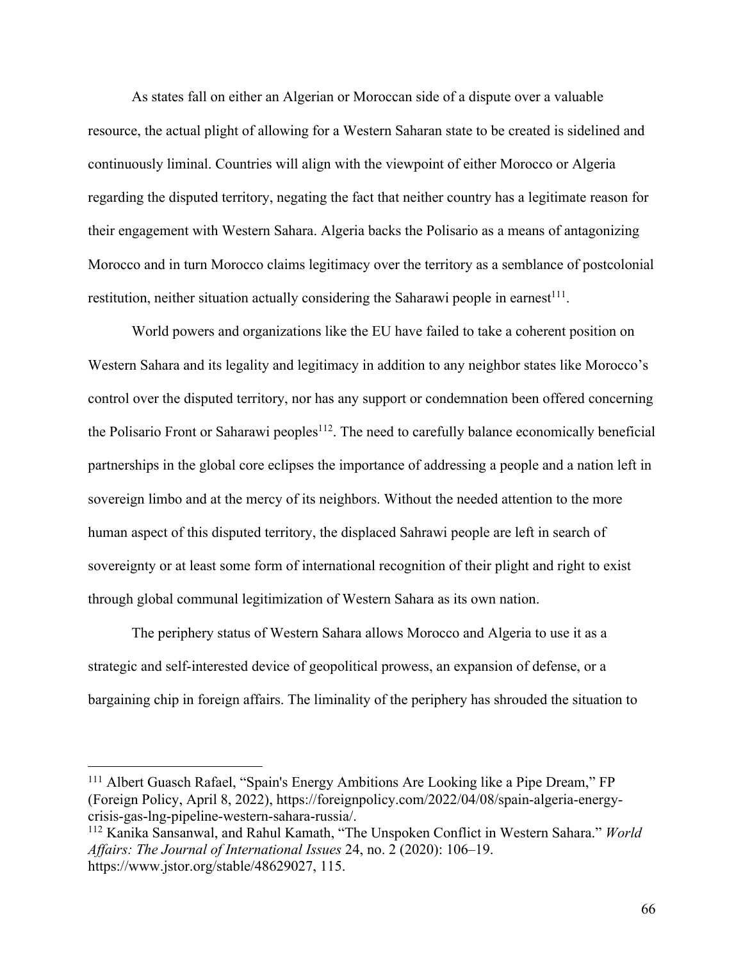As states fall on either an Algerian or Moroccan side of a dispute over a valuable resource, the actual plight of allowing for a Western Saharan state to be created is sidelined and continuously liminal. Countries will align with the viewpoint of either Morocco or Algeria regarding the disputed territory, negating the fact that neither country has a legitimate reason for their engagement with Western Sahara. Algeria backs the Polisario as a means of antagonizing Morocco and in turn Morocco claims legitimacy over the territory as a semblance of postcolonial restitution, neither situation actually considering the Saharawi people in earnest<sup>111</sup>.

World powers and organizations like the EU have failed to take a coherent position on Western Sahara and its legality and legitimacy in addition to any neighbor states like Morocco's control over the disputed territory, nor has any support or condemnation been offered concerning the Polisario Front or Saharawi peoples<sup>112</sup>. The need to carefully balance economically beneficial partnerships in the global core eclipses the importance of addressing a people and a nation left in sovereign limbo and at the mercy of its neighbors. Without the needed attention to the more human aspect of this disputed territory, the displaced Sahrawi people are left in search of sovereignty or at least some form of international recognition of their plight and right to exist through global communal legitimization of Western Sahara as its own nation.

The periphery status of Western Sahara allows Morocco and Algeria to use it as a strategic and self-interested device of geopolitical prowess, an expansion of defense, or a bargaining chip in foreign affairs. The liminality of the periphery has shrouded the situation to

<sup>&</sup>lt;sup>111</sup> Albert Guasch Rafael, "Spain's Energy Ambitions Are Looking like a Pipe Dream," FP (Foreign Policy, April 8, 2022), https://foreignpolicy.com/2022/04/08/spain-algeria-energycrisis-gas-lng-pipeline-western-sahara-russia/.

<sup>112</sup> Kanika Sansanwal, and Rahul Kamath, "The Unspoken Conflict in Western Sahara." *World Affairs: The Journal of International Issues* 24, no. 2 (2020): 106–19. https://www.jstor.org/stable/48629027, 115.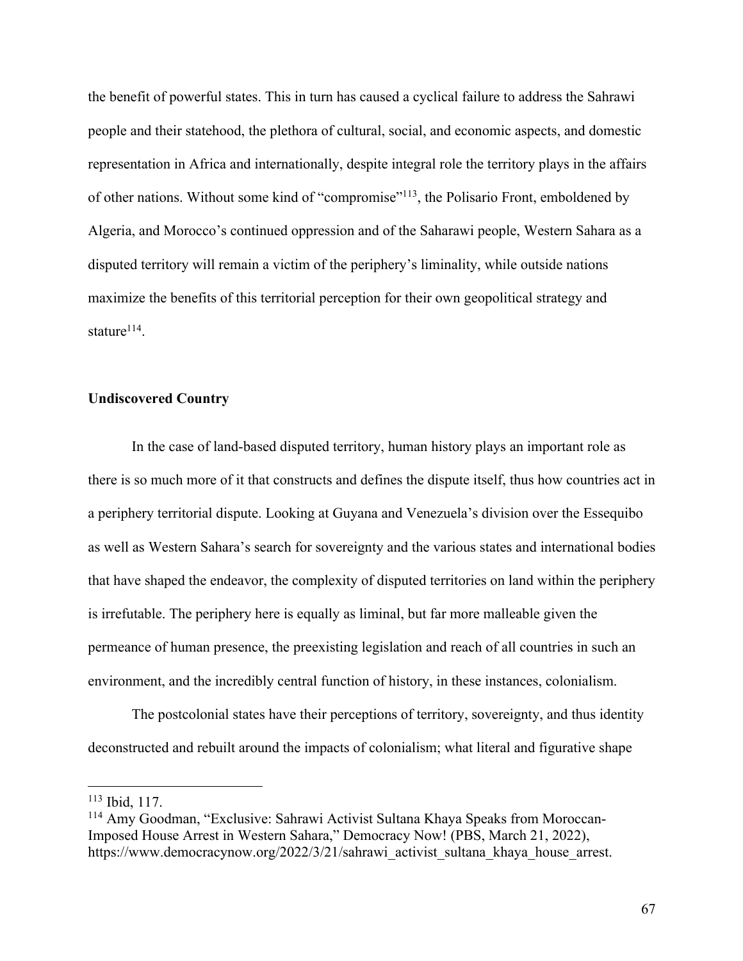the benefit of powerful states. This in turn has caused a cyclical failure to address the Sahrawi people and their statehood, the plethora of cultural, social, and economic aspects, and domestic representation in Africa and internationally, despite integral role the territory plays in the affairs of other nations. Without some kind of "compromise"113, the Polisario Front, emboldened by Algeria, and Morocco's continued oppression and of the Saharawi people, Western Sahara as a disputed territory will remain a victim of the periphery's liminality, while outside nations maximize the benefits of this territorial perception for their own geopolitical strategy and stature $114$ .

## **Undiscovered Country**

In the case of land-based disputed territory, human history plays an important role as there is so much more of it that constructs and defines the dispute itself, thus how countries act in a periphery territorial dispute. Looking at Guyana and Venezuela's division over the Essequibo as well as Western Sahara's search for sovereignty and the various states and international bodies that have shaped the endeavor, the complexity of disputed territories on land within the periphery is irrefutable. The periphery here is equally as liminal, but far more malleable given the permeance of human presence, the preexisting legislation and reach of all countries in such an environment, and the incredibly central function of history, in these instances, colonialism.

The postcolonial states have their perceptions of territory, sovereignty, and thus identity deconstructed and rebuilt around the impacts of colonialism; what literal and figurative shape

<sup>113</sup> Ibid, 117.

<sup>114</sup> Amy Goodman, "Exclusive: Sahrawi Activist Sultana Khaya Speaks from Moroccan-Imposed House Arrest in Western Sahara," Democracy Now! (PBS, March 21, 2022), https://www.democracynow.org/2022/3/21/sahrawi\_activist\_sultana\_khaya\_house\_arrest.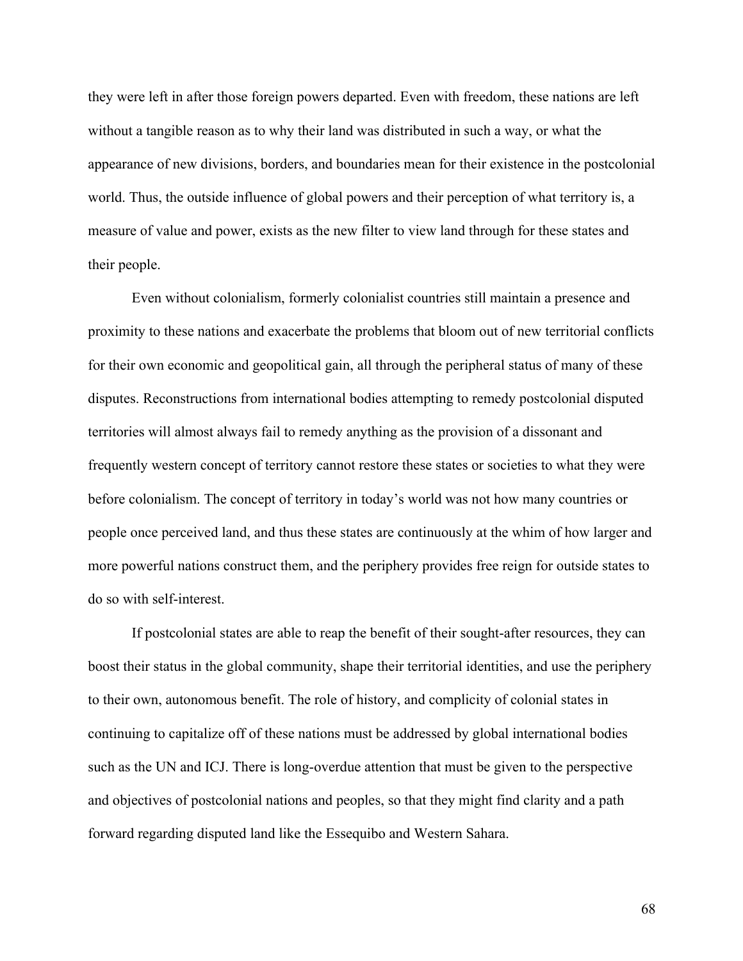they were left in after those foreign powers departed. Even with freedom, these nations are left without a tangible reason as to why their land was distributed in such a way, or what the appearance of new divisions, borders, and boundaries mean for their existence in the postcolonial world. Thus, the outside influence of global powers and their perception of what territory is, a measure of value and power, exists as the new filter to view land through for these states and their people.

Even without colonialism, formerly colonialist countries still maintain a presence and proximity to these nations and exacerbate the problems that bloom out of new territorial conflicts for their own economic and geopolitical gain, all through the peripheral status of many of these disputes. Reconstructions from international bodies attempting to remedy postcolonial disputed territories will almost always fail to remedy anything as the provision of a dissonant and frequently western concept of territory cannot restore these states or societies to what they were before colonialism. The concept of territory in today's world was not how many countries or people once perceived land, and thus these states are continuously at the whim of how larger and more powerful nations construct them, and the periphery provides free reign for outside states to do so with self-interest.

If postcolonial states are able to reap the benefit of their sought-after resources, they can boost their status in the global community, shape their territorial identities, and use the periphery to their own, autonomous benefit. The role of history, and complicity of colonial states in continuing to capitalize off of these nations must be addressed by global international bodies such as the UN and ICJ. There is long-overdue attention that must be given to the perspective and objectives of postcolonial nations and peoples, so that they might find clarity and a path forward regarding disputed land like the Essequibo and Western Sahara.

68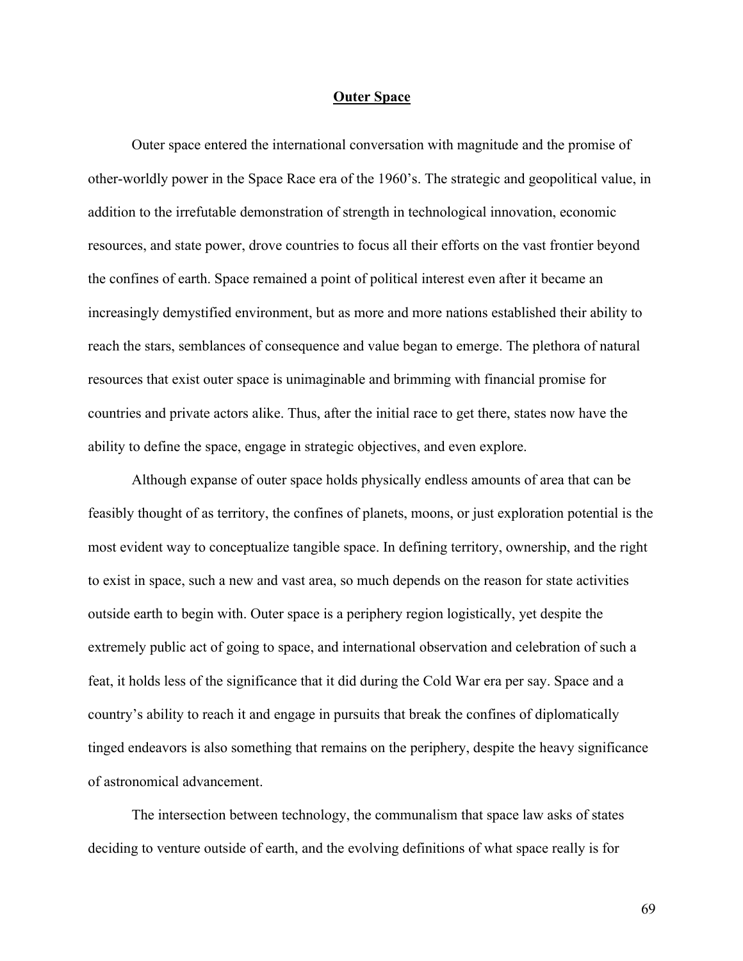### **Outer Space**

Outer space entered the international conversation with magnitude and the promise of other-worldly power in the Space Race era of the 1960's. The strategic and geopolitical value, in addition to the irrefutable demonstration of strength in technological innovation, economic resources, and state power, drove countries to focus all their efforts on the vast frontier beyond the confines of earth. Space remained a point of political interest even after it became an increasingly demystified environment, but as more and more nations established their ability to reach the stars, semblances of consequence and value began to emerge. The plethora of natural resources that exist outer space is unimaginable and brimming with financial promise for countries and private actors alike. Thus, after the initial race to get there, states now have the ability to define the space, engage in strategic objectives, and even explore.

Although expanse of outer space holds physically endless amounts of area that can be feasibly thought of as territory, the confines of planets, moons, or just exploration potential is the most evident way to conceptualize tangible space. In defining territory, ownership, and the right to exist in space, such a new and vast area, so much depends on the reason for state activities outside earth to begin with. Outer space is a periphery region logistically, yet despite the extremely public act of going to space, and international observation and celebration of such a feat, it holds less of the significance that it did during the Cold War era per say. Space and a country's ability to reach it and engage in pursuits that break the confines of diplomatically tinged endeavors is also something that remains on the periphery, despite the heavy significance of astronomical advancement.

The intersection between technology, the communalism that space law asks of states deciding to venture outside of earth, and the evolving definitions of what space really is for

69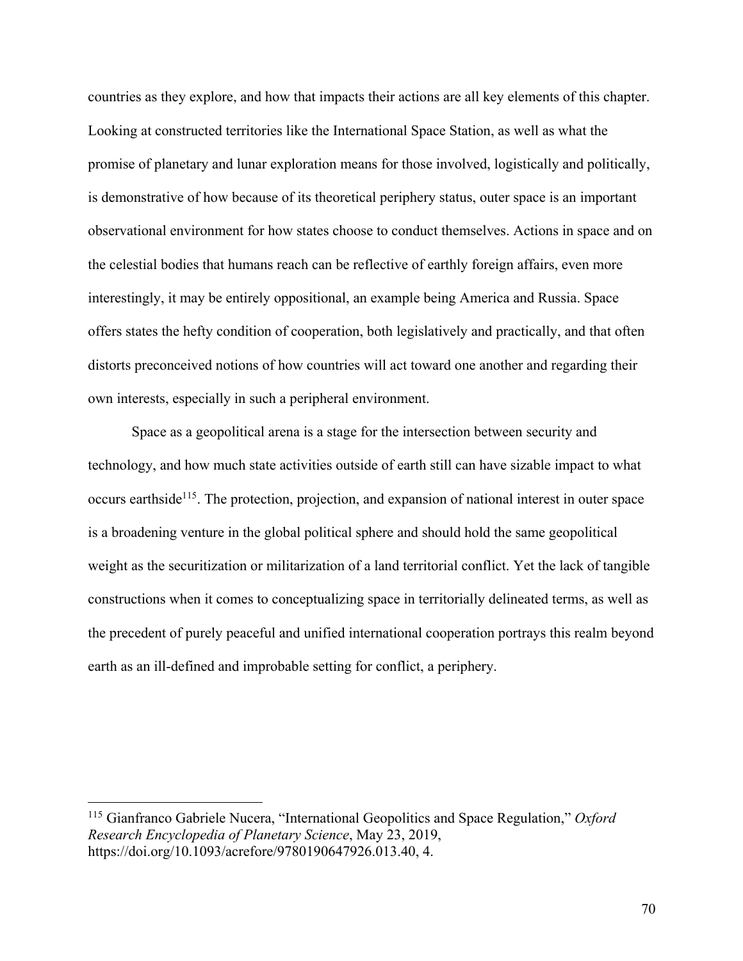countries as they explore, and how that impacts their actions are all key elements of this chapter. Looking at constructed territories like the International Space Station, as well as what the promise of planetary and lunar exploration means for those involved, logistically and politically, is demonstrative of how because of its theoretical periphery status, outer space is an important observational environment for how states choose to conduct themselves. Actions in space and on the celestial bodies that humans reach can be reflective of earthly foreign affairs, even more interestingly, it may be entirely oppositional, an example being America and Russia. Space offers states the hefty condition of cooperation, both legislatively and practically, and that often distorts preconceived notions of how countries will act toward one another and regarding their own interests, especially in such a peripheral environment.

Space as a geopolitical arena is a stage for the intersection between security and technology, and how much state activities outside of earth still can have sizable impact to what occurs earthside<sup>115</sup>. The protection, projection, and expansion of national interest in outer space is a broadening venture in the global political sphere and should hold the same geopolitical weight as the securitization or militarization of a land territorial conflict. Yet the lack of tangible constructions when it comes to conceptualizing space in territorially delineated terms, as well as the precedent of purely peaceful and unified international cooperation portrays this realm beyond earth as an ill-defined and improbable setting for conflict, a periphery.

<sup>115</sup> Gianfranco Gabriele Nucera, "International Geopolitics and Space Regulation," *Oxford Research Encyclopedia of Planetary Science*, May 23, 2019, https://doi.org/10.1093/acrefore/9780190647926.013.40, 4.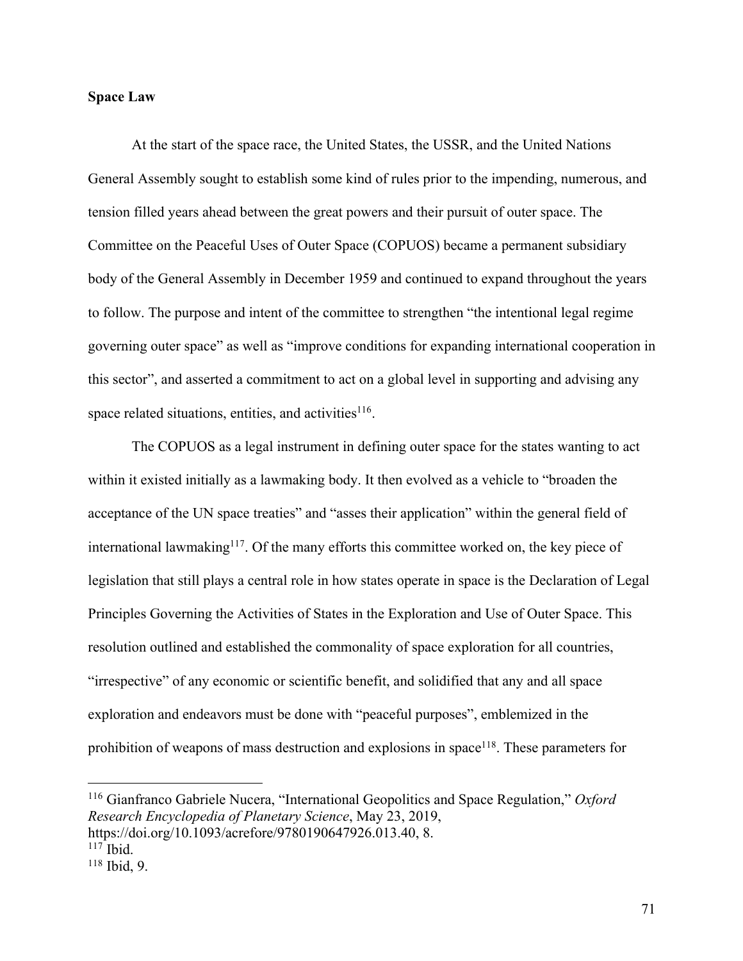# **Space Law**

At the start of the space race, the United States, the USSR, and the United Nations General Assembly sought to establish some kind of rules prior to the impending, numerous, and tension filled years ahead between the great powers and their pursuit of outer space. The Committee on the Peaceful Uses of Outer Space (COPUOS) became a permanent subsidiary body of the General Assembly in December 1959 and continued to expand throughout the years to follow. The purpose and intent of the committee to strengthen "the intentional legal regime governing outer space" as well as "improve conditions for expanding international cooperation in this sector", and asserted a commitment to act on a global level in supporting and advising any space related situations, entities, and activities<sup>116</sup>.

The COPUOS as a legal instrument in defining outer space for the states wanting to act within it existed initially as a lawmaking body. It then evolved as a vehicle to "broaden the acceptance of the UN space treaties" and "asses their application" within the general field of international lawmaking<sup>117</sup>. Of the many efforts this committee worked on, the key piece of legislation that still plays a central role in how states operate in space is the Declaration of Legal Principles Governing the Activities of States in the Exploration and Use of Outer Space. This resolution outlined and established the commonality of space exploration for all countries, "irrespective" of any economic or scientific benefit, and solidified that any and all space exploration and endeavors must be done with "peaceful purposes", emblemized in the prohibition of weapons of mass destruction and explosions in space<sup>118</sup>. These parameters for

<sup>116</sup> Gianfranco Gabriele Nucera, "International Geopolitics and Space Regulation," *Oxford Research Encyclopedia of Planetary Science*, May 23, 2019, https://doi.org/10.1093/acrefore/9780190647926.013.40, 8.

 $117$  Ibid.

<sup>118</sup> Ibid, 9.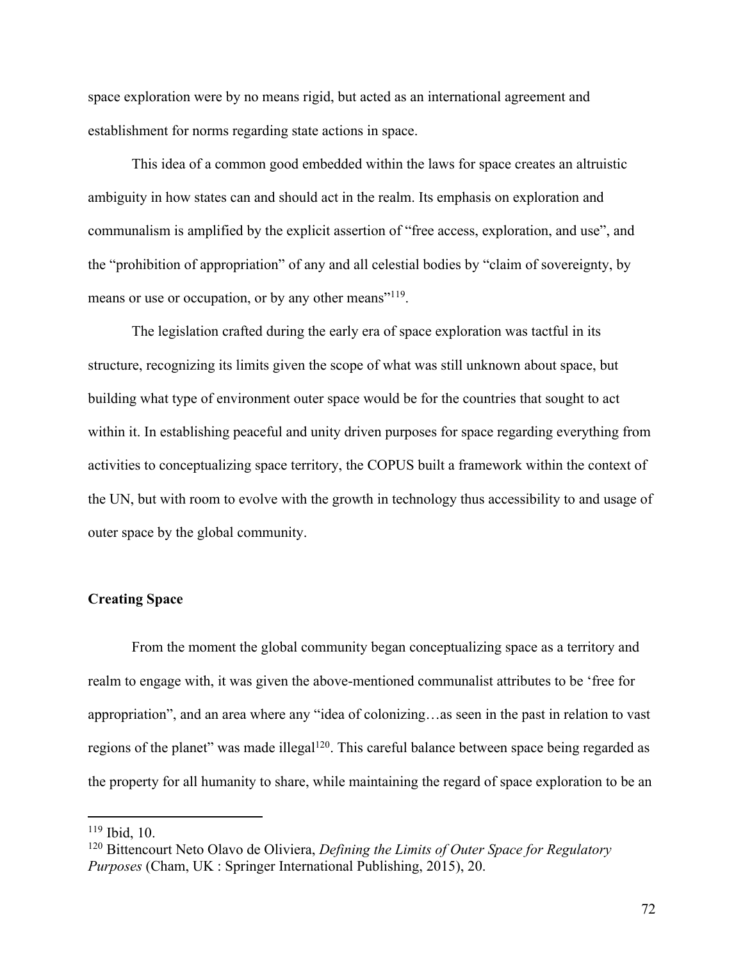space exploration were by no means rigid, but acted as an international agreement and establishment for norms regarding state actions in space.

This idea of a common good embedded within the laws for space creates an altruistic ambiguity in how states can and should act in the realm. Its emphasis on exploration and communalism is amplified by the explicit assertion of "free access, exploration, and use", and the "prohibition of appropriation" of any and all celestial bodies by "claim of sovereignty, by means or use or occupation, or by any other means"<sup>119</sup>.

The legislation crafted during the early era of space exploration was tactful in its structure, recognizing its limits given the scope of what was still unknown about space, but building what type of environment outer space would be for the countries that sought to act within it. In establishing peaceful and unity driven purposes for space regarding everything from activities to conceptualizing space territory, the COPUS built a framework within the context of the UN, but with room to evolve with the growth in technology thus accessibility to and usage of outer space by the global community.

# **Creating Space**

From the moment the global community began conceptualizing space as a territory and realm to engage with, it was given the above-mentioned communalist attributes to be 'free for appropriation", and an area where any "idea of colonizing…as seen in the past in relation to vast regions of the planet" was made illegal<sup>120</sup>. This careful balance between space being regarded as the property for all humanity to share, while maintaining the regard of space exploration to be an

<sup>119</sup> Ibid, 10.

<sup>120</sup> Bittencourt Neto Olavo de Oliviera, *Defining the Limits of Outer Space for Regulatory Purposes* (Cham, UK : Springer International Publishing, 2015), 20.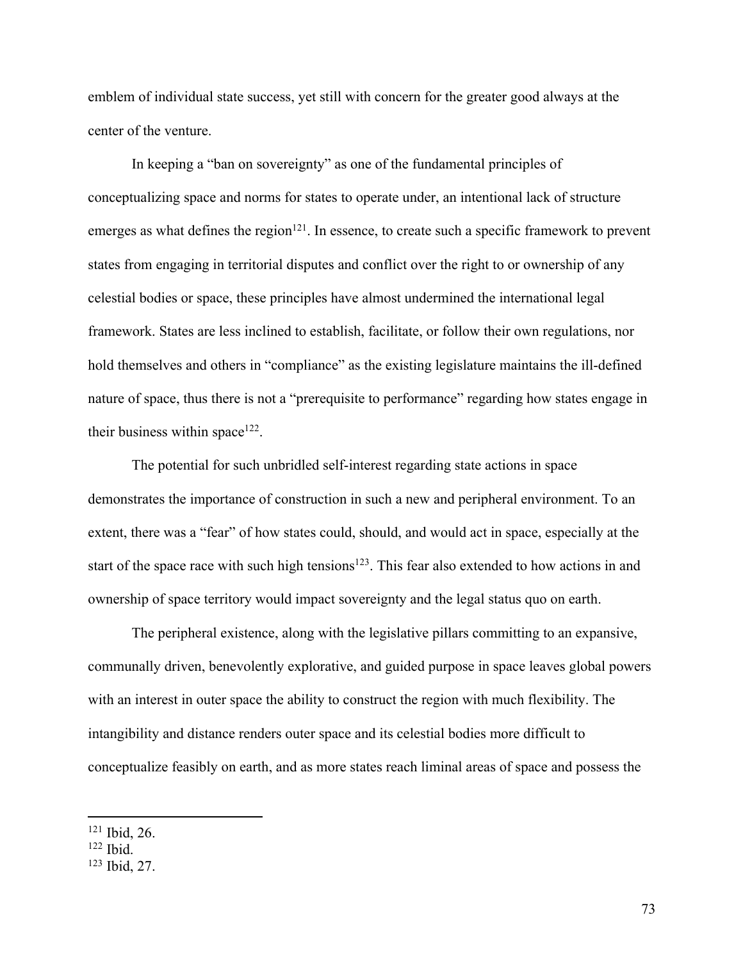emblem of individual state success, yet still with concern for the greater good always at the center of the venture.

In keeping a "ban on sovereignty" as one of the fundamental principles of conceptualizing space and norms for states to operate under, an intentional lack of structure emerges as what defines the region<sup>121</sup>. In essence, to create such a specific framework to prevent states from engaging in territorial disputes and conflict over the right to or ownership of any celestial bodies or space, these principles have almost undermined the international legal framework. States are less inclined to establish, facilitate, or follow their own regulations, nor hold themselves and others in "compliance" as the existing legislature maintains the ill-defined nature of space, thus there is not a "prerequisite to performance" regarding how states engage in their business within space $122$ .

The potential for such unbridled self-interest regarding state actions in space demonstrates the importance of construction in such a new and peripheral environment. To an extent, there was a "fear" of how states could, should, and would act in space, especially at the start of the space race with such high tensions<sup>123</sup>. This fear also extended to how actions in and ownership of space territory would impact sovereignty and the legal status quo on earth.

The peripheral existence, along with the legislative pillars committing to an expansive, communally driven, benevolently explorative, and guided purpose in space leaves global powers with an interest in outer space the ability to construct the region with much flexibility. The intangibility and distance renders outer space and its celestial bodies more difficult to conceptualize feasibly on earth, and as more states reach liminal areas of space and possess the

<sup>121</sup> Ibid, 26.

<sup>122</sup> Ibid.

<sup>123</sup> Ibid, 27.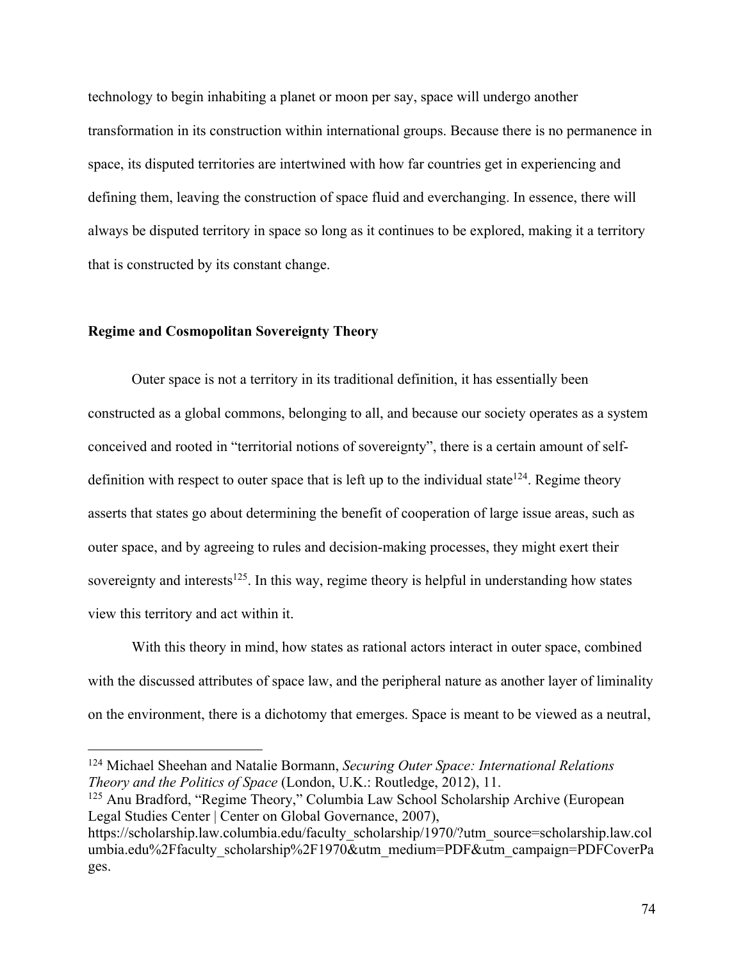technology to begin inhabiting a planet or moon per say, space will undergo another transformation in its construction within international groups. Because there is no permanence in space, its disputed territories are intertwined with how far countries get in experiencing and defining them, leaving the construction of space fluid and everchanging. In essence, there will always be disputed territory in space so long as it continues to be explored, making it a territory that is constructed by its constant change.

## **Regime and Cosmopolitan Sovereignty Theory**

Outer space is not a territory in its traditional definition, it has essentially been constructed as a global commons, belonging to all, and because our society operates as a system conceived and rooted in "territorial notions of sovereignty", there is a certain amount of selfdefinition with respect to outer space that is left up to the individual state  $124$ . Regime theory asserts that states go about determining the benefit of cooperation of large issue areas, such as outer space, and by agreeing to rules and decision-making processes, they might exert their sovereignty and interests $125$ . In this way, regime theory is helpful in understanding how states view this territory and act within it.

With this theory in mind, how states as rational actors interact in outer space, combined with the discussed attributes of space law, and the peripheral nature as another layer of liminality on the environment, there is a dichotomy that emerges. Space is meant to be viewed as a neutral,

<sup>124</sup> Michael Sheehan and Natalie Bormann, *Securing Outer Space: International Relations Theory and the Politics of Space* (London, U.K.: Routledge, 2012), 11.

<sup>125</sup> Anu Bradford, "Regime Theory," Columbia Law School Scholarship Archive (European Legal Studies Center | Center on Global Governance, 2007),

https://scholarship.law.columbia.edu/faculty\_scholarship/1970/?utm\_source=scholarship.law.col umbia.edu%2Ffaculty\_scholarship%2F1970&utm\_medium=PDF&utm\_campaign=PDFCoverPa ges.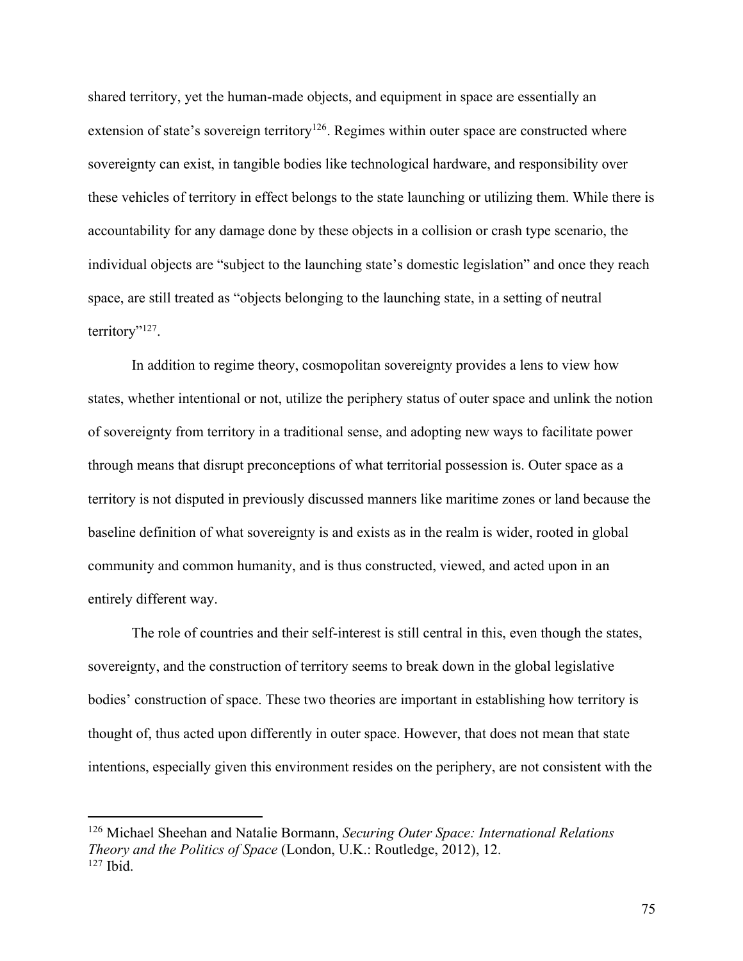shared territory, yet the human-made objects, and equipment in space are essentially an extension of state's sovereign territory<sup>126</sup>. Regimes within outer space are constructed where sovereignty can exist, in tangible bodies like technological hardware, and responsibility over these vehicles of territory in effect belongs to the state launching or utilizing them. While there is accountability for any damage done by these objects in a collision or crash type scenario, the individual objects are "subject to the launching state's domestic legislation" and once they reach space, are still treated as "objects belonging to the launching state, in a setting of neutral territory"<sup>127</sup>.

In addition to regime theory, cosmopolitan sovereignty provides a lens to view how states, whether intentional or not, utilize the periphery status of outer space and unlink the notion of sovereignty from territory in a traditional sense, and adopting new ways to facilitate power through means that disrupt preconceptions of what territorial possession is. Outer space as a territory is not disputed in previously discussed manners like maritime zones or land because the baseline definition of what sovereignty is and exists as in the realm is wider, rooted in global community and common humanity, and is thus constructed, viewed, and acted upon in an entirely different way.

The role of countries and their self-interest is still central in this, even though the states, sovereignty, and the construction of territory seems to break down in the global legislative bodies' construction of space. These two theories are important in establishing how territory is thought of, thus acted upon differently in outer space. However, that does not mean that state intentions, especially given this environment resides on the periphery, are not consistent with the

<sup>126</sup> Michael Sheehan and Natalie Bormann, *Securing Outer Space: International Relations Theory and the Politics of Space* (London, U.K.: Routledge, 2012), 12. <sup>127</sup> Ibid.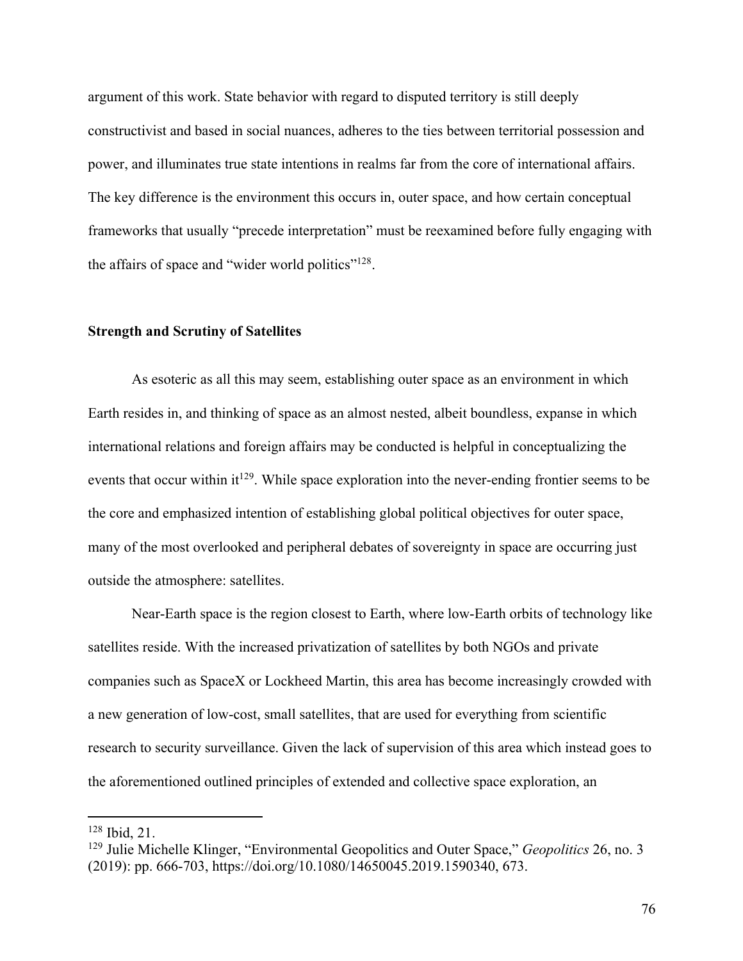argument of this work. State behavior with regard to disputed territory is still deeply constructivist and based in social nuances, adheres to the ties between territorial possession and power, and illuminates true state intentions in realms far from the core of international affairs. The key difference is the environment this occurs in, outer space, and how certain conceptual frameworks that usually "precede interpretation" must be reexamined before fully engaging with the affairs of space and "wider world politics"<sup>128</sup>.

## **Strength and Scrutiny of Satellites**

As esoteric as all this may seem, establishing outer space as an environment in which Earth resides in, and thinking of space as an almost nested, albeit boundless, expanse in which international relations and foreign affairs may be conducted is helpful in conceptualizing the events that occur within it<sup>129</sup>. While space exploration into the never-ending frontier seems to be the core and emphasized intention of establishing global political objectives for outer space, many of the most overlooked and peripheral debates of sovereignty in space are occurring just outside the atmosphere: satellites.

Near-Earth space is the region closest to Earth, where low-Earth orbits of technology like satellites reside. With the increased privatization of satellites by both NGOs and private companies such as SpaceX or Lockheed Martin, this area has become increasingly crowded with a new generation of low-cost, small satellites, that are used for everything from scientific research to security surveillance. Given the lack of supervision of this area which instead goes to the aforementioned outlined principles of extended and collective space exploration, an

<sup>128</sup> Ibid, 21.

<sup>129</sup> Julie Michelle Klinger, "Environmental Geopolitics and Outer Space," *Geopolitics* 26, no. 3 (2019): pp. 666-703, https://doi.org/10.1080/14650045.2019.1590340, 673.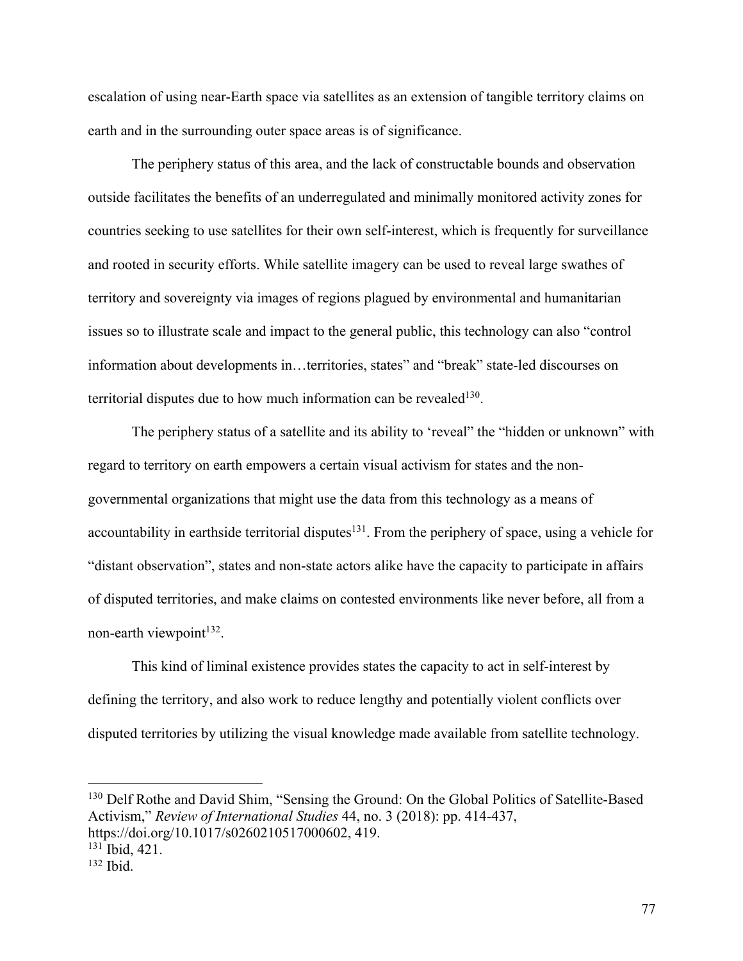escalation of using near-Earth space via satellites as an extension of tangible territory claims on earth and in the surrounding outer space areas is of significance.

The periphery status of this area, and the lack of constructable bounds and observation outside facilitates the benefits of an underregulated and minimally monitored activity zones for countries seeking to use satellites for their own self-interest, which is frequently for surveillance and rooted in security efforts. While satellite imagery can be used to reveal large swathes of territory and sovereignty via images of regions plagued by environmental and humanitarian issues so to illustrate scale and impact to the general public, this technology can also "control information about developments in…territories, states" and "break" state-led discourses on territorial disputes due to how much information can be revealed<sup>130</sup>.

The periphery status of a satellite and its ability to 'reveal" the "hidden or unknown" with regard to territory on earth empowers a certain visual activism for states and the nongovernmental organizations that might use the data from this technology as a means of accountability in earthside territorial disputes<sup>131</sup>. From the periphery of space, using a vehicle for "distant observation", states and non-state actors alike have the capacity to participate in affairs of disputed territories, and make claims on contested environments like never before, all from a non-earth viewpoint $132$ .

This kind of liminal existence provides states the capacity to act in self-interest by defining the territory, and also work to reduce lengthy and potentially violent conflicts over disputed territories by utilizing the visual knowledge made available from satellite technology.

<sup>130</sup> Delf Rothe and David Shim, "Sensing the Ground: On the Global Politics of Satellite-Based Activism," *Review of International Studies* 44, no. 3 (2018): pp. 414-437, https://doi.org/10.1017/s0260210517000602, 419.

<sup>131</sup> Ibid, 421.

 $132$  Ibid.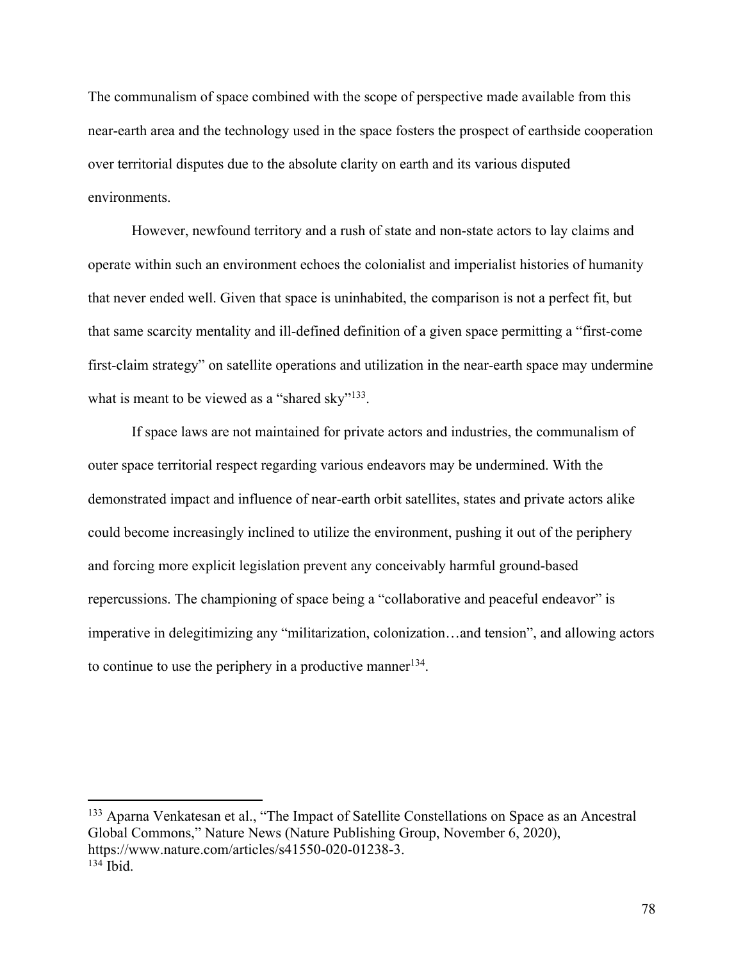The communalism of space combined with the scope of perspective made available from this near-earth area and the technology used in the space fosters the prospect of earthside cooperation over territorial disputes due to the absolute clarity on earth and its various disputed environments.

However, newfound territory and a rush of state and non-state actors to lay claims and operate within such an environment echoes the colonialist and imperialist histories of humanity that never ended well. Given that space is uninhabited, the comparison is not a perfect fit, but that same scarcity mentality and ill-defined definition of a given space permitting a "first-come first-claim strategy" on satellite operations and utilization in the near-earth space may undermine what is meant to be viewed as a "shared sky"<sup>133</sup>.

If space laws are not maintained for private actors and industries, the communalism of outer space territorial respect regarding various endeavors may be undermined. With the demonstrated impact and influence of near-earth orbit satellites, states and private actors alike could become increasingly inclined to utilize the environment, pushing it out of the periphery and forcing more explicit legislation prevent any conceivably harmful ground-based repercussions. The championing of space being a "collaborative and peaceful endeavor" is imperative in delegitimizing any "militarization, colonization…and tension", and allowing actors to continue to use the periphery in a productive manner<sup>134</sup>.

<sup>133</sup> Aparna Venkatesan et al., "The Impact of Satellite Constellations on Space as an Ancestral Global Commons," Nature News (Nature Publishing Group, November 6, 2020), https://www.nature.com/articles/s41550-020-01238-3. <sup>134</sup> Ibid.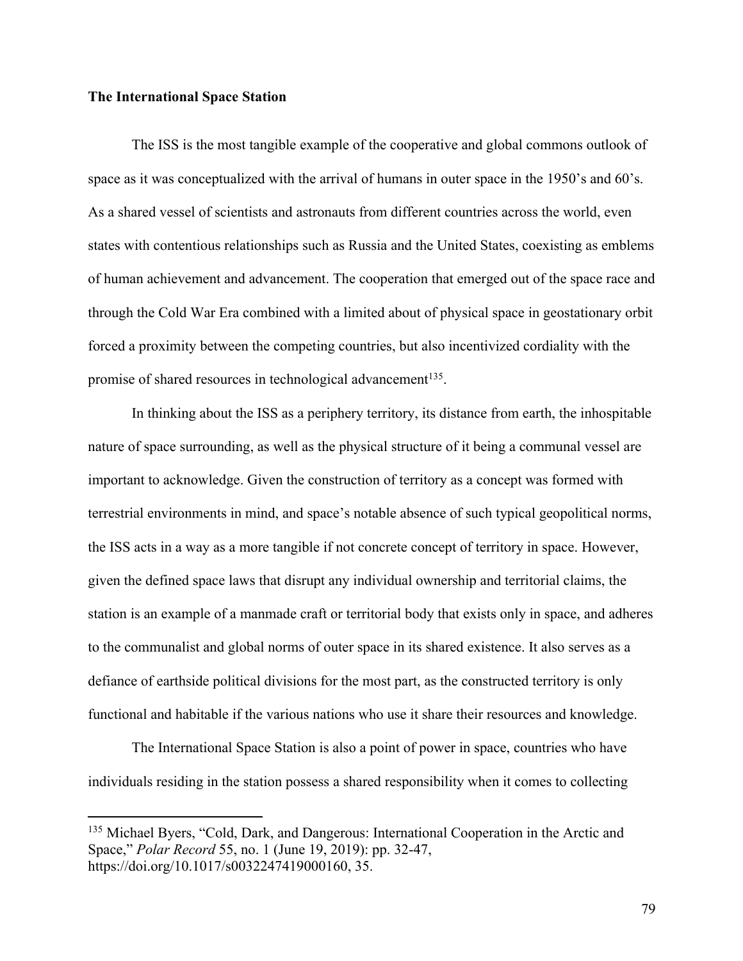# **The International Space Station**

The ISS is the most tangible example of the cooperative and global commons outlook of space as it was conceptualized with the arrival of humans in outer space in the 1950's and 60's. As a shared vessel of scientists and astronauts from different countries across the world, even states with contentious relationships such as Russia and the United States, coexisting as emblems of human achievement and advancement. The cooperation that emerged out of the space race and through the Cold War Era combined with a limited about of physical space in geostationary orbit forced a proximity between the competing countries, but also incentivized cordiality with the promise of shared resources in technological advancement<sup>135</sup>.

In thinking about the ISS as a periphery territory, its distance from earth, the inhospitable nature of space surrounding, as well as the physical structure of it being a communal vessel are important to acknowledge. Given the construction of territory as a concept was formed with terrestrial environments in mind, and space's notable absence of such typical geopolitical norms, the ISS acts in a way as a more tangible if not concrete concept of territory in space. However, given the defined space laws that disrupt any individual ownership and territorial claims, the station is an example of a manmade craft or territorial body that exists only in space, and adheres to the communalist and global norms of outer space in its shared existence. It also serves as a defiance of earthside political divisions for the most part, as the constructed territory is only functional and habitable if the various nations who use it share their resources and knowledge.

The International Space Station is also a point of power in space, countries who have individuals residing in the station possess a shared responsibility when it comes to collecting

<sup>&</sup>lt;sup>135</sup> Michael Byers, "Cold, Dark, and Dangerous: International Cooperation in the Arctic and Space," *Polar Record* 55, no. 1 (June 19, 2019): pp. 32-47, https://doi.org/10.1017/s0032247419000160, 35.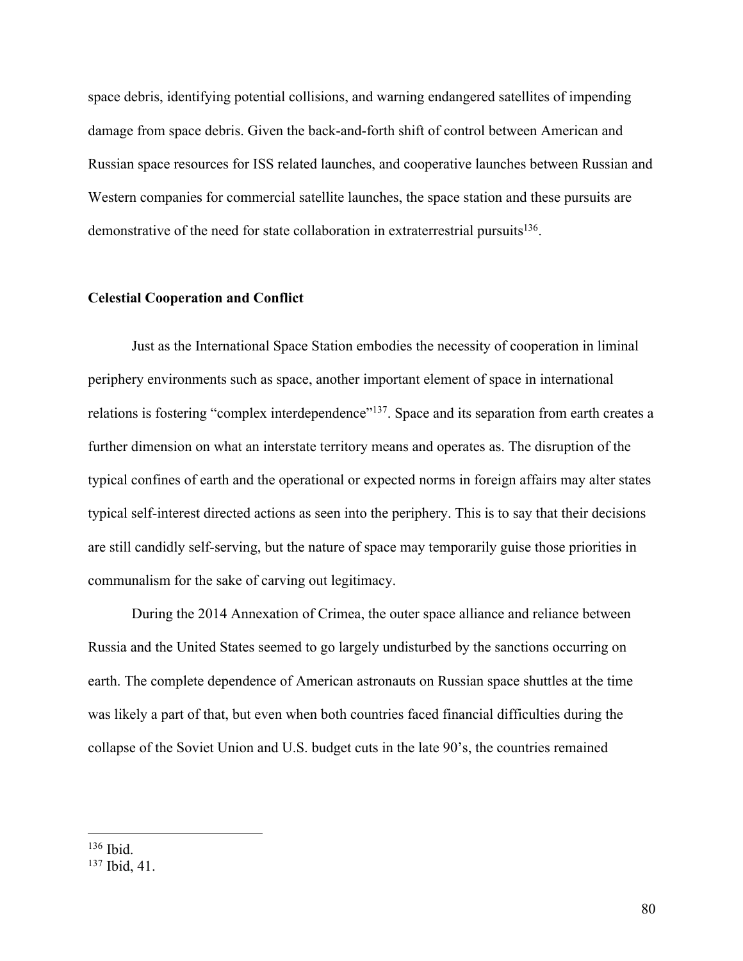space debris, identifying potential collisions, and warning endangered satellites of impending damage from space debris. Given the back-and-forth shift of control between American and Russian space resources for ISS related launches, and cooperative launches between Russian and Western companies for commercial satellite launches, the space station and these pursuits are demonstrative of the need for state collaboration in extraterrestrial pursuits $136$ .

### **Celestial Cooperation and Conflict**

Just as the International Space Station embodies the necessity of cooperation in liminal periphery environments such as space, another important element of space in international relations is fostering "complex interdependence"<sup>137</sup>. Space and its separation from earth creates a further dimension on what an interstate territory means and operates as. The disruption of the typical confines of earth and the operational or expected norms in foreign affairs may alter states typical self-interest directed actions as seen into the periphery. This is to say that their decisions are still candidly self-serving, but the nature of space may temporarily guise those priorities in communalism for the sake of carving out legitimacy.

During the 2014 Annexation of Crimea, the outer space alliance and reliance between Russia and the United States seemed to go largely undisturbed by the sanctions occurring on earth. The complete dependence of American astronauts on Russian space shuttles at the time was likely a part of that, but even when both countries faced financial difficulties during the collapse of the Soviet Union and U.S. budget cuts in the late 90's, the countries remained

<sup>136</sup> Ibid.

<sup>137</sup> Ibid, 41.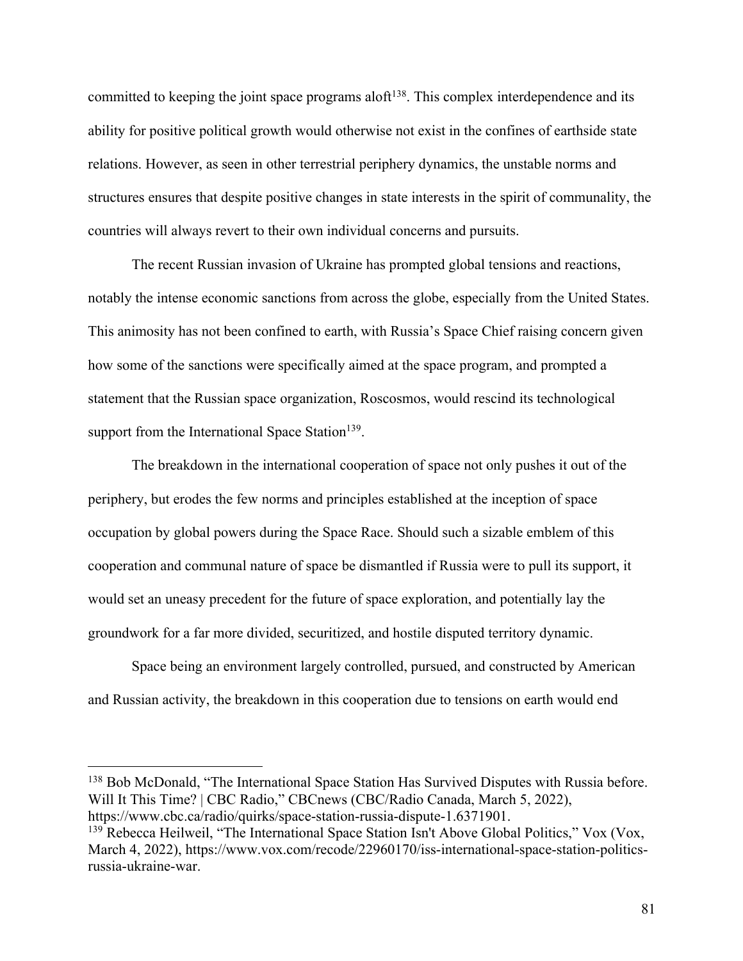committed to keeping the joint space programs aloft<sup>138</sup>. This complex interdependence and its ability for positive political growth would otherwise not exist in the confines of earthside state relations. However, as seen in other terrestrial periphery dynamics, the unstable norms and structures ensures that despite positive changes in state interests in the spirit of communality, the countries will always revert to their own individual concerns and pursuits.

The recent Russian invasion of Ukraine has prompted global tensions and reactions, notably the intense economic sanctions from across the globe, especially from the United States. This animosity has not been confined to earth, with Russia's Space Chief raising concern given how some of the sanctions were specifically aimed at the space program, and prompted a statement that the Russian space organization, Roscosmos, would rescind its technological support from the International Space Station<sup>139</sup>.

The breakdown in the international cooperation of space not only pushes it out of the periphery, but erodes the few norms and principles established at the inception of space occupation by global powers during the Space Race. Should such a sizable emblem of this cooperation and communal nature of space be dismantled if Russia were to pull its support, it would set an uneasy precedent for the future of space exploration, and potentially lay the groundwork for a far more divided, securitized, and hostile disputed territory dynamic.

Space being an environment largely controlled, pursued, and constructed by American and Russian activity, the breakdown in this cooperation due to tensions on earth would end

<sup>138</sup> Bob McDonald, "The International Space Station Has Survived Disputes with Russia before. Will It This Time? | CBC Radio," CBCnews (CBC/Radio Canada, March 5, 2022), https://www.cbc.ca/radio/quirks/space-station-russia-dispute-1.6371901.

<sup>&</sup>lt;sup>139</sup> Rebecca Heilweil, "The International Space Station Isn't Above Global Politics," Vox (Vox, March 4, 2022), https://www.vox.com/recode/22960170/iss-international-space-station-politicsrussia-ukraine-war.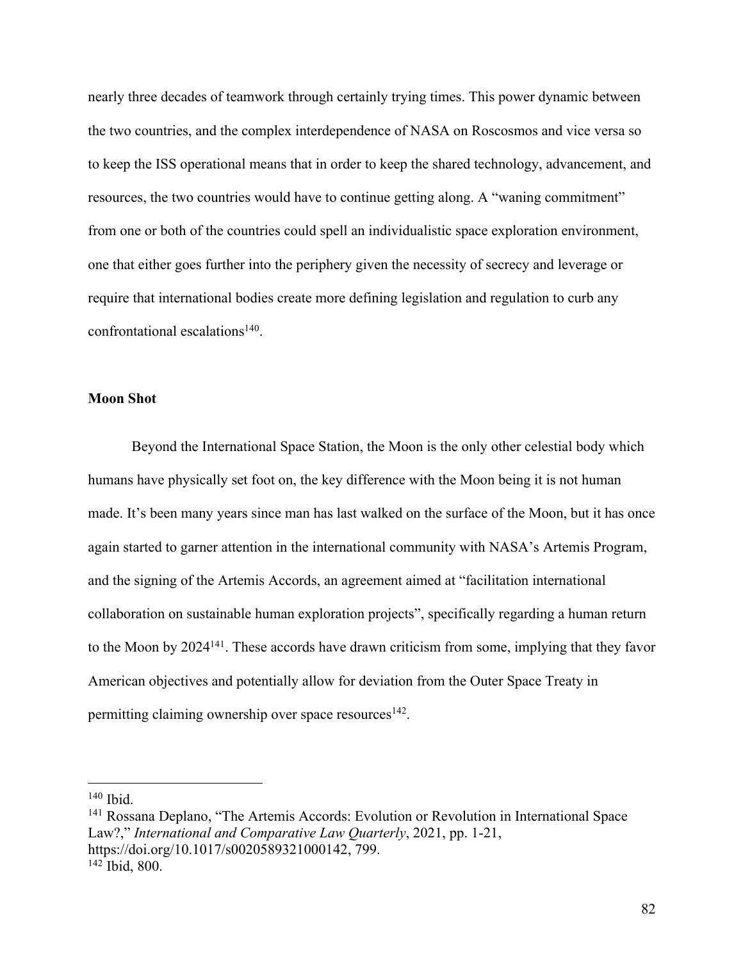nearly three decades of teamwork through certainly trying times. This power dynamic between the two countries, and the complex interdependence of NASA on Roscosmos and vice versa so to keep the ISS operational means that in order to keep the shared technology, advancement, and resources, the two countries would have to continue getting along. A "waning commitment" from one or both of the countries could spell an individualistic space exploration environment, one that either goes further into the periphery given the necessity of secrecy and leverage or require that international bodies create more defining legislation and regulation to curb any confrontational escalations<sup>140</sup>.

# **Moon Shot**

Beyond the International Space Station, the Moon is the only other celestial body which humans have physically set foot on, the key difference with the Moon being it is not human made. It's been many years since man has last walked on the surface of the Moon, but it has once again started to garner attention in the international community with NASA's Artemis Program, and the signing of the Artemis Accords, an agreement aimed at "facilitation international collaboration on sustainable human exploration projects", specifically regarding a human return to the Moon by 2024141. These accords have drawn criticism from some, implying that they favor American objectives and potentially allow for deviation from the Outer Space Treaty in permitting claiming ownership over space resources<sup>142</sup>.

<sup>140</sup> Ibid.

<sup>141</sup> Rossana Deplano, "The Artemis Accords: Evolution or Revolution in International Space Law?," *International and Comparative Law Quarterly*, 2021, pp. 1-21, https://doi.org/10.1017/s0020589321000142, 799. <sup>142</sup> Ibid, 800.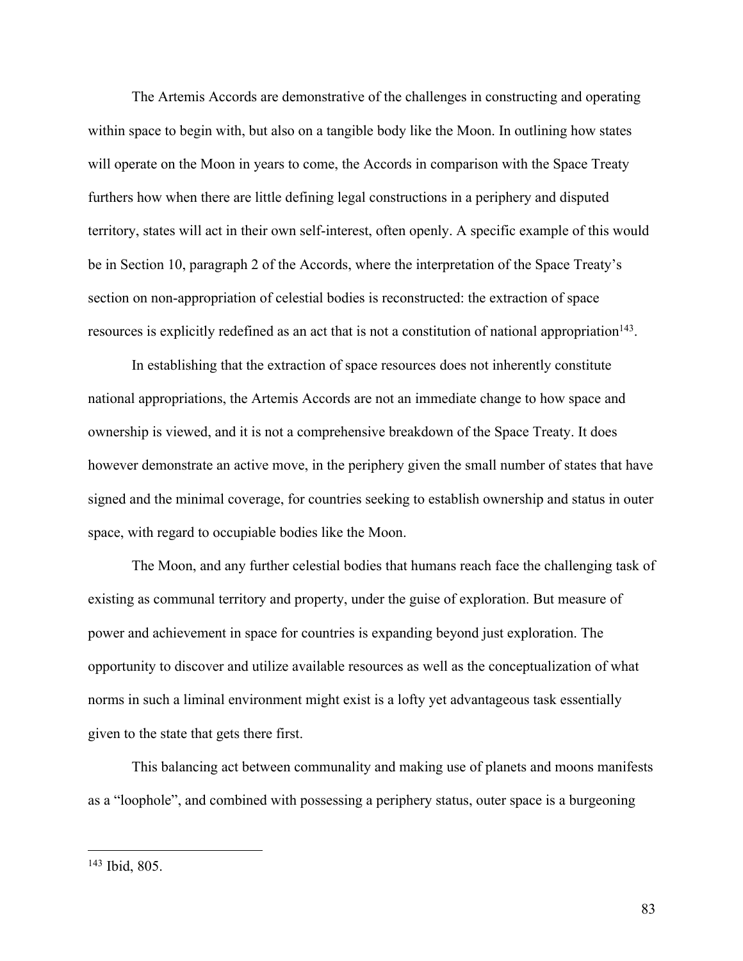The Artemis Accords are demonstrative of the challenges in constructing and operating within space to begin with, but also on a tangible body like the Moon. In outlining how states will operate on the Moon in years to come, the Accords in comparison with the Space Treaty furthers how when there are little defining legal constructions in a periphery and disputed territory, states will act in their own self-interest, often openly. A specific example of this would be in Section 10, paragraph 2 of the Accords, where the interpretation of the Space Treaty's section on non-appropriation of celestial bodies is reconstructed: the extraction of space resources is explicitly redefined as an act that is not a constitution of national appropriation<sup>143</sup>.

In establishing that the extraction of space resources does not inherently constitute national appropriations, the Artemis Accords are not an immediate change to how space and ownership is viewed, and it is not a comprehensive breakdown of the Space Treaty. It does however demonstrate an active move, in the periphery given the small number of states that have signed and the minimal coverage, for countries seeking to establish ownership and status in outer space, with regard to occupiable bodies like the Moon.

The Moon, and any further celestial bodies that humans reach face the challenging task of existing as communal territory and property, under the guise of exploration. But measure of power and achievement in space for countries is expanding beyond just exploration. The opportunity to discover and utilize available resources as well as the conceptualization of what norms in such a liminal environment might exist is a lofty yet advantageous task essentially given to the state that gets there first.

This balancing act between communality and making use of planets and moons manifests as a "loophole", and combined with possessing a periphery status, outer space is a burgeoning

<sup>143</sup> Ibid, 805.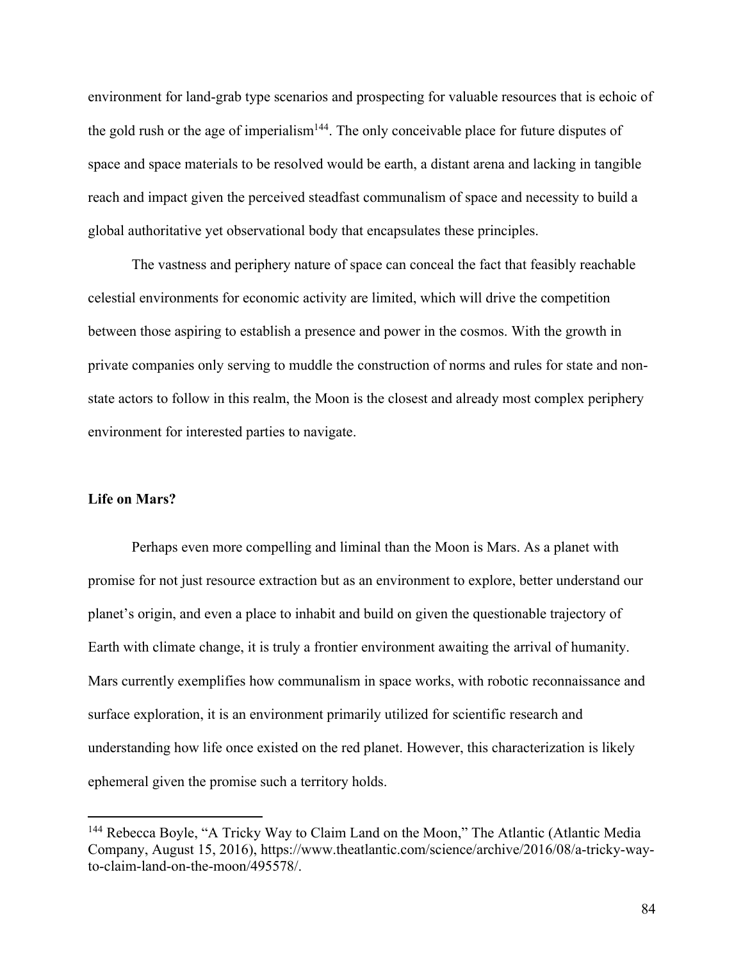environment for land-grab type scenarios and prospecting for valuable resources that is echoic of the gold rush or the age of imperialism<sup>144</sup>. The only conceivable place for future disputes of space and space materials to be resolved would be earth, a distant arena and lacking in tangible reach and impact given the perceived steadfast communalism of space and necessity to build a global authoritative yet observational body that encapsulates these principles.

The vastness and periphery nature of space can conceal the fact that feasibly reachable celestial environments for economic activity are limited, which will drive the competition between those aspiring to establish a presence and power in the cosmos. With the growth in private companies only serving to muddle the construction of norms and rules for state and nonstate actors to follow in this realm, the Moon is the closest and already most complex periphery environment for interested parties to navigate.

#### **Life on Mars?**

Perhaps even more compelling and liminal than the Moon is Mars. As a planet with promise for not just resource extraction but as an environment to explore, better understand our planet's origin, and even a place to inhabit and build on given the questionable trajectory of Earth with climate change, it is truly a frontier environment awaiting the arrival of humanity. Mars currently exemplifies how communalism in space works, with robotic reconnaissance and surface exploration, it is an environment primarily utilized for scientific research and understanding how life once existed on the red planet. However, this characterization is likely ephemeral given the promise such a territory holds.

<sup>&</sup>lt;sup>144</sup> Rebecca Boyle, "A Tricky Way to Claim Land on the Moon," The Atlantic (Atlantic Media Company, August 15, 2016), https://www.theatlantic.com/science/archive/2016/08/a-tricky-wayto-claim-land-on-the-moon/495578/.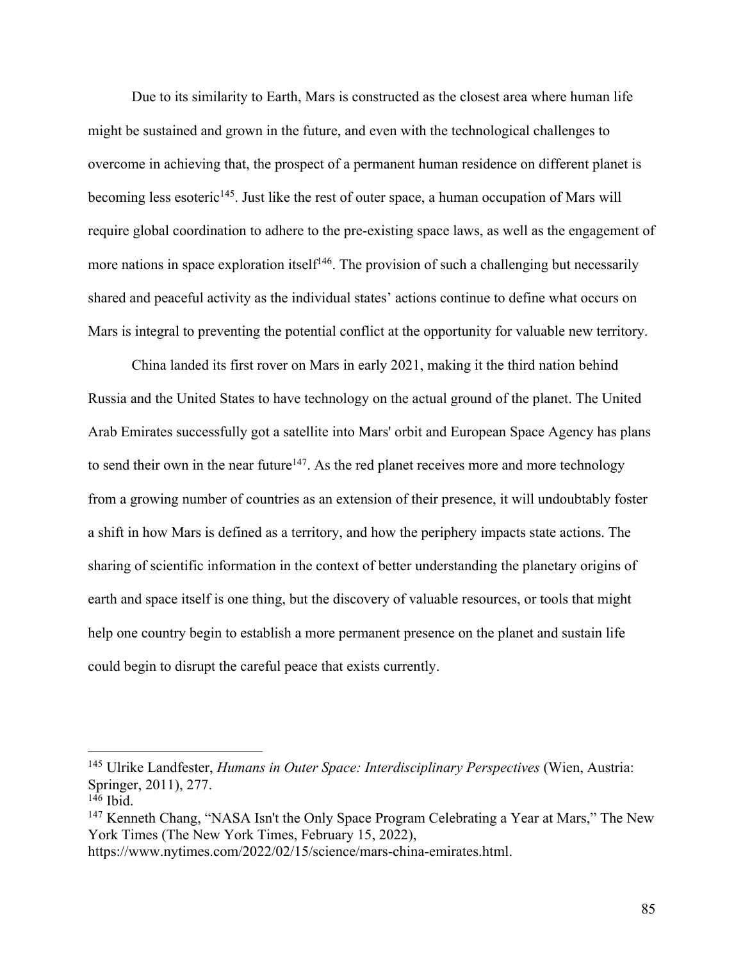Due to its similarity to Earth, Mars is constructed as the closest area where human life might be sustained and grown in the future, and even with the technological challenges to overcome in achieving that, the prospect of a permanent human residence on different planet is becoming less esoteric<sup>145</sup>. Just like the rest of outer space, a human occupation of Mars will require global coordination to adhere to the pre-existing space laws, as well as the engagement of more nations in space exploration itself<sup>146</sup>. The provision of such a challenging but necessarily shared and peaceful activity as the individual states' actions continue to define what occurs on Mars is integral to preventing the potential conflict at the opportunity for valuable new territory.

China landed its first rover on Mars in early 2021, making it the third nation behind Russia and the United States to have technology on the actual ground of the planet. The United Arab Emirates successfully got a satellite into Mars' orbit and European Space Agency has plans to send their own in the near future<sup>147</sup>. As the red planet receives more and more technology from a growing number of countries as an extension of their presence, it will undoubtably foster a shift in how Mars is defined as a territory, and how the periphery impacts state actions. The sharing of scientific information in the context of better understanding the planetary origins of earth and space itself is one thing, but the discovery of valuable resources, or tools that might help one country begin to establish a more permanent presence on the planet and sustain life could begin to disrupt the careful peace that exists currently.

<sup>145</sup> Ulrike Landfester, *Humans in Outer Space: Interdisciplinary Perspectives* (Wien, Austria: Springer, 2011), 277.

<sup>146</sup> Ibid.

<sup>&</sup>lt;sup>147</sup> Kenneth Chang, "NASA Isn't the Only Space Program Celebrating a Year at Mars," The New York Times (The New York Times, February 15, 2022),

https://www.nytimes.com/2022/02/15/science/mars-china-emirates.html.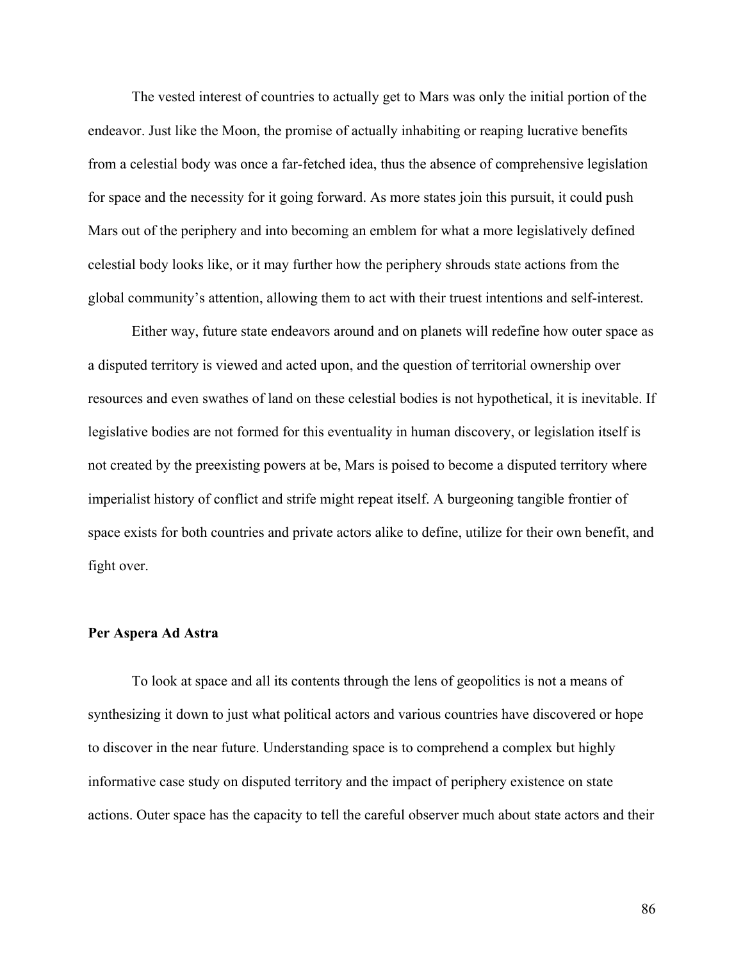The vested interest of countries to actually get to Mars was only the initial portion of the endeavor. Just like the Moon, the promise of actually inhabiting or reaping lucrative benefits from a celestial body was once a far-fetched idea, thus the absence of comprehensive legislation for space and the necessity for it going forward. As more states join this pursuit, it could push Mars out of the periphery and into becoming an emblem for what a more legislatively defined celestial body looks like, or it may further how the periphery shrouds state actions from the global community's attention, allowing them to act with their truest intentions and self-interest.

Either way, future state endeavors around and on planets will redefine how outer space as a disputed territory is viewed and acted upon, and the question of territorial ownership over resources and even swathes of land on these celestial bodies is not hypothetical, it is inevitable. If legislative bodies are not formed for this eventuality in human discovery, or legislation itself is not created by the preexisting powers at be, Mars is poised to become a disputed territory where imperialist history of conflict and strife might repeat itself. A burgeoning tangible frontier of space exists for both countries and private actors alike to define, utilize for their own benefit, and fight over.

### **Per Aspera Ad Astra**

To look at space and all its contents through the lens of geopolitics is not a means of synthesizing it down to just what political actors and various countries have discovered or hope to discover in the near future. Understanding space is to comprehend a complex but highly informative case study on disputed territory and the impact of periphery existence on state actions. Outer space has the capacity to tell the careful observer much about state actors and their

86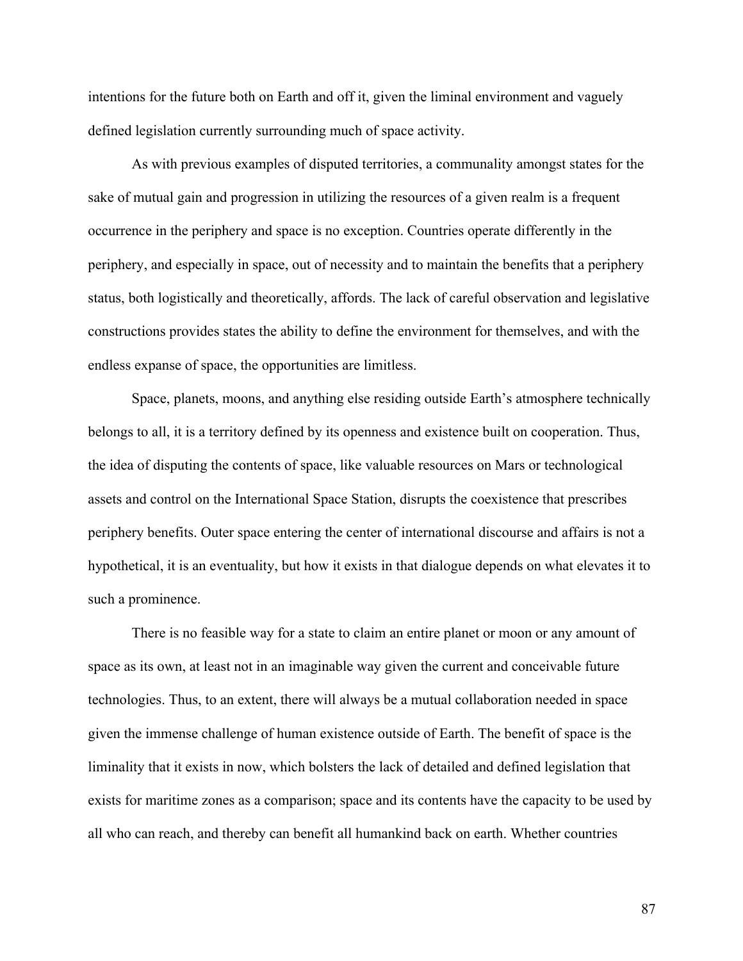intentions for the future both on Earth and off it, given the liminal environment and vaguely defined legislation currently surrounding much of space activity.

As with previous examples of disputed territories, a communality amongst states for the sake of mutual gain and progression in utilizing the resources of a given realm is a frequent occurrence in the periphery and space is no exception. Countries operate differently in the periphery, and especially in space, out of necessity and to maintain the benefits that a periphery status, both logistically and theoretically, affords. The lack of careful observation and legislative constructions provides states the ability to define the environment for themselves, and with the endless expanse of space, the opportunities are limitless.

Space, planets, moons, and anything else residing outside Earth's atmosphere technically belongs to all, it is a territory defined by its openness and existence built on cooperation. Thus, the idea of disputing the contents of space, like valuable resources on Mars or technological assets and control on the International Space Station, disrupts the coexistence that prescribes periphery benefits. Outer space entering the center of international discourse and affairs is not a hypothetical, it is an eventuality, but how it exists in that dialogue depends on what elevates it to such a prominence.

There is no feasible way for a state to claim an entire planet or moon or any amount of space as its own, at least not in an imaginable way given the current and conceivable future technologies. Thus, to an extent, there will always be a mutual collaboration needed in space given the immense challenge of human existence outside of Earth. The benefit of space is the liminality that it exists in now, which bolsters the lack of detailed and defined legislation that exists for maritime zones as a comparison; space and its contents have the capacity to be used by all who can reach, and thereby can benefit all humankind back on earth. Whether countries

87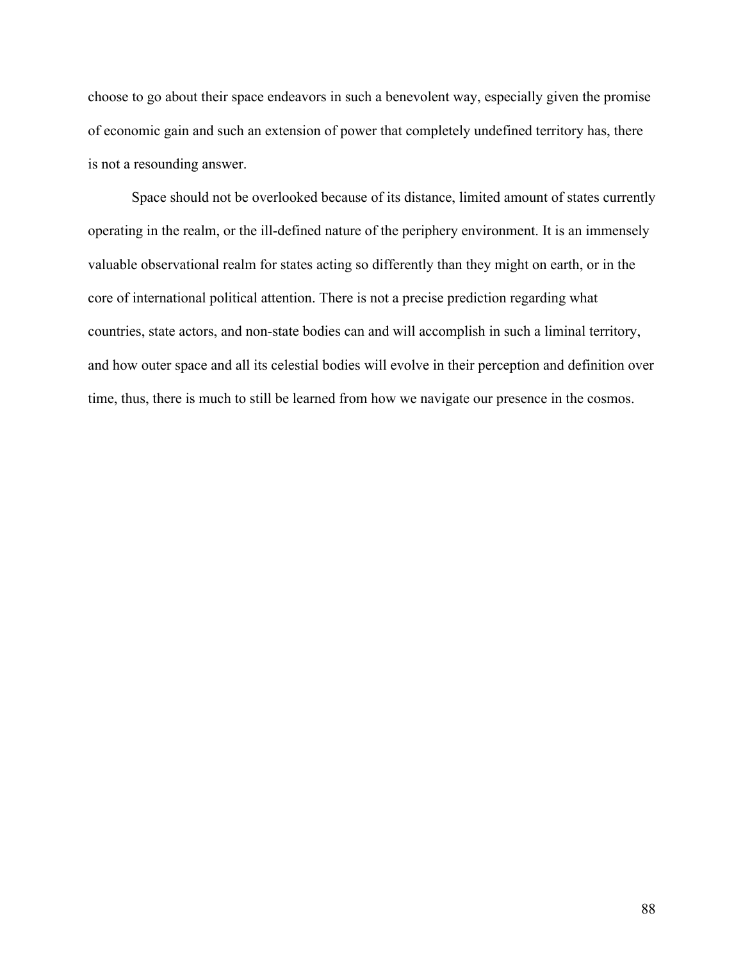choose to go about their space endeavors in such a benevolent way, especially given the promise of economic gain and such an extension of power that completely undefined territory has, there is not a resounding answer.

Space should not be overlooked because of its distance, limited amount of states currently operating in the realm, or the ill-defined nature of the periphery environment. It is an immensely valuable observational realm for states acting so differently than they might on earth, or in the core of international political attention. There is not a precise prediction regarding what countries, state actors, and non-state bodies can and will accomplish in such a liminal territory, and how outer space and all its celestial bodies will evolve in their perception and definition over time, thus, there is much to still be learned from how we navigate our presence in the cosmos.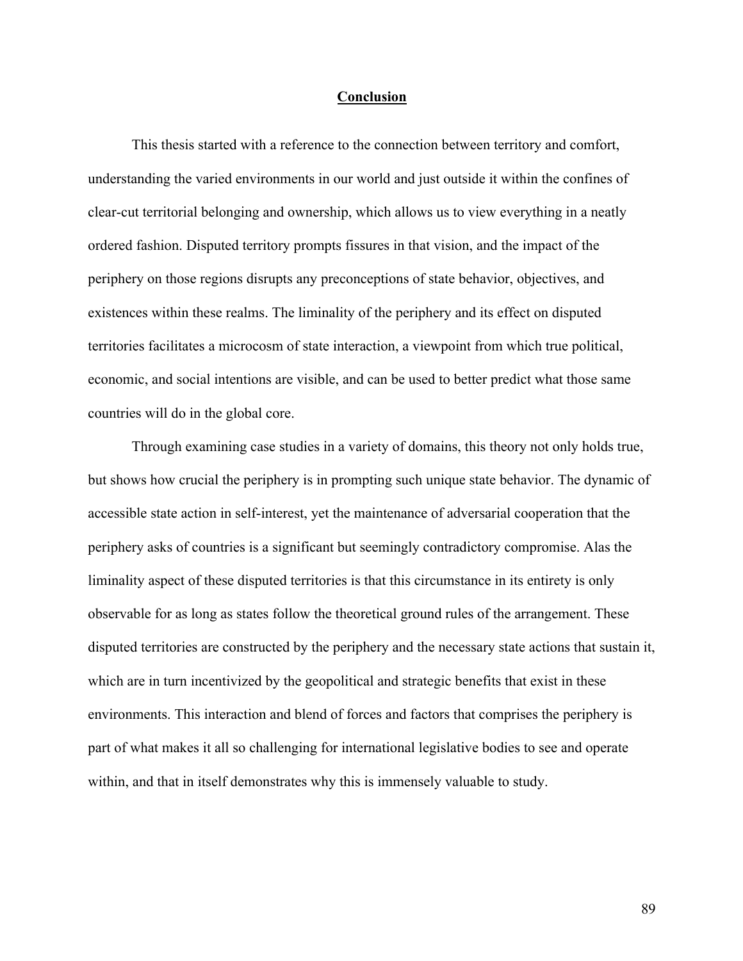#### **Conclusion**

This thesis started with a reference to the connection between territory and comfort, understanding the varied environments in our world and just outside it within the confines of clear-cut territorial belonging and ownership, which allows us to view everything in a neatly ordered fashion. Disputed territory prompts fissures in that vision, and the impact of the periphery on those regions disrupts any preconceptions of state behavior, objectives, and existences within these realms. The liminality of the periphery and its effect on disputed territories facilitates a microcosm of state interaction, a viewpoint from which true political, economic, and social intentions are visible, and can be used to better predict what those same countries will do in the global core.

Through examining case studies in a variety of domains, this theory not only holds true, but shows how crucial the periphery is in prompting such unique state behavior. The dynamic of accessible state action in self-interest, yet the maintenance of adversarial cooperation that the periphery asks of countries is a significant but seemingly contradictory compromise. Alas the liminality aspect of these disputed territories is that this circumstance in its entirety is only observable for as long as states follow the theoretical ground rules of the arrangement. These disputed territories are constructed by the periphery and the necessary state actions that sustain it, which are in turn incentivized by the geopolitical and strategic benefits that exist in these environments. This interaction and blend of forces and factors that comprises the periphery is part of what makes it all so challenging for international legislative bodies to see and operate within, and that in itself demonstrates why this is immensely valuable to study.

89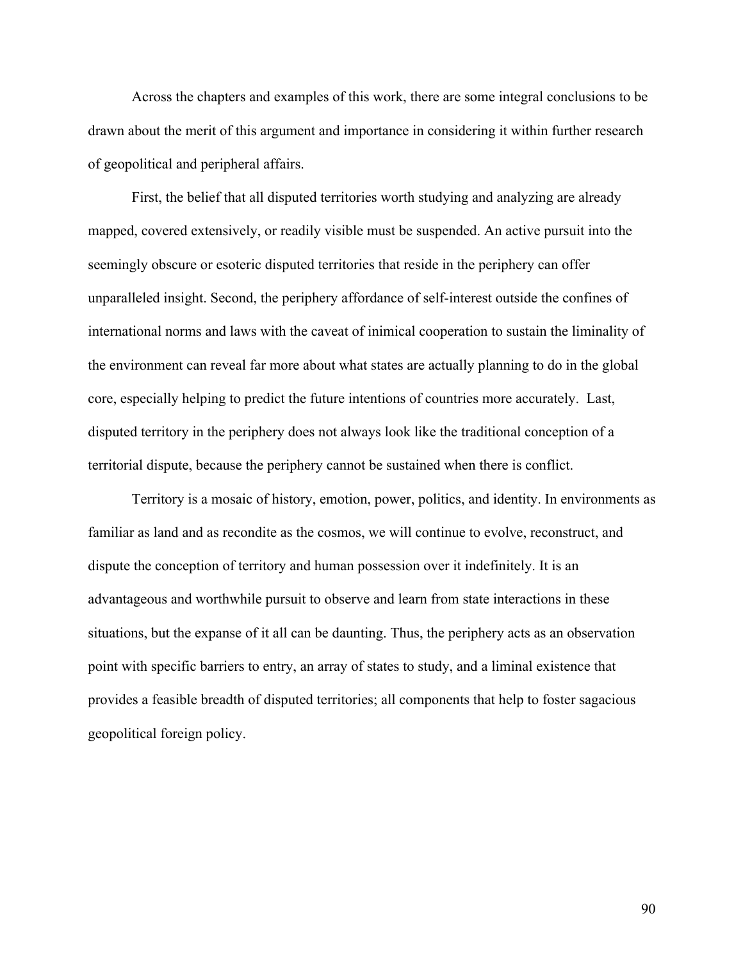Across the chapters and examples of this work, there are some integral conclusions to be drawn about the merit of this argument and importance in considering it within further research of geopolitical and peripheral affairs.

First, the belief that all disputed territories worth studying and analyzing are already mapped, covered extensively, or readily visible must be suspended. An active pursuit into the seemingly obscure or esoteric disputed territories that reside in the periphery can offer unparalleled insight. Second, the periphery affordance of self-interest outside the confines of international norms and laws with the caveat of inimical cooperation to sustain the liminality of the environment can reveal far more about what states are actually planning to do in the global core, especially helping to predict the future intentions of countries more accurately. Last, disputed territory in the periphery does not always look like the traditional conception of a territorial dispute, because the periphery cannot be sustained when there is conflict.

Territory is a mosaic of history, emotion, power, politics, and identity. In environments as familiar as land and as recondite as the cosmos, we will continue to evolve, reconstruct, and dispute the conception of territory and human possession over it indefinitely. It is an advantageous and worthwhile pursuit to observe and learn from state interactions in these situations, but the expanse of it all can be daunting. Thus, the periphery acts as an observation point with specific barriers to entry, an array of states to study, and a liminal existence that provides a feasible breadth of disputed territories; all components that help to foster sagacious geopolitical foreign policy.

90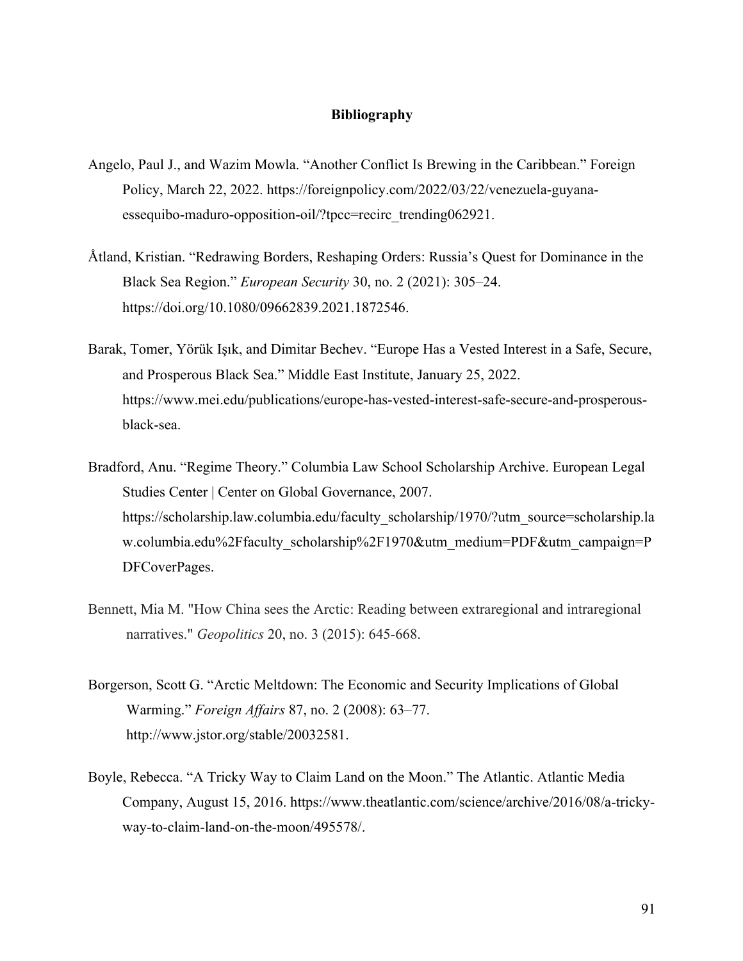# **Bibliography**

- Angelo, Paul J., and Wazim Mowla. "Another Conflict Is Brewing in the Caribbean." Foreign Policy, March 22, 2022. https://foreignpolicy.com/2022/03/22/venezuela-guyanaessequibo-maduro-opposition-oil/?tpcc=recirc\_trending062921.
- Åtland, Kristian. "Redrawing Borders, Reshaping Orders: Russia's Quest for Dominance in the Black Sea Region." *European Security* 30, no. 2 (2021): 305–24. https://doi.org/10.1080/09662839.2021.1872546.
- Barak, Tomer, Yörük Işık, and Dimitar Bechev. "Europe Has a Vested Interest in a Safe, Secure, and Prosperous Black Sea." Middle East Institute, January 25, 2022. https://www.mei.edu/publications/europe-has-vested-interest-safe-secure-and-prosperousblack-sea.
- Bradford, Anu. "Regime Theory." Columbia Law School Scholarship Archive. European Legal Studies Center | Center on Global Governance, 2007. https://scholarship.law.columbia.edu/faculty\_scholarship/1970/?utm\_source=scholarship.la w.columbia.edu%2Ffaculty\_scholarship%2F1970&utm\_medium=PDF&utm\_campaign=P DFCoverPages.
- Bennett, Mia M. "How China sees the Arctic: Reading between extraregional and intraregional narratives." *Geopolitics* 20, no. 3 (2015): 645-668.
- Borgerson, Scott G. "Arctic Meltdown: The Economic and Security Implications of Global Warming." *Foreign Affairs* 87, no. 2 (2008): 63–77. http://www.jstor.org/stable/20032581.
- Boyle, Rebecca. "A Tricky Way to Claim Land on the Moon." The Atlantic. Atlantic Media Company, August 15, 2016. https://www.theatlantic.com/science/archive/2016/08/a-trickyway-to-claim-land-on-the-moon/495578/.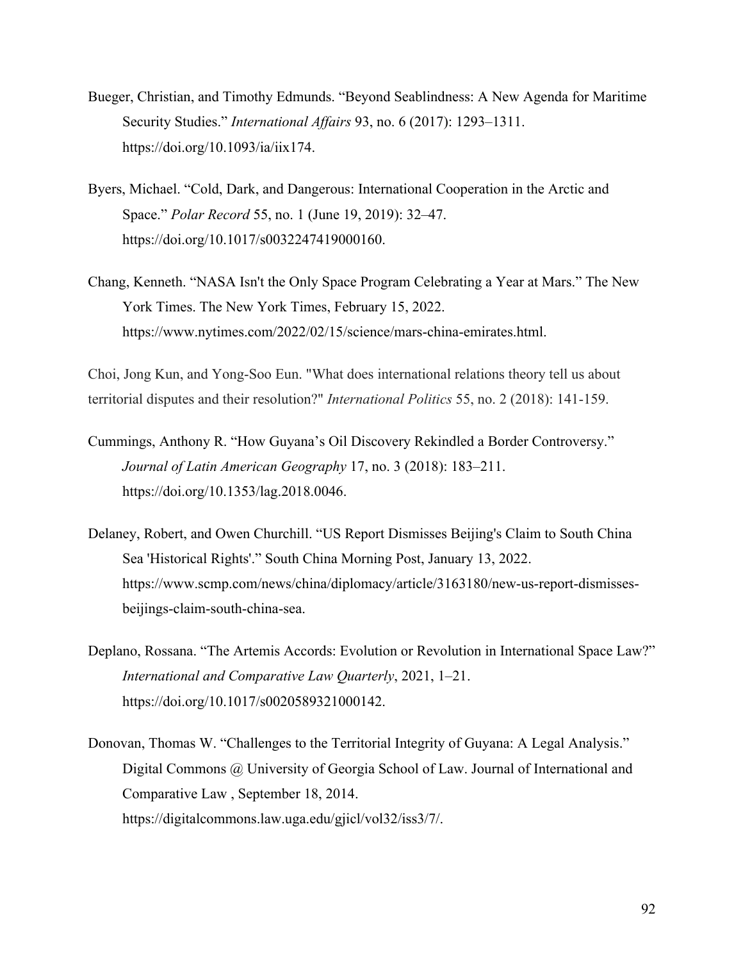- Bueger, Christian, and Timothy Edmunds. "Beyond Seablindness: A New Agenda for Maritime Security Studies." *International Affairs* 93, no. 6 (2017): 1293–1311. https://doi.org/10.1093/ia/iix174.
- Byers, Michael. "Cold, Dark, and Dangerous: International Cooperation in the Arctic and Space." *Polar Record* 55, no. 1 (June 19, 2019): 32–47. https://doi.org/10.1017/s0032247419000160.
- Chang, Kenneth. "NASA Isn't the Only Space Program Celebrating a Year at Mars." The New York Times. The New York Times, February 15, 2022. https://www.nytimes.com/2022/02/15/science/mars-china-emirates.html.

Choi, Jong Kun, and Yong-Soo Eun. "What does international relations theory tell us about territorial disputes and their resolution?" *International Politics* 55, no. 2 (2018): 141-159.

- Cummings, Anthony R. "How Guyana's Oil Discovery Rekindled a Border Controversy." *Journal of Latin American Geography* 17, no. 3 (2018): 183–211. https://doi.org/10.1353/lag.2018.0046.
- Delaney, Robert, and Owen Churchill. "US Report Dismisses Beijing's Claim to South China Sea 'Historical Rights'." South China Morning Post, January 13, 2022. https://www.scmp.com/news/china/diplomacy/article/3163180/new-us-report-dismissesbeijings-claim-south-china-sea.
- Deplano, Rossana. "The Artemis Accords: Evolution or Revolution in International Space Law?" *International and Comparative Law Quarterly*, 2021, 1–21. https://doi.org/10.1017/s0020589321000142.
- Donovan, Thomas W. "Challenges to the Territorial Integrity of Guyana: A Legal Analysis." Digital Commons @ University of Georgia School of Law. Journal of International and Comparative Law , September 18, 2014. https://digitalcommons.law.uga.edu/gjicl/vol32/iss3/7/.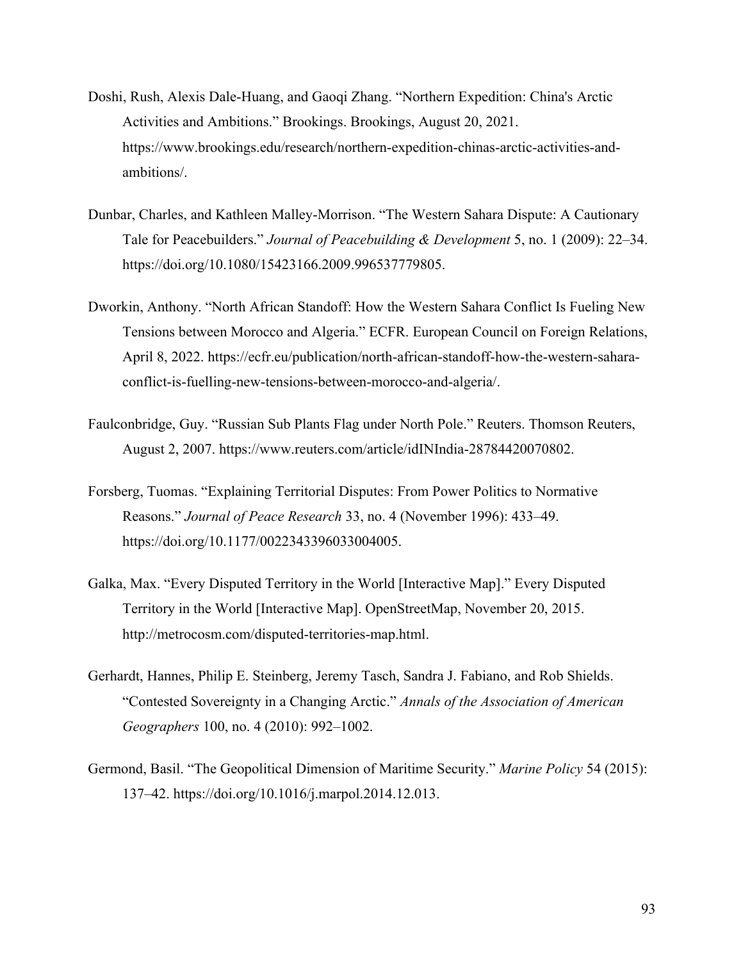- Doshi, Rush, Alexis Dale-Huang, and Gaoqi Zhang. "Northern Expedition: China's Arctic Activities and Ambitions." Brookings. Brookings, August 20, 2021. https://www.brookings.edu/research/northern-expedition-chinas-arctic-activities-andambitions/.
- Dunbar, Charles, and Kathleen Malley-Morrison. "The Western Sahara Dispute: A Cautionary Tale for Peacebuilders." *Journal of Peacebuilding & Development* 5, no. 1 (2009): 22–34. https://doi.org/10.1080/15423166.2009.996537779805.
- Dworkin, Anthony. "North African Standoff: How the Western Sahara Conflict Is Fueling New Tensions between Morocco and Algeria." ECFR. European Council on Foreign Relations, April 8, 2022. https://ecfr.eu/publication/north-african-standoff-how-the-western-saharaconflict-is-fuelling-new-tensions-between-morocco-and-algeria/.
- Faulconbridge, Guy. "Russian Sub Plants Flag under North Pole." Reuters. Thomson Reuters, August 2, 2007. https://www.reuters.com/article/idINIndia-28784420070802.
- Forsberg, Tuomas. "Explaining Territorial Disputes: From Power Politics to Normative Reasons." *Journal of Peace Research* 33, no. 4 (November 1996): 433–49. https://doi.org/10.1177/0022343396033004005.
- Galka, Max. "Every Disputed Territory in the World [Interactive Map]." Every Disputed Territory in the World [Interactive Map]. OpenStreetMap, November 20, 2015. http://metrocosm.com/disputed-territories-map.html.
- Gerhardt, Hannes, Philip E. Steinberg, Jeremy Tasch, Sandra J. Fabiano, and Rob Shields. "Contested Sovereignty in a Changing Arctic." *Annals of the Association of American Geographers* 100, no. 4 (2010): 992–1002.
- Germond, Basil. "The Geopolitical Dimension of Maritime Security." *Marine Policy* 54 (2015): 137–42. https://doi.org/10.1016/j.marpol.2014.12.013.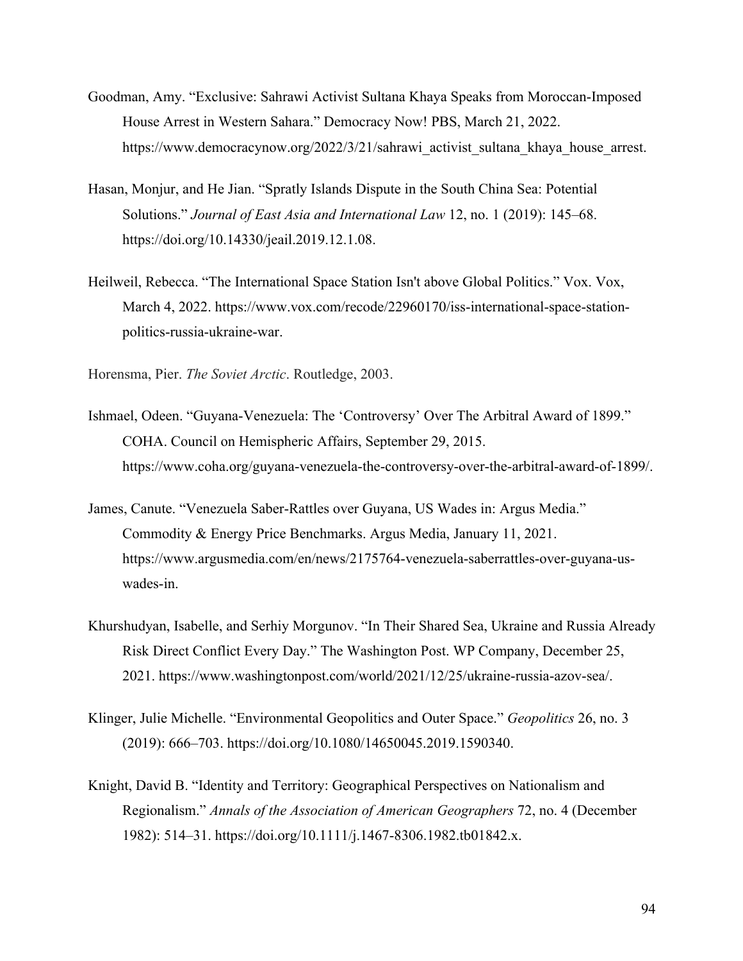- Goodman, Amy. "Exclusive: Sahrawi Activist Sultana Khaya Speaks from Moroccan-Imposed House Arrest in Western Sahara." Democracy Now! PBS, March 21, 2022. https://www.democracynow.org/2022/3/21/sahrawi\_activist\_sultana\_khaya\_house\_arrest.
- Hasan, Monjur, and He Jian. "Spratly Islands Dispute in the South China Sea: Potential Solutions." *Journal of East Asia and International Law* 12, no. 1 (2019): 145–68. https://doi.org/10.14330/jeail.2019.12.1.08.
- Heilweil, Rebecca. "The International Space Station Isn't above Global Politics." Vox. Vox, March 4, 2022. https://www.vox.com/recode/22960170/iss-international-space-stationpolitics-russia-ukraine-war.

Horensma, Pier. *The Soviet Arctic*. Routledge, 2003.

- Ishmael, Odeen. "Guyana-Venezuela: The 'Controversy' Over The Arbitral Award of 1899." COHA. Council on Hemispheric Affairs, September 29, 2015. https://www.coha.org/guyana-venezuela-the-controversy-over-the-arbitral-award-of-1899/.
- James, Canute. "Venezuela Saber-Rattles over Guyana, US Wades in: Argus Media." Commodity & Energy Price Benchmarks. Argus Media, January 11, 2021. https://www.argusmedia.com/en/news/2175764-venezuela-saberrattles-over-guyana-uswades-in.
- Khurshudyan, Isabelle, and Serhiy Morgunov. "In Their Shared Sea, Ukraine and Russia Already Risk Direct Conflict Every Day." The Washington Post. WP Company, December 25, 2021. https://www.washingtonpost.com/world/2021/12/25/ukraine-russia-azov-sea/.
- Klinger, Julie Michelle. "Environmental Geopolitics and Outer Space." *Geopolitics* 26, no. 3 (2019): 666–703. https://doi.org/10.1080/14650045.2019.1590340.
- Knight, David B. "Identity and Territory: Geographical Perspectives on Nationalism and Regionalism." *Annals of the Association of American Geographers* 72, no. 4 (December 1982): 514–31. https://doi.org/10.1111/j.1467-8306.1982.tb01842.x.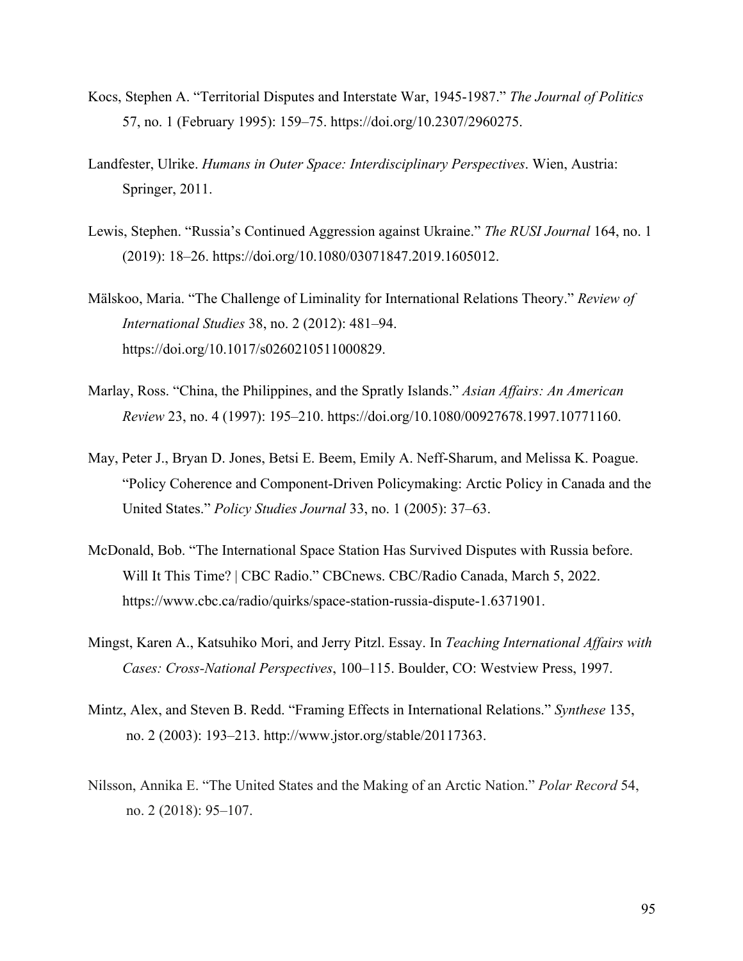- Kocs, Stephen A. "Territorial Disputes and Interstate War, 1945-1987." *The Journal of Politics* 57, no. 1 (February 1995): 159–75. https://doi.org/10.2307/2960275.
- Landfester, Ulrike. *Humans in Outer Space: Interdisciplinary Perspectives*. Wien, Austria: Springer, 2011.
- Lewis, Stephen. "Russia's Continued Aggression against Ukraine." *The RUSI Journal* 164, no. 1 (2019): 18–26. https://doi.org/10.1080/03071847.2019.1605012.
- Mälskoo, Maria. "The Challenge of Liminality for International Relations Theory." *Review of International Studies* 38, no. 2 (2012): 481–94. https://doi.org/10.1017/s0260210511000829.
- Marlay, Ross. "China, the Philippines, and the Spratly Islands." *Asian Affairs: An American Review* 23, no. 4 (1997): 195–210. https://doi.org/10.1080/00927678.1997.10771160.
- May, Peter J., Bryan D. Jones, Betsi E. Beem, Emily A. Neff-Sharum, and Melissa K. Poague. "Policy Coherence and Component-Driven Policymaking: Arctic Policy in Canada and the United States." *Policy Studies Journal* 33, no. 1 (2005): 37–63.
- McDonald, Bob. "The International Space Station Has Survived Disputes with Russia before. Will It This Time? | CBC Radio." CBCnews. CBC/Radio Canada, March 5, 2022. https://www.cbc.ca/radio/quirks/space-station-russia-dispute-1.6371901.
- Mingst, Karen A., Katsuhiko Mori, and Jerry Pitzl. Essay. In *Teaching International Affairs with Cases: Cross-National Perspectives*, 100–115. Boulder, CO: Westview Press, 1997.
- Mintz, Alex, and Steven B. Redd. "Framing Effects in International Relations." *Synthese* 135, no. 2 (2003): 193–213. http://www.jstor.org/stable/20117363.
- Nilsson, Annika E. "The United States and the Making of an Arctic Nation." *Polar Record* 54, no. 2 (2018): 95–107.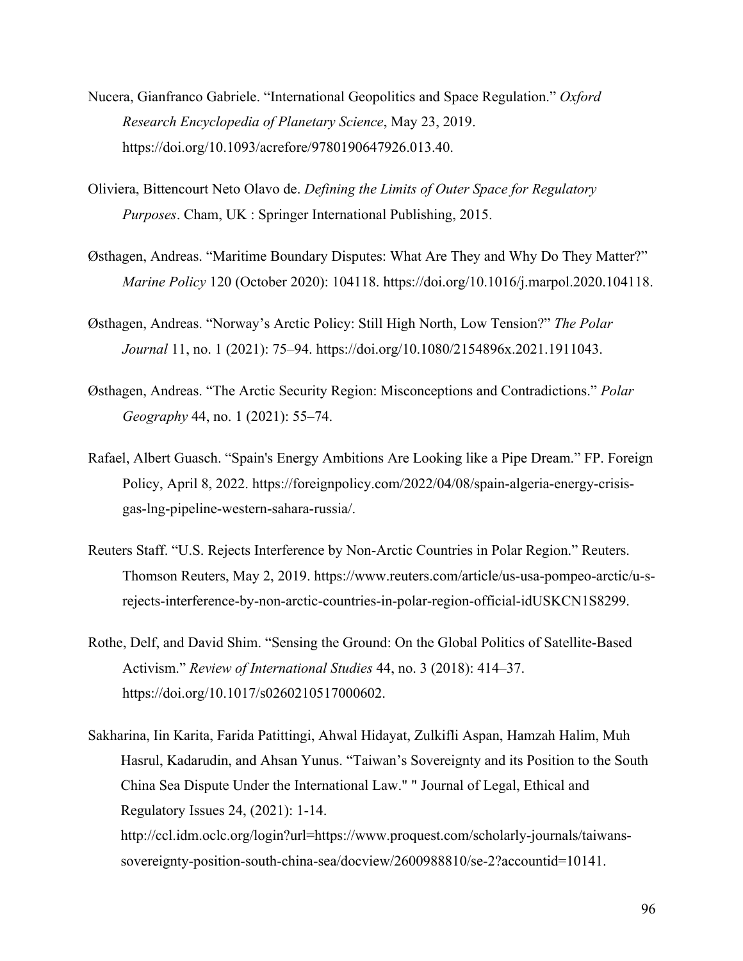- Nucera, Gianfranco Gabriele. "International Geopolitics and Space Regulation." *Oxford Research Encyclopedia of Planetary Science*, May 23, 2019. https://doi.org/10.1093/acrefore/9780190647926.013.40.
- Oliviera, Bittencourt Neto Olavo de. *Defining the Limits of Outer Space for Regulatory Purposes*. Cham, UK : Springer International Publishing, 2015.
- Østhagen, Andreas. "Maritime Boundary Disputes: What Are They and Why Do They Matter?" *Marine Policy* 120 (October 2020): 104118. https://doi.org/10.1016/j.marpol.2020.104118.
- Østhagen, Andreas. "Norway's Arctic Policy: Still High North, Low Tension?" *The Polar Journal* 11, no. 1 (2021): 75–94. https://doi.org/10.1080/2154896x.2021.1911043.
- Østhagen, Andreas. "The Arctic Security Region: Misconceptions and Contradictions." *Polar Geography* 44, no. 1 (2021): 55–74.
- Rafael, Albert Guasch. "Spain's Energy Ambitions Are Looking like a Pipe Dream." FP. Foreign Policy, April 8, 2022. https://foreignpolicy.com/2022/04/08/spain-algeria-energy-crisisgas-lng-pipeline-western-sahara-russia/.
- Reuters Staff. "U.S. Rejects Interference by Non-Arctic Countries in Polar Region." Reuters. Thomson Reuters, May 2, 2019. https://www.reuters.com/article/us-usa-pompeo-arctic/u-srejects-interference-by-non-arctic-countries-in-polar-region-official-idUSKCN1S8299.
- Rothe, Delf, and David Shim. "Sensing the Ground: On the Global Politics of Satellite-Based Activism." *Review of International Studies* 44, no. 3 (2018): 414–37. https://doi.org/10.1017/s0260210517000602.
- Sakharina, Iin Karita, Farida Patittingi, Ahwal Hidayat, Zulkifli Aspan, Hamzah Halim, Muh Hasrul, Kadarudin, and Ahsan Yunus. "Taiwan's Sovereignty and its Position to the South China Sea Dispute Under the International Law." " Journal of Legal, Ethical and Regulatory Issues 24, (2021): 1-14. http://ccl.idm.oclc.org/login?url=https://www.proquest.com/scholarly-journals/taiwanssovereignty-position-south-china-sea/docview/2600988810/se-2?accountid=10141.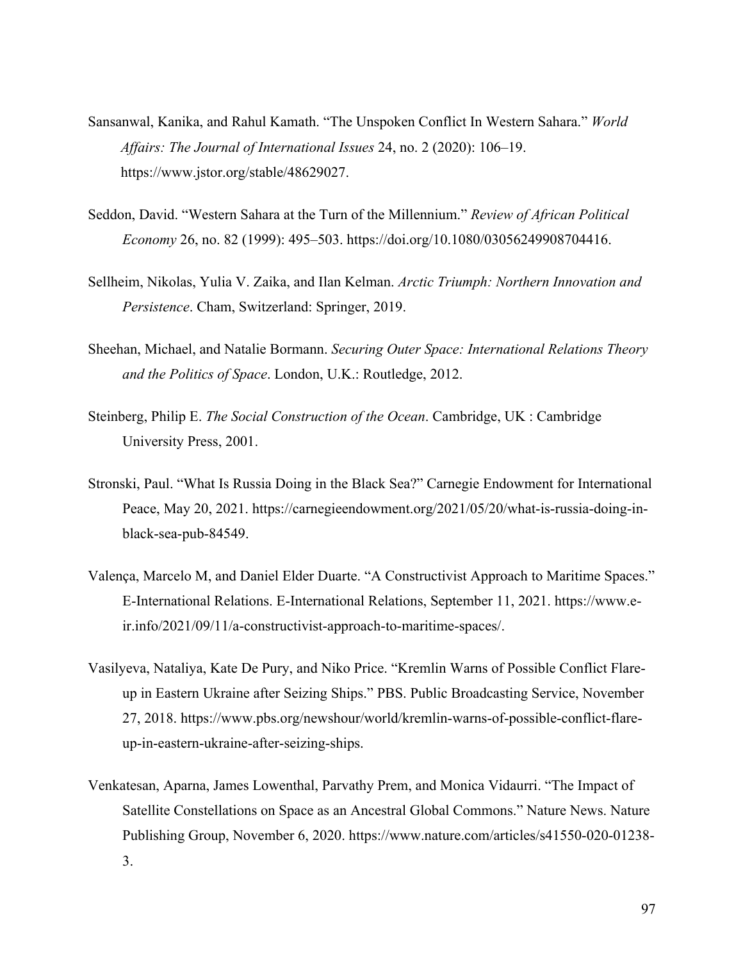- Sansanwal, Kanika, and Rahul Kamath. "The Unspoken Conflict In Western Sahara." *World Affairs: The Journal of International Issues* 24, no. 2 (2020): 106–19. https://www.jstor.org/stable/48629027.
- Seddon, David. "Western Sahara at the Turn of the Millennium." *Review of African Political Economy* 26, no. 82 (1999): 495–503. https://doi.org/10.1080/03056249908704416.
- Sellheim, Nikolas, Yulia V. Zaika, and Ilan Kelman. *Arctic Triumph: Northern Innovation and Persistence*. Cham, Switzerland: Springer, 2019.
- Sheehan, Michael, and Natalie Bormann. *Securing Outer Space: International Relations Theory and the Politics of Space*. London, U.K.: Routledge, 2012.
- Steinberg, Philip E. *The Social Construction of the Ocean*. Cambridge, UK : Cambridge University Press, 2001.
- Stronski, Paul. "What Is Russia Doing in the Black Sea?" Carnegie Endowment for International Peace, May 20, 2021. https://carnegieendowment.org/2021/05/20/what-is-russia-doing-inblack-sea-pub-84549.
- Valença, Marcelo M, and Daniel Elder Duarte. "A Constructivist Approach to Maritime Spaces." E-International Relations. E-International Relations, September 11, 2021. https://www.eir.info/2021/09/11/a-constructivist-approach-to-maritime-spaces/.
- Vasilyeva, Nataliya, Kate De Pury, and Niko Price. "Kremlin Warns of Possible Conflict Flareup in Eastern Ukraine after Seizing Ships." PBS. Public Broadcasting Service, November 27, 2018. https://www.pbs.org/newshour/world/kremlin-warns-of-possible-conflict-flareup-in-eastern-ukraine-after-seizing-ships.
- Venkatesan, Aparna, James Lowenthal, Parvathy Prem, and Monica Vidaurri. "The Impact of Satellite Constellations on Space as an Ancestral Global Commons." Nature News. Nature Publishing Group, November 6, 2020. https://www.nature.com/articles/s41550-020-01238- 3.